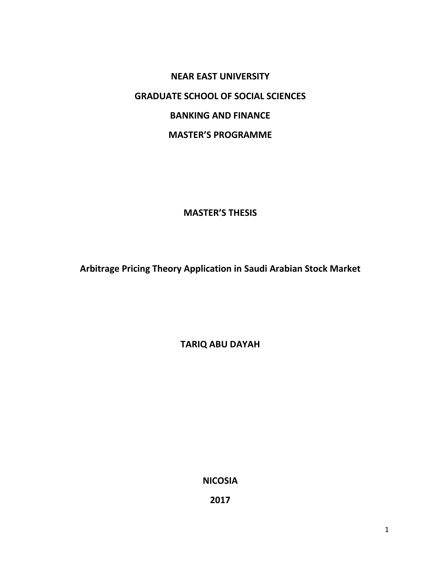**NEAR EAST UNIVERSITY GRADUATE SCHOOL OF SOCIAL SCIENCES BANKING AND FINANCE MASTER'S PROGRAMME**

**MASTER'S THESIS**

**Arbitrage Pricing Theory Application in Saudi Arabian Stock Market**

**TARIQ ABU DAYAH**

**NICOSIA**

**2017**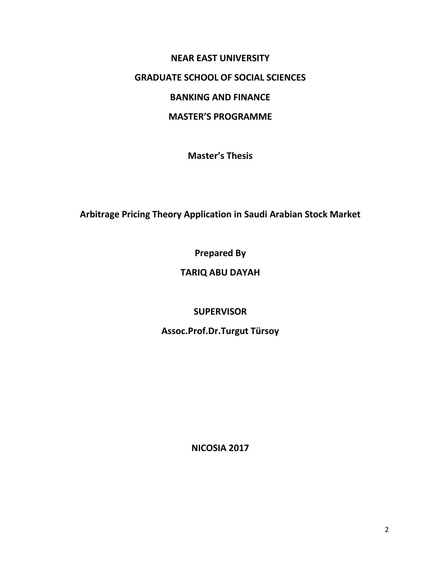# **NEAR EAST UNIVERSITY GRADUATE SCHOOL OF SOCIAL SCIENCES BANKING AND FINANCE MASTER'S PROGRAMME**

**Master's Thesis**

**Arbitrage Pricing Theory Application in Saudi Arabian Stock Market**

**Prepared By**

## **TARIQ ABU DAYAH**

## **SUPERVISOR**

**Assoc.Prof.Dr.Turgut Türsoy**

**NICOSIA 2017**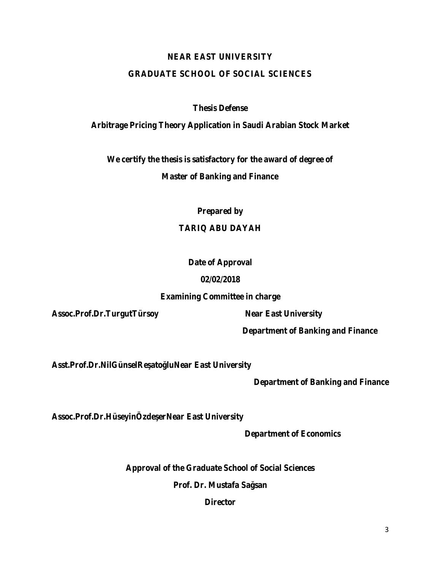#### **NEAR EAST UNIVERSITY**

#### **GRADUATE SCHOOL OF SOCIAL SCIENCES**

**Thesis Defense**

**Arbitrage Pricing Theory Application in Saudi Arabian Stock Market**

**We certify the thesis is satisfactory for the award of degree of**

**Master of Banking and Finance**

**Prepared by**

#### **TARIQ ABU DAYAH**

#### **Date of Approval**

#### **02/02/2018**

#### **Examining Committee in charge**

**Assoc.Prof.Dr.TurgutTürsoy Near East University**

**Department of Banking and Finance**

Asst.Prof.Dr.NilGünselRe ato luNear East University

**Department of Banking and Finance**

Assoc.Prof.Dr.HüseyinÖzde erNear East University

**Department of Economics**

**Approval of the Graduate School of Social Sciences**

**Prof. Dr. Mustafa Sağsan**

**Director**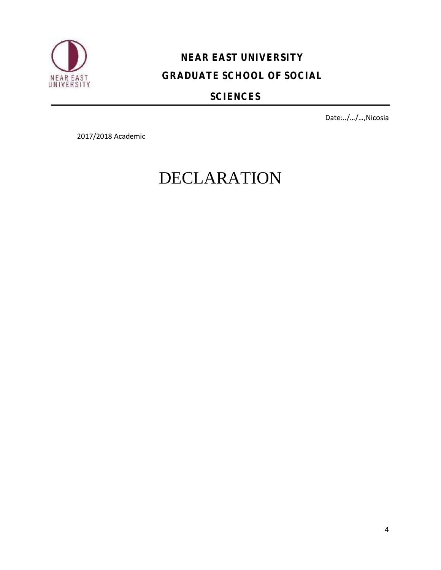

# **NEAR EAST UNIVERSITY GRADUATE SCHOOL OF SOCIAL**

## **SCIENCES**

Date:../…/…,Nicosia

2017/2018 Academic

# DECLARATION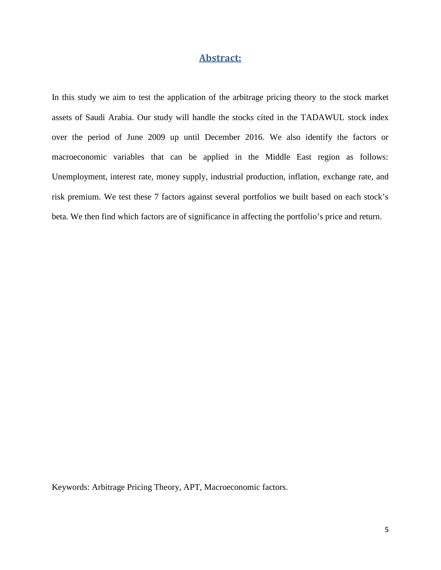#### **Abstract:**

In this study we aim to test the application of the arbitrage pricing theory to the stock market assets of Saudi Arabia. Our study will handle the stocks cited in the TADAWUL stock index over the period of June 2009 up until December 2016. We also identify the factors or macroeconomic variables that can be applied in the Middle East region as follows: Unemployment, interest rate, money supply, industrial production, inflation, exchange rate, and risk premium. We test these 7 factors against several portfolios we built based on each stock's beta. We then find which factors are of significance in affecting the portfolio's price and return.

Keywords: Arbitrage Pricing Theory, APT, Macroeconomic factors.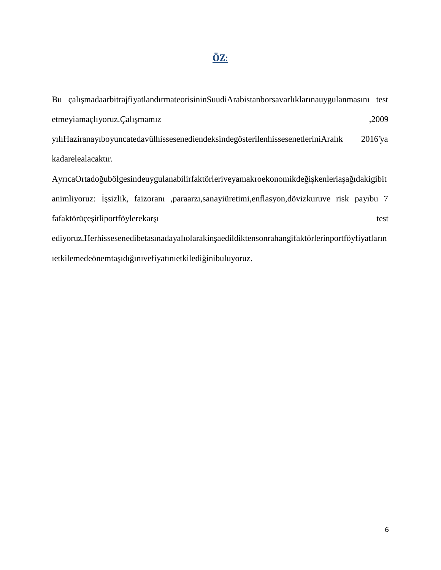### **ÖZ:**

Bu çalışmadaarbitrajfiyatlandırmateorisininSuudiArabistanborsavarlıklarınauygulanmasını test etmeyiamaçlıyoruz.Çalı mamız ,2009 yılıHaziranayıboyuncatedavülhissesenediendeksindegösterilenhissesenetleriniAralık 2016'ya kadarelealacaktır. AyrıcaOrtado ubölgesindeuygulanabilirfaktörleriveyamakroekonomikde i kenleria a ıdakigibit animliyoruz: sizlik, faizoranı ,paraarzı,sanayiüretimi,enflasyon,dövizkuruve risk payıbu 7 fafaktörüçe itliportföylerekar 1 test ediyoruz.Herhissesenedibetasınadayalıolarakin aedildiktensonrahangifaktörlerinportföyfiyatların

ıetkilemedeönemta ıdı inivefiyatınıetkiledi inibuluyoruz.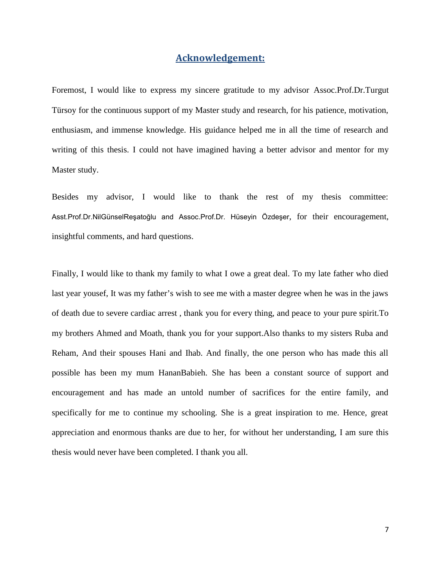#### **Acknowledgement:**

Foremost, I would like to express my sincere gratitude to my advisor Assoc.Prof.Dr.Turgut Türsoy for the continuous support of my Master study and research, for his patience, motivation, enthusiasm, and immense knowledge. His guidance helped me in all the time of research and writing of this thesis. I could not have imagined having a better advisor and mentor for my Master study.

Besides my advisor, I would like to thank the rest of my thesis committee: Asst.Prof.Dr.NilGünselReşatoğlu and Assoc.Prof.Dr. Hüseyin Özdeşer, for their encouragement, insightful comments, and hard questions.

Finally, I would like to thank my family to what I owe a great deal. To my late father who died last year yousef, It was my father's wish to see me with a master degree when he was in the jaws of death due to severe cardiac arrest , thank you for every thing, and peace to your pure spirit.To my brothers Ahmed and Moath, thank you for your support.Also thanks to my sisters Ruba and Reham, And their spouses Hani and Ihab. And finally, the one person who has made this all possible has been my mum HananBabieh. She has been a constant source of support and encouragement and has made an untold number of sacrifices for the entire family, and specifically for me to continue my schooling. She is a great inspiration to me. Hence, great appreciation and enormous thanks are due to her, for without her understanding, I am sure this thesis would never have been completed. I thank you all.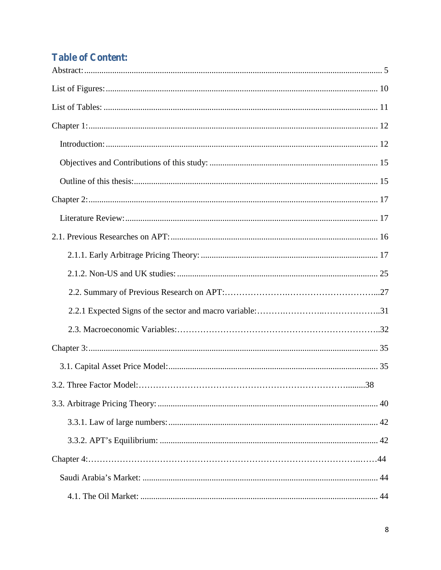# **Table of Content:**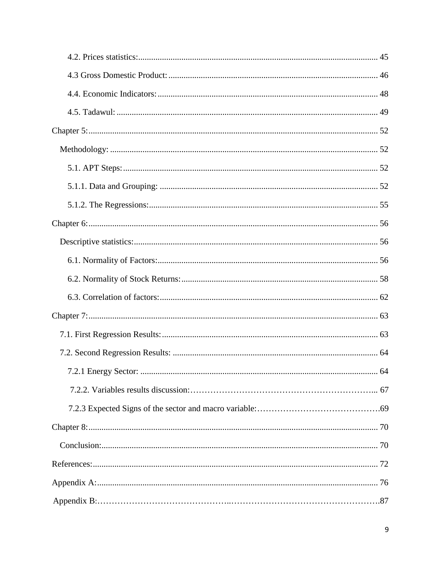| 64 |
|----|
|    |
|    |
|    |
|    |
|    |
|    |
|    |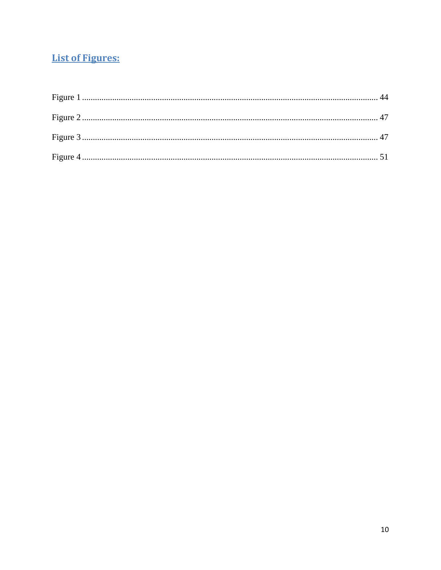## **List of Figures:**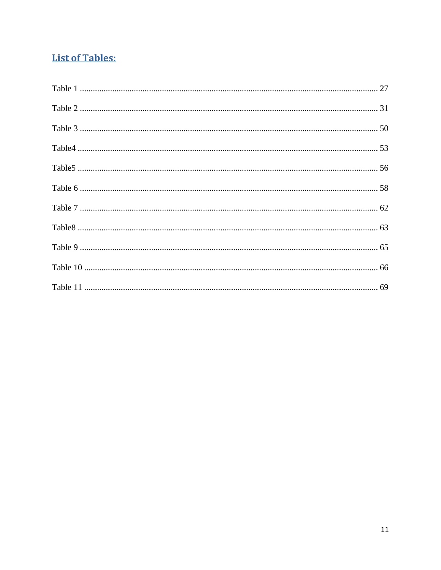## **List of Tables:**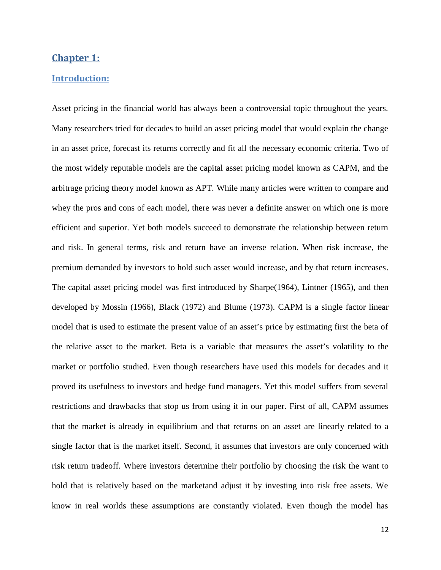#### **Chapter 1:**

#### **Introduction:**

Asset pricing in the financial world has always been a controversial topic throughout the years. Many researchers tried for decades to build an asset pricing model that would explain the change in an asset price, forecast its returns correctly and fit all the necessary economic criteria. Two of the most widely reputable models are the capital asset pricing model known as CAPM, and the arbitrage pricing theory model known as APT. While many articles were written to compare and whey the pros and cons of each model, there was never a definite answer on which one is more efficient and superior. Yet both models succeed to demonstrate the relationship between return and risk. In general terms, risk and return have an inverse relation. When risk increase, the premium demanded by investors to hold such asset would increase, and by that return increases. The capital asset pricing model was first introduced by Sharpe(1964), Lintner (1965), and then developed by Mossin (1966), Black (1972) and Blume (1973). CAPM is a single factor linear model that is used to estimate the present value of an asset's price by estimating first the beta of the relative asset to the market. Beta is a variable that measures the asset's volatility to the market or portfolio studied. Even though researchers have used this models for decades and it proved its usefulness to investors and hedge fund managers. Yet this model suffers from several restrictions and drawbacks that stop us from using it in our paper. First of all, CAPM assumes that the market is already in equilibrium and that returns on an asset are linearly related to a single factor that is the market itself. Second, it assumes that investors are only concerned with risk return tradeoff. Where investors determine their portfolio by choosing the risk the want to hold that is relatively based on the marketand adjust it by investing into risk free assets. We know in real worlds these assumptions are constantly violated. Even though the model has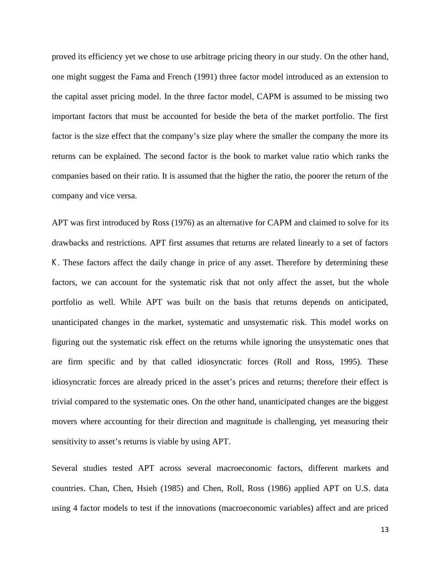proved its efficiency yet we chose to use arbitrage pricing theory in our study. On the other hand, one might suggest the Fama and French (1991) three factor model introduced as an extension to the capital asset pricing model. In the three factor model, CAPM is assumed to be missing two important factors that must be accounted for beside the beta of the market portfolio. The first factor is the size effect that the company's size play where the smaller the company the more its returns can be explained. The second factor is the book to market value ratio which ranks the companies based on their ratio. It is assumed that the higher the ratio, the poorer the return of the company and vice versa.

APT was first introduced by Ross (1976) as an alternative for CAPM and claimed to solve for its drawbacks and restrictions. APT first assumes that returns are related linearly to a set of factors *K*. These factors affect the daily change in price of any asset. Therefore by determining these factors, we can account for the systematic risk that not only affect the asset, but the whole portfolio as well. While APT was built on the basis that returns depends on anticipated, unanticipated changes in the market, systematic and unsystematic risk. This model works on figuring out the systematic risk effect on the returns while ignoring the unsystematic ones that are firm specific and by that called idiosyncratic forces (Roll and Ross, 1995). These idiosyncratic forces are already priced in the asset's prices and returns; therefore their effect is trivial compared to the systematic ones. On the other hand, unanticipated changes are the biggest movers where accounting for their direction and magnitude is challenging, yet measuring their sensitivity to asset's returns is viable by using APT.

Several studies tested APT across several macroeconomic factors, different markets and countries. Chan, Chen, Hsieh (1985) and Chen, Roll, Ross (1986) applied APT on U.S. data using 4 factor models to test if the innovations (macroeconomic variables) affect and are priced

13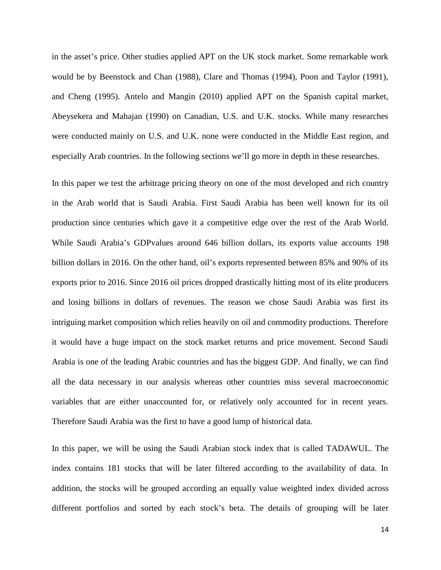in the asset's price. Other studies applied APT on the UK stock market. Some remarkable work would be by Beenstock and Chan (1988), Clare and Thomas (1994), Poon and Taylor (1991), and Cheng (1995). Antelo and Mangin (2010) applied APT on the Spanish capital market, Abeysekera and Mahajan (1990) on Canadian, U.S. and U.K. stocks. While many researches were conducted mainly on U.S. and U.K. none were conducted in the Middle East region, and especially Arab countries. In the following sections we'll go more in depth in these researches.

In this paper we test the arbitrage pricing theory on one of the most developed and rich country in the Arab world that is Saudi Arabia. First Saudi Arabia has been well known for its oil production since centuries which gave it a competitive edge over the rest of the Arab World. While Saudi Arabia's GDPvalues around 646 billion dollars, its exports value accounts 198 billion dollars in 2016. On the other hand, oil's exports represented between 85% and 90% of its exports prior to 2016. Since 2016 oil prices dropped drastically hitting most of its elite producers and losing billions in dollars of revenues. The reason we chose Saudi Arabia was first its intriguing market composition which relies heavily on oil and commodity productions. Therefore it would have a huge impact on the stock market returns and price movement. Second Saudi Arabia is one of the leading Arabic countries and has the biggest GDP. And finally, we can find all the data necessary in our analysis whereas other countries miss several macroeconomic variables that are either unaccounted for, or relatively only accounted for in recent years. Therefore Saudi Arabia was the first to have a good lump of historical data.

In this paper, we will be using the Saudi Arabian stock index that is called TADAWUL. The index contains 181 stocks that will be later filtered according to the availability of data. In addition, the stocks will be grouped according an equally value weighted index divided across different portfolios and sorted by each stock's beta. The details of grouping will be later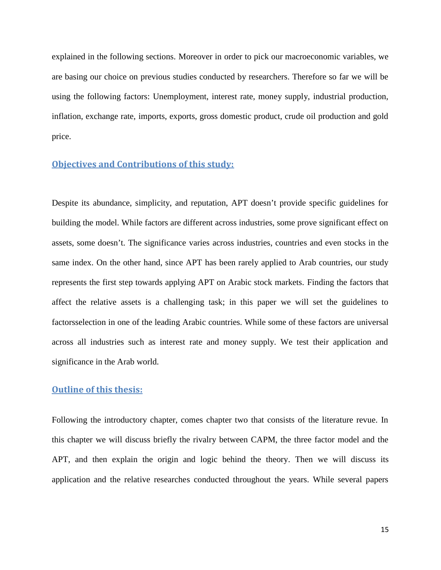explained in the following sections. Moreover in order to pick our macroeconomic variables, we are basing our choice on previous studies conducted by researchers. Therefore so far we will be using the following factors: Unemployment, interest rate, money supply, industrial production, inflation, exchange rate, imports, exports, gross domestic product, crude oil production and gold price.

#### **Objectives and Contributions of this study:**

Despite its abundance, simplicity, and reputation, APT doesn't provide specific guidelines for building the model. While factors are different across industries, some prove significant effect on assets, some doesn't. The significance varies across industries, countries and even stocks in the same index. On the other hand, since APT has been rarely applied to Arab countries, our study represents the first step towards applying APT on Arabic stock markets. Finding the factors that affect the relative assets is a challenging task; in this paper we will set the guidelines to factorsselection in one of the leading Arabic countries. While some of these factors are universal across all industries such as interest rate and money supply. We test their application and significance in the Arab world.

#### **Outline of this thesis:**

Following the introductory chapter, comes chapter two that consists of the literature revue. In this chapter we will discuss briefly the rivalry between CAPM, the three factor model and the APT, and then explain the origin and logic behind the theory. Then we will discuss its application and the relative researches conducted throughout the years. While several papers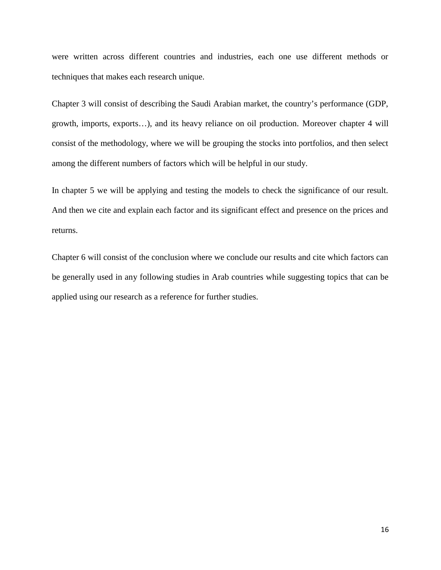were written across different countries and industries, each one use different methods or techniques that makes each research unique.

Chapter 3 will consist of describing the Saudi Arabian market, the country's performance (GDP, growth, imports, exports…), and its heavy reliance on oil production. Moreover chapter 4 will consist of the methodology, where we will be grouping the stocks into portfolios, and then select among the different numbers of factors which will be helpful in our study.

In chapter 5 we will be applying and testing the models to check the significance of our result. And then we cite and explain each factor and its significant effect and presence on the prices and returns.

Chapter 6 will consist of the conclusion where we conclude our results and cite which factors can be generally used in any following studies in Arab countries while suggesting topics that can be applied using our research as a reference for further studies.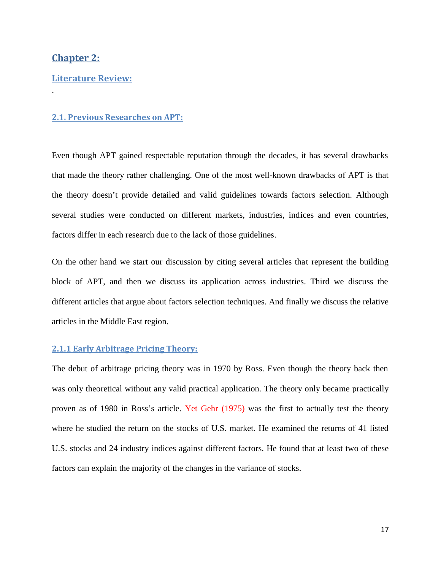#### **Chapter 2:**

.

#### **Literature Review:**

#### **2.1. Previous Researches on APT:**

Even though APT gained respectable reputation through the decades, it has several drawbacks that made the theory rather challenging. One of the most well-known drawbacks of APT is that the theory doesn't provide detailed and valid guidelines towards factors selection. Although several studies were conducted on different markets, industries, indices and even countries, factors differ in each research due to the lack of those guidelines.

On the other hand we start our discussion by citing several articles that represent the building block of APT, and then we discuss its application across industries. Third we discuss the different articles that argue about factors selection techniques. And finally we discuss the relative articles in the Middle East region.

#### **2.1.1 Early Arbitrage Pricing Theory:**

The debut of arbitrage pricing theory was in 1970 by Ross. Even though the theory back then was only theoretical without any valid practical application. The theory only became practically proven as of 1980 in Ross's article. Yet Gehr (1975) was the first to actually test the theory where he studied the return on the stocks of U.S. market. He examined the returns of 41 listed U.S. stocks and 24 industry indices against different factors. He found that at least two of these factors can explain the majority of the changes in the variance of stocks.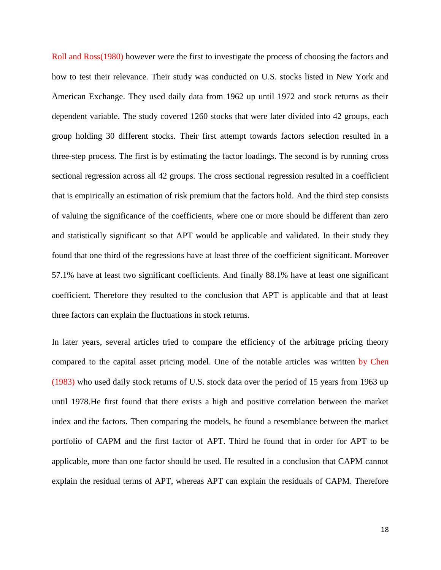Roll and Ross(1980) however were the first to investigate the process of choosing the factors and how to test their relevance. Their study was conducted on U.S. stocks listed in New York and American Exchange. They used daily data from 1962 up until 1972 and stock returns as their dependent variable. The study covered 1260 stocks that were later divided into 42 groups, each group holding 30 different stocks. Their first attempt towards factors selection resulted in a three-step process. The first is by estimating the factor loadings. The second is by running cross sectional regression across all 42 groups. The cross sectional regression resulted in a coefficient that is empirically an estimation of risk premium that the factors hold. And the third step consists of valuing the significance of the coefficients, where one or more should be different than zero and statistically significant so that APT would be applicable and validated. In their study they found that one third of the regressions have at least three of the coefficient significant. Moreover 57.1% have at least two significant coefficients. And finally 88.1% have at least one significant coefficient. Therefore they resulted to the conclusion that APT is applicable and that at least three factors can explain the fluctuations in stock returns.

In later years, several articles tried to compare the efficiency of the arbitrage pricing theory compared to the capital asset pricing model. One of the notable articles was written by Chen (1983) who used daily stock returns of U.S. stock data over the period of 15 years from 1963 up until 1978.He first found that there exists a high and positive correlation between the market index and the factors. Then comparing the models, he found a resemblance between the market portfolio of CAPM and the first factor of APT. Third he found that in order for APT to be applicable, more than one factor should be used. He resulted in a conclusion that CAPM cannot explain the residual terms of APT, whereas APT can explain the residuals of CAPM. Therefore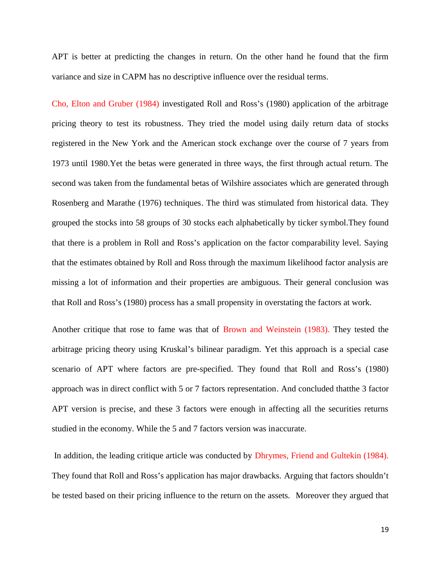APT is better at predicting the changes in return. On the other hand he found that the firm variance and size in CAPM has no descriptive influence over the residual terms.

Cho, Elton and Gruber (1984) investigated Roll and Ross's (1980) application of the arbitrage pricing theory to test its robustness. They tried the model using daily return data of stocks registered in the New York and the American stock exchange over the course of 7 years from 1973 until 1980.Yet the betas were generated in three ways, the first through actual return. The second was taken from the fundamental betas of Wilshire associates which are generated through Rosenberg and Marathe (1976) techniques. The third was stimulated from historical data. They grouped the stocks into 58 groups of 30 stocks each alphabetically by ticker symbol.They found that there is a problem in Roll and Ross's application on the factor comparability level. Saying that the estimates obtained by Roll and Ross through the maximum likelihood factor analysis are missing a lot of information and their properties are ambiguous. Their general conclusion was that Roll and Ross's (1980) process has a small propensity in overstating the factors at work.

Another critique that rose to fame was that of Brown and Weinstein (1983). They tested the arbitrage pricing theory using Kruskal's bilinear paradigm. Yet this approach is a special case scenario of APT where factors are pre-specified. They found that Roll and Ross's (1980) approach was in direct conflict with 5 or 7 factors representation. And concluded thatthe 3 factor APT version is precise, and these 3 factors were enough in affecting all the securities returns studied in the economy. While the 5 and 7 factors version was inaccurate.

In addition, the leading critique article was conducted by Dhrymes, Friend and Gultekin (1984). They found that Roll and Ross's application has major drawbacks. Arguing that factors shouldn't be tested based on their pricing influence to the return on the assets. Moreover they argued that

19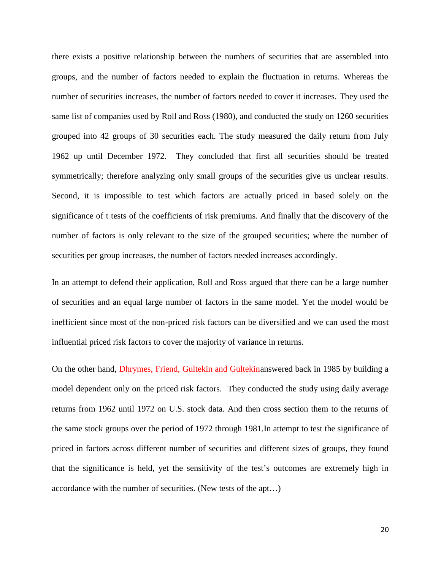there exists a positive relationship between the numbers of securities that are assembled into groups, and the number of factors needed to explain the fluctuation in returns. Whereas the number of securities increases, the number of factors needed to cover it increases. They used the same list of companies used by Roll and Ross (1980), and conducted the study on 1260 securities grouped into 42 groups of 30 securities each. The study measured the daily return from July 1962 up until December 1972. They concluded that first all securities should be treated symmetrically; therefore analyzing only small groups of the securities give us unclear results. Second, it is impossible to test which factors are actually priced in based solely on the significance of t tests of the coefficients of risk premiums. And finally that the discovery of the number of factors is only relevant to the size of the grouped securities; where the number of securities per group increases, the number of factors needed increases accordingly.

In an attempt to defend their application, Roll and Ross argued that there can be a large number of securities and an equal large number of factors in the same model. Yet the model would be inefficient since most of the non-priced risk factors can be diversified and we can used the most influential priced risk factors to cover the majority of variance in returns.

On the other hand, Dhrymes, Friend, Gultekin and Gultekinanswered back in 1985 by building a model dependent only on the priced risk factors. They conducted the study using daily average returns from 1962 until 1972 on U.S. stock data. And then cross section them to the returns of the same stock groups over the period of 1972 through 1981.In attempt to test the significance of priced in factors across different number of securities and different sizes of groups, they found that the significance is held, yet the sensitivity of the test's outcomes are extremely high in accordance with the number of securities. (New tests of the apt…)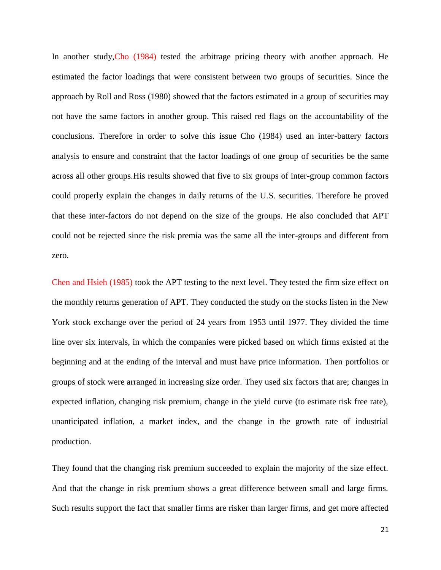In another study, Cho (1984) tested the arbitrage pricing theory with another approach. He estimated the factor loadings that were consistent between two groups of securities. Since the approach by Roll and Ross (1980) showed that the factors estimated in a group of securities may not have the same factors in another group. This raised red flags on the accountability of the conclusions. Therefore in order to solve this issue Cho (1984) used an inter-battery factors analysis to ensure and constraint that the factor loadings of one group of securities be the same across all other groups.His results showed that five to six groups of inter-group common factors could properly explain the changes in daily returns of the U.S. securities. Therefore he proved that these inter-factors do not depend on the size of the groups. He also concluded that APT could not be rejected since the risk premia was the same all the inter-groups and different from zero.

Chen and Hsieh (1985) took the APT testing to the next level. They tested the firm size effect on the monthly returns generation of APT. They conducted the study on the stocks listen in the New York stock exchange over the period of 24 years from 1953 until 1977. They divided the time line over six intervals, in which the companies were picked based on which firms existed at the beginning and at the ending of the interval and must have price information. Then portfolios or groups of stock were arranged in increasing size order. They used six factors that are; changes in expected inflation, changing risk premium, change in the yield curve (to estimate risk free rate), unanticipated inflation, a market index, and the change in the growth rate of industrial production.

They found that the changing risk premium succeeded to explain the majority of the size effect. And that the change in risk premium shows a great difference between small and large firms. Such results support the fact that smaller firms are risker than larger firms, and get more affected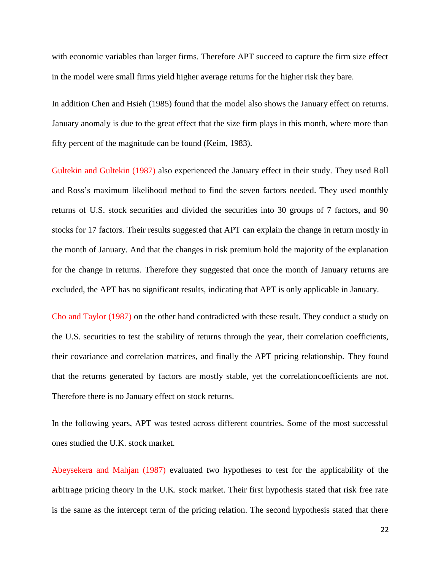with economic variables than larger firms. Therefore APT succeed to capture the firm size effect in the model were small firms yield higher average returns for the higher risk they bare.

In addition Chen and Hsieh (1985) found that the model also shows the January effect on returns. January anomaly is due to the great effect that the size firm plays in this month, where more than fifty percent of the magnitude can be found (Keim, 1983).

Gultekin and Gultekin (1987) also experienced the January effect in their study. They used Roll and Ross's maximum likelihood method to find the seven factors needed. They used monthly returns of U.S. stock securities and divided the securities into 30 groups of 7 factors, and 90 stocks for 17 factors. Their results suggested that APT can explain the change in return mostly in the month of January. And that the changes in risk premium hold the majority of the explanation for the change in returns. Therefore they suggested that once the month of January returns are excluded, the APT has no significant results, indicating that APT is only applicable in January.

Cho and Taylor (1987) on the other hand contradicted with these result. They conduct a study on the U.S. securities to test the stability of returns through the year, their correlation coefficients, their covariance and correlation matrices, and finally the APT pricing relationship. They found that the returns generated by factors are mostly stable, yet the correlationcoefficients are not. Therefore there is no January effect on stock returns.

In the following years, APT was tested across different countries. Some of the most successful ones studied the U.K. stock market.

Abeysekera and Mahjan (1987) evaluated two hypotheses to test for the applicability of the arbitrage pricing theory in the U.K. stock market. Their first hypothesis stated that risk free rate is the same as the intercept term of the pricing relation. The second hypothesis stated that there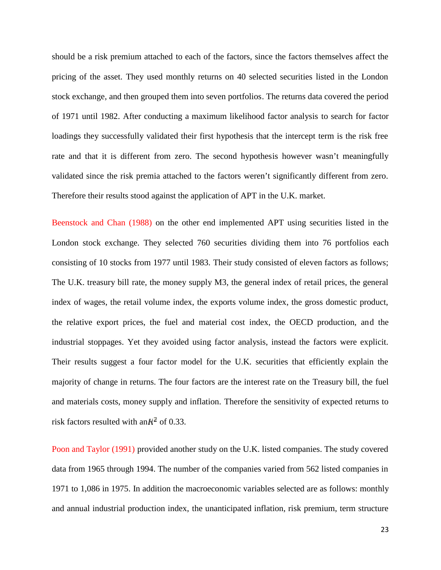should be a risk premium attached to each of the factors, since the factors themselves affect the pricing of the asset. They used monthly returns on 40 selected securities listed in the London stock exchange, and then grouped them into seven portfolios. The returns data covered the period of 1971 until 1982. After conducting a maximum likelihood factor analysis to search for factor loadings they successfully validated their first hypothesis that the intercept term is the risk free rate and that it is different from zero. The second hypothesis however wasn't meaningfully validated since the risk premia attached to the factors weren't significantly different from zero. Therefore their results stood against the application of APT in the U.K. market.

Beenstock and Chan (1988) on the other end implemented APT using securities listed in the London stock exchange. They selected 760 securities dividing them into 76 portfolios each consisting of 10 stocks from 1977 until 1983. Their study consisted of eleven factors as follows; The U.K. treasury bill rate, the money supply M3, the general index of retail prices, the general index of wages, the retail volume index, the exports volume index, the gross domestic product, the relative export prices, the fuel and material cost index, the OECD production, and the industrial stoppages. Yet they avoided using factor analysis, instead the factors were explicit. Their results suggest a four factor model for the U.K. securities that efficiently explain the majority of change in returns. The four factors are the interest rate on the Treasury bill, the fuel and materials costs, money supply and inflation. Therefore the sensitivity of expected returns to risk factors resulted with an  $\mathbb{R}^2$  of 0.33.

Poon and Taylor (1991) provided another study on the U.K. listed companies. The study covered data from 1965 through 1994. The number of the companies varied from 562 listed companies in 1971 to 1,086 in 1975. In addition the macroeconomic variables selected are as follows: monthly and annual industrial production index, the unanticipated inflation, risk premium, term structure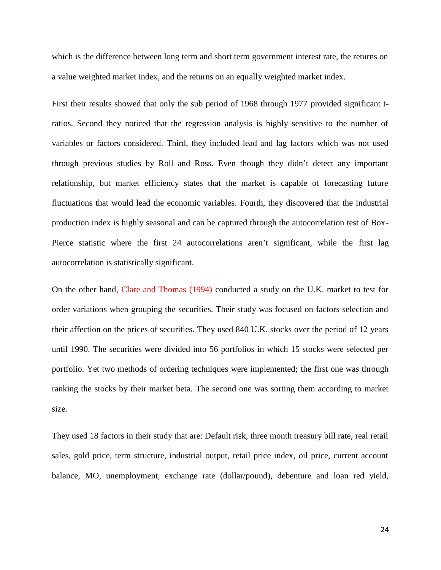which is the difference between long term and short term government interest rate, the returns on a value weighted market index, and the returns on an equally weighted market index.

First their results showed that only the sub period of 1968 through 1977 provided significant tratios. Second they noticed that the regression analysis is highly sensitive to the number of variables or factors considered. Third, they included lead and lag factors which was not used through previous studies by Roll and Ross. Even though they didn't detect any important relationship, but market efficiency states that the market is capable of forecasting future fluctuations that would lead the economic variables. Fourth, they discovered that the industrial production index is highly seasonal and can be captured through the autocorrelation test of Box- Pierce statistic where the first 24 autocorrelations aren't significant, while the first lag autocorrelation is statistically significant.

On the other hand, Clare and Thomas (1994) conducted a study on the U.K. market to test for order variations when grouping the securities. Their study was focused on factors selection and their affection on the prices of securities. They used 840 U.K. stocks over the period of 12 years until 1990. The securities were divided into 56 portfolios in which 15 stocks were selected per portfolio. Yet two methods of ordering techniques were implemented; the first one was through ranking the stocks by their market beta. The second one was sorting them according to market size.

They used 18 factors in their study that are: Default risk, three month treasury bill rate, real retail sales, gold price, term structure, industrial output, retail price index, oil price, current account balance, MO, unemployment, exchange rate (dollar/pound), debenture and loan red yield,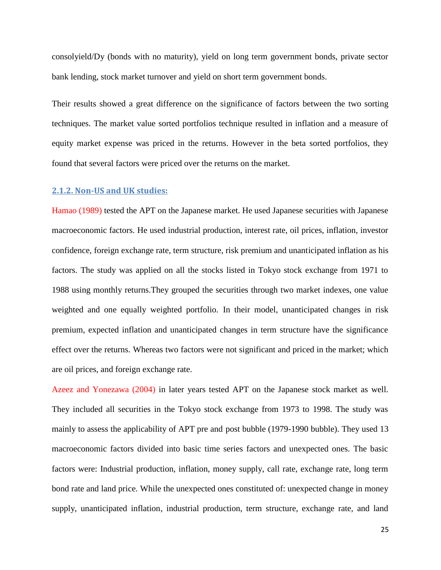consolyield/Dy (bonds with no maturity), yield on long term government bonds, private sector bank lending, stock market turnover and yield on short term government bonds.

Their results showed a great difference on the significance of factors between the two sorting techniques. The market value sorted portfolios technique resulted in inflation and a measure of equity market expense was priced in the returns. However in the beta sorted portfolios, they found that several factors were priced over the returns on the market.

#### **2.1.2. Non-US and UK studies:**

Hamao (1989) tested the APT on the Japanese market. He used Japanese securities with Japanese macroeconomic factors. He used industrial production, interest rate, oil prices, inflation, investor confidence, foreign exchange rate, term structure, risk premium and unanticipated inflation as his factors. The study was applied on all the stocks listed in Tokyo stock exchange from 1971 to 1988 using monthly returns.They grouped the securities through two market indexes, one value weighted and one equally weighted portfolio. In their model, unanticipated changes in risk premium, expected inflation and unanticipated changes in term structure have the significance effect over the returns. Whereas two factors were not significant and priced in the market; which are oil prices, and foreign exchange rate.

Azeez and Yonezawa (2004) in later years tested APT on the Japanese stock market as well. They included all securities in the Tokyo stock exchange from 1973 to 1998. The study was mainly to assess the applicability of APT pre and post bubble (1979-1990 bubble). They used 13 macroeconomic factors divided into basic time series factors and unexpected ones. The basic factors were: Industrial production, inflation, money supply, call rate, exchange rate, long term bond rate and land price. While the unexpected ones constituted of: unexpected change in money supply, unanticipated inflation, industrial production, term structure, exchange rate, and land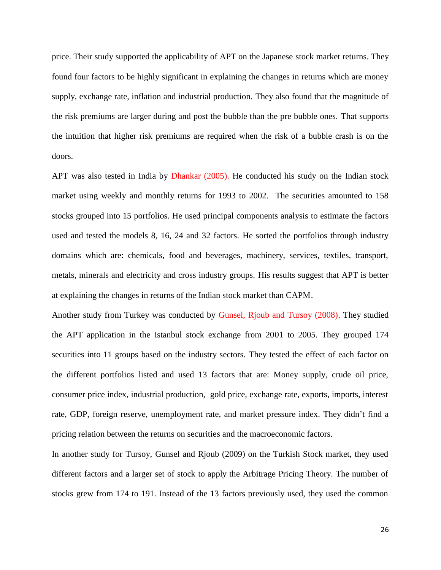price. Their study supported the applicability of APT on the Japanese stock market returns. They found four factors to be highly significant in explaining the changes in returns which are money supply, exchange rate, inflation and industrial production. They also found that the magnitude of the risk premiums are larger during and post the bubble than the pre bubble ones. That supports the intuition that higher risk premiums are required when the risk of a bubble crash is on the doors.

APT was also tested in India by Dhankar (2005). He conducted his study on the Indian stock market using weekly and monthly returns for 1993 to 2002. The securities amounted to 158 stocks grouped into 15 portfolios. He used principal components analysis to estimate the factors used and tested the models 8, 16, 24 and 32 factors. He sorted the portfolios through industry domains which are: chemicals, food and beverages, machinery, services, textiles, transport, metals, minerals and electricity and cross industry groups. His results suggest that APT is better at explaining the changes in returns of the Indian stock market than CAPM.

Another study from Turkey was conducted by Gunsel, Rjoub and Tursoy (2008). They studied the APT application in the Istanbul stock exchange from 2001 to 2005. They grouped 174 securities into 11 groups based on the industry sectors. They tested the effect of each factor on the different portfolios listed and used 13 factors that are: Money supply, crude oil price, consumer price index, industrial production, gold price, exchange rate, exports, imports, interest rate, GDP, foreign reserve, unemployment rate, and market pressure index. They didn't find a pricing relation between the returns on securities and the macroeconomic factors.

In another study for Tursoy, Gunsel and Rjoub (2009) on the Turkish Stock market, they used different factors and a larger set of stock to apply the Arbitrage Pricing Theory. The number of stocks grew from 174 to 191. Instead of the 13 factors previously used, they used the common

26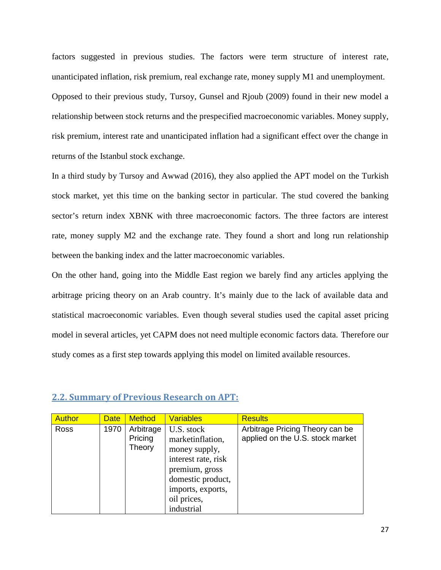factors suggested in previous studies. The factors were term structure of interest rate, unanticipated inflation, risk premium, real exchange rate, money supply M1 and unemployment. Opposed to their previous study, Tursoy, Gunsel and Rjoub (2009) found in their new model a relationship between stock returns and the prespecified macroeconomic variables. Money supply, risk premium, interest rate and unanticipated inflation had a significant effect over the change in returns of the Istanbul stock exchange.

In a third study by Tursoy and Awwad (2016), they also applied the APT model on the Turkish stock market, yet this time on the banking sector in particular. The stud covered the banking sector's return index XBNK with three macroeconomic factors. The three factors are interest rate, money supply M2 and the exchange rate. They found a short and long run relationship between the banking index and the latter macroeconomic variables.

On the other hand, going into the Middle East region we barely find any articles applying the arbitrage pricing theory on an Arab country. It's mainly due to the lack of available data and statistical macroeconomic variables. Even though several studies used the capital asset pricing model in several articles, yet CAPM does not need multiple economic factors data. Therefore our study comes as a first step towards applying this model on limited available resources.

| <b>Author</b> | <b>Date</b> | <b>Method</b>                  | <b>Variables</b>                                                                                                                                                | <b>Results</b>                                                      |
|---------------|-------------|--------------------------------|-----------------------------------------------------------------------------------------------------------------------------------------------------------------|---------------------------------------------------------------------|
| Ross          | 1970        | Arbitrage<br>Pricing<br>Theory | U.S. stock<br>marketinflation,<br>money supply,<br>interest rate, risk<br>premium, gross<br>domestic product,<br>imports, exports,<br>oil prices,<br>industrial | Arbitrage Pricing Theory can be<br>applied on the U.S. stock market |

#### **2.2. Summary of Previous Research on APT:**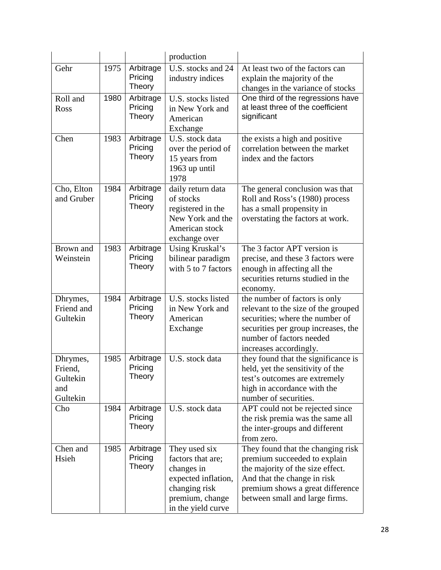|                                                    |      |                                       | production                                                                                                                                                                                                                                       |                                                                                                                                                                                                            |
|----------------------------------------------------|------|---------------------------------------|--------------------------------------------------------------------------------------------------------------------------------------------------------------------------------------------------------------------------------------------------|------------------------------------------------------------------------------------------------------------------------------------------------------------------------------------------------------------|
| Gehr                                               | 1975 | Arbitrage<br>Pricing<br>Theory        | U.S. stocks and 24<br>At least two of the factors can<br>industry indices<br>explain the majority of the<br>changes in the variance of stocks                                                                                                    |                                                                                                                                                                                                            |
| Roll and<br>Ross                                   | 1980 | Arbitrage<br>Pricing<br>Theory        | One third of the regressions have<br>U.S. stocks listed<br>at least three of the coefficient<br>in New York and<br>significant<br>American<br>Exchange                                                                                           |                                                                                                                                                                                                            |
| Chen                                               | 1983 | Arbitrage<br>Pricing<br>Theory        | U.S. stock data<br>over the period of<br>15 years from<br>1963 up until<br>1978                                                                                                                                                                  | the exists a high and positive<br>correlation between the market<br>index and the factors                                                                                                                  |
| Cho, Elton<br>and Gruber                           | 1984 | Arbitrage<br>Pricing<br><b>Theory</b> | daily return data<br>The general conclusion was that<br>of stocks<br>Roll and Ross's (1980) process<br>registered in the<br>has a small propensity in<br>New York and the<br>overstating the factors at work.<br>American stock<br>exchange over |                                                                                                                                                                                                            |
| Brown and<br>Weinstein                             | 1983 | Arbitrage<br>Pricing<br>Theory        | Using Kruskal's<br>bilinear paradigm<br>with 5 to 7 factors                                                                                                                                                                                      | The 3 factor APT version is<br>precise, and these 3 factors were<br>enough in affecting all the<br>securities returns studied in the<br>economy.                                                           |
| Dhrymes,<br>Friend and<br>Gultekin                 | 1984 | Arbitrage<br>Pricing<br>Theory        | U.S. stocks listed<br>in New York and<br>American<br>Exchange                                                                                                                                                                                    | the number of factors is only<br>relevant to the size of the grouped<br>securities; where the number of<br>securities per group increases, the<br>number of factors needed<br>increases accordingly.       |
| Dhrymes,<br>Friend,<br>Gultekin<br>and<br>Gultekin | 1985 | Arbitrage<br>Pricing<br>Theory        | U.S. stock data                                                                                                                                                                                                                                  | they found that the significance is<br>held, yet the sensitivity of the<br>test's outcomes are extremely<br>high in accordance with the<br>number of securities.                                           |
| Cho                                                | 1984 | Arbitrage<br>Pricing<br>Theory        | U.S. stock data                                                                                                                                                                                                                                  | APT could not be rejected since<br>the risk premia was the same all<br>the inter-groups and different<br>from zero.                                                                                        |
| Chen and<br>Hsieh                                  | 1985 | Arbitrage<br>Pricing<br>Theory        | They used six<br>factors that are;<br>changes in<br>expected inflation,<br>changing risk<br>premium, change<br>in the yield curve                                                                                                                | They found that the changing risk<br>premium succeeded to explain<br>the majority of the size effect.<br>And that the change in risk<br>premium shows a great difference<br>between small and large firms. |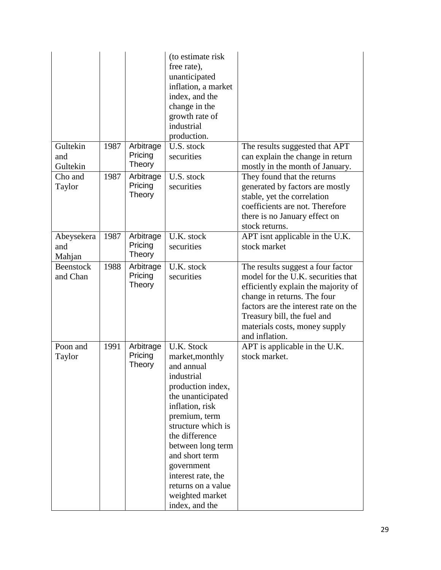|                             |      |                                | (to estimate risk)<br>free rate),<br>unanticipated<br>inflation, a market<br>index, and the<br>change in the<br>growth rate of<br>industrial<br>production.                                                                                                                                                                  |                                                                                                                                                                                                                                                                         |
|-----------------------------|------|--------------------------------|------------------------------------------------------------------------------------------------------------------------------------------------------------------------------------------------------------------------------------------------------------------------------------------------------------------------------|-------------------------------------------------------------------------------------------------------------------------------------------------------------------------------------------------------------------------------------------------------------------------|
| Gultekin<br>and<br>Gultekin | 1987 | Arbitrage<br>Pricing<br>Theory | U.S. stock<br>securities                                                                                                                                                                                                                                                                                                     | The results suggested that APT<br>can explain the change in return<br>mostly in the month of January.                                                                                                                                                                   |
| Cho and<br>Taylor           | 1987 | Arbitrage<br>Pricing<br>Theory | U.S. stock<br>securities                                                                                                                                                                                                                                                                                                     | They found that the returns<br>generated by factors are mostly<br>stable, yet the correlation<br>coefficients are not. Therefore<br>there is no January effect on<br>stock returns.                                                                                     |
| Abeysekera<br>and<br>Mahjan | 1987 | Arbitrage<br>Pricing<br>Theory | U.K. stock<br>securities                                                                                                                                                                                                                                                                                                     | APT isnt applicable in the U.K.<br>stock market                                                                                                                                                                                                                         |
| Beenstock<br>and Chan       | 1988 | Arbitrage<br>Pricing<br>Theory | U.K. stock<br>securities                                                                                                                                                                                                                                                                                                     | The results suggest a four factor<br>model for the U.K. securities that<br>efficiently explain the majority of<br>change in returns. The four<br>factors are the interest rate on the<br>Treasury bill, the fuel and<br>materials costs, money supply<br>and inflation. |
| Poon and<br>Taylor          | 1991 | Arbitrage<br>Pricing<br>Theory | <b>U.K. Stock</b><br>market, monthly<br>and annual<br>industrial<br>production index,<br>the unanticipated<br>inflation, risk<br>premium, term<br>structure which is<br>the difference<br>between long term<br>and short term<br>government<br>interest rate, the<br>returns on a value<br>weighted market<br>index, and the | APT is applicable in the U.K.<br>stock market.                                                                                                                                                                                                                          |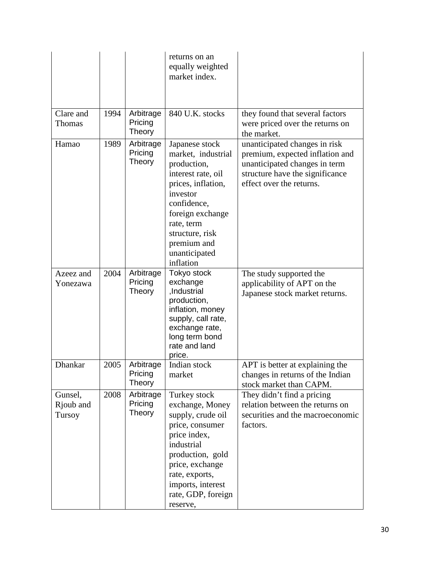|                                |      |                                | returns on an<br>equally weighted<br>market index.                                                                                                                                                                           |                                                                                                                                                                  |
|--------------------------------|------|--------------------------------|------------------------------------------------------------------------------------------------------------------------------------------------------------------------------------------------------------------------------|------------------------------------------------------------------------------------------------------------------------------------------------------------------|
| Clare and<br>Thomas            | 1994 | Arbitrage<br>Pricing<br>Theory | 840 U.K. stocks                                                                                                                                                                                                              | they found that several factors<br>were priced over the returns on<br>the market.                                                                                |
| Hamao                          | 1989 | Arbitrage<br>Pricing<br>Theory | Japanese stock<br>market, industrial<br>production,<br>interest rate, oil<br>prices, inflation,<br>investor<br>confidence,<br>foreign exchange<br>rate, term<br>structure, risk<br>premium and<br>unanticipated<br>inflation | unanticipated changes in risk<br>premium, expected inflation and<br>unanticipated changes in term<br>structure have the significance<br>effect over the returns. |
| Azeez and<br>Yonezawa          | 2004 | Arbitrage<br>Pricing<br>Theory | Tokyo stock<br>exchange<br>,Industrial<br>production,<br>inflation, money<br>supply, call rate,<br>exchange rate,<br>long term bond<br>rate and land<br>price.                                                               | The study supported the<br>applicability of APT on the<br>Japanese stock market returns.                                                                         |
| Dhankar                        | 2005 | Arbitrage<br>Pricing<br>Theory | Indian stock<br>market                                                                                                                                                                                                       | APT is better at explaining the<br>changes in returns of the Indian<br>stock market than CAPM.                                                                   |
| Gunsel,<br>Rjoub and<br>Tursoy | 2008 | Arbitrage<br>Pricing<br>Theory | Turkey stock<br>exchange, Money<br>supply, crude oil<br>price, consumer<br>price index,<br>industrial<br>production, gold<br>price, exchange<br>rate, exports,<br>imports, interest<br>rate, GDP, foreign<br>reserve,        | They didn't find a pricing<br>relation between the returns on<br>securities and the macroeconomic<br>factors.                                                    |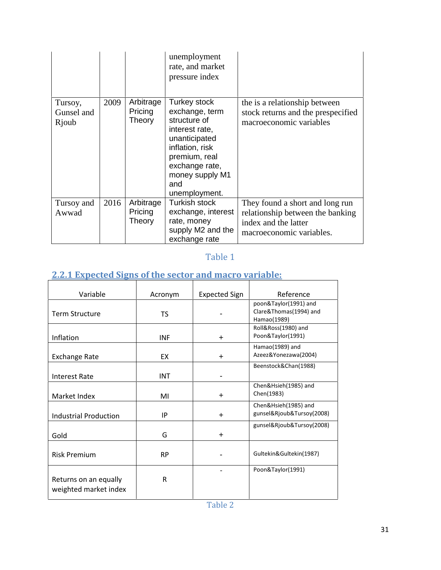|                                |      |                                | unemployment<br>rate, and market<br>pressure index                                                                                                                                 |                                                                                                                         |
|--------------------------------|------|--------------------------------|------------------------------------------------------------------------------------------------------------------------------------------------------------------------------------|-------------------------------------------------------------------------------------------------------------------------|
| Tursoy,<br>Gunsel and<br>Rjoub | 2009 | Arbitrage<br>Pricing<br>Theory | Turkey stock<br>exchange, term<br>structure of<br>interest rate,<br>unanticipated<br>inflation, risk<br>premium, real<br>exchange rate,<br>money supply M1<br>and<br>unemployment. | the is a relationship between<br>stock returns and the prespecified<br>macroeconomic variables                          |
| Tursoy and<br>Awwad            | 2016 | Arbitrage<br>Pricing<br>Theory | Turkish stock<br>exchange, interest<br>rate, money<br>supply M2 and the<br>exchange rate                                                                                           | They found a short and long run<br>relationship between the banking<br>index and the latter<br>macroeconomic variables. |

## Table 1

# **2.2.1 Expected Signs of the sector and macro variable:**

| Variable                                       | Acronym    | <b>Expected Sign</b> | Reference                                                      |
|------------------------------------------------|------------|----------------------|----------------------------------------------------------------|
| <b>Term Structure</b>                          | TS.        |                      | poon&Taylor(1991) and<br>Clare&Thomas(1994) and<br>Hamao(1989) |
| Inflation                                      | <b>INF</b> | $\div$               | Roll&Ross(1980) and<br>Poon&Taylor(1991)                       |
| <b>Exchange Rate</b>                           | <b>FX</b>  | $\div$               | Hamao(1989) and<br>Azeez&Yonezawa(2004)                        |
| Interest Rate                                  | <b>INT</b> |                      | Beenstock&Chan(1988)                                           |
| Market Index                                   | MI         | $\ddot{}$            | Chen&Hsieh(1985) and<br>Chen(1983)                             |
| <b>Industrial Production</b>                   | IP         | $\div$               | Chen&Hsieh(1985) and<br>gunsel&Rjoub&Tursoy(2008)              |
| Gold                                           | G          | $\div$               | gunsel&Rjoub&Tursoy(2008)                                      |
| <b>Risk Premium</b>                            | <b>RP</b>  |                      | Gultekin&Gultekin(1987)                                        |
| Returns on an equally<br>weighted market index | R          |                      | Poon&Taylor(1991)                                              |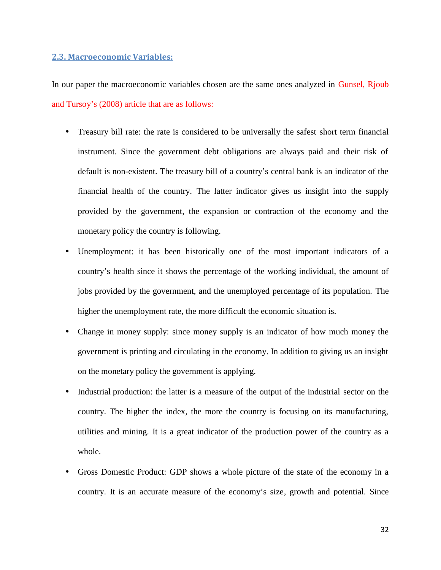#### **2.3. Macroeconomic Variables:**

In our paper the macroeconomic variables chosen are the same ones analyzed in Gunsel, Rjoub and Tursoy's (2008) article that are as follows:

- Treasury bill rate: the rate is considered to be universally the safest short term financial instrument. Since the government debt obligations are always paid and their risk of default is non-existent. The treasury bill of a country's central bank is an indicator of the financial health of the country. The latter indicator gives us insight into the supply provided by the government, the expansion or contraction of the economy and the monetary policy the country is following.
- Unemployment: it has been historically one of the most important indicators of a country's health since it shows the percentage of the working individual, the amount of jobs provided by the government, and the unemployed percentage of its population. The higher the unemployment rate, the more difficult the economic situation is.
- Change in money supply: since money supply is an indicator of how much money the government is printing and circulating in the economy. In addition to giving us an insight on the monetary policy the government is applying.
- Industrial production: the latter is a measure of the output of the industrial sector on the country. The higher the index, the more the country is focusing on its manufacturing, utilities and mining. It is a great indicator of the production power of the country as a whole.
- Gross Domestic Product: GDP shows a whole picture of the state of the economy in a country. It is an accurate measure of the economy's size, growth and potential. Since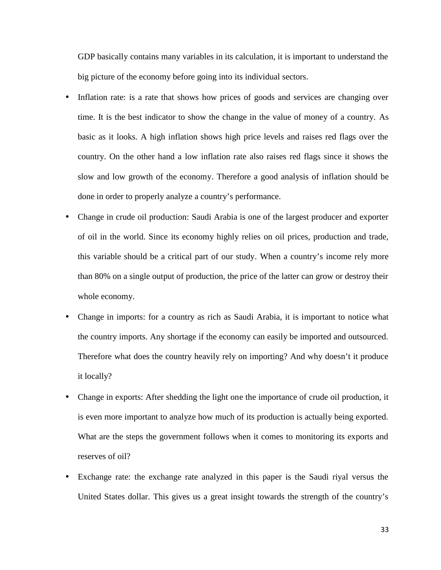GDP basically contains many variables in its calculation, it is important to understand the big picture of the economy before going into its individual sectors.

- Inflation rate: is a rate that shows how prices of goods and services are changing over time. It is the best indicator to show the change in the value of money of a country. As basic as it looks. A high inflation shows high price levels and raises red flags over the country. On the other hand a low inflation rate also raises red flags since it shows the slow and low growth of the economy. Therefore a good analysis of inflation should be done in order to properly analyze a country's performance.
- Change in crude oil production: Saudi Arabia is one of the largest producer and exporter of oil in the world. Since its economy highly relies on oil prices, production and trade, this variable should be a critical part of our study. When a country's income rely more than 80% on a single output of production, the price of the latter can grow or destroy their whole economy.
- Change in imports: for a country as rich as Saudi Arabia, it is important to notice what the country imports. Any shortage if the economy can easily be imported and outsourced. Therefore what does the country heavily rely on importing? And why doesn't it produce it locally?
- Change in exports: After shedding the light one the importance of crude oil production, it is even more important to analyze how much of its production is actually being exported. What are the steps the government follows when it comes to monitoring its exports and reserves of oil?
- Exchange rate: the exchange rate analyzed in this paper is the Saudi riyal versus the United States dollar. This gives us a great insight towards the strength of the country's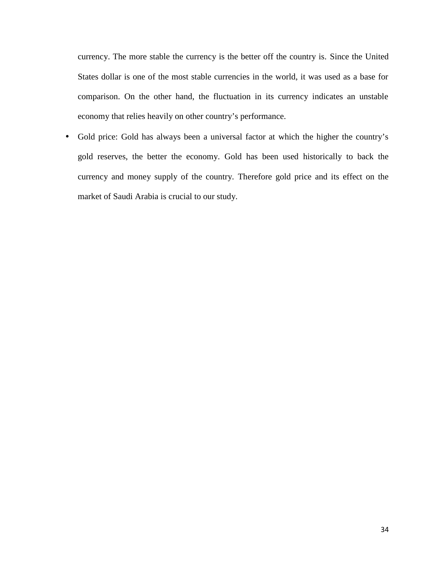currency. The more stable the currency is the better off the country is. Since the United States dollar is one of the most stable currencies in the world, it was used as a base for comparison. On the other hand, the fluctuation in its currency indicates an unstable economy that relies heavily on other country's performance.

 Gold price: Gold has always been a universal factor at which the higher the country's gold reserves, the better the economy. Gold has been used historically to back the currency and money supply of the country. Therefore gold price and its effect on the market of Saudi Arabia is crucial to our study.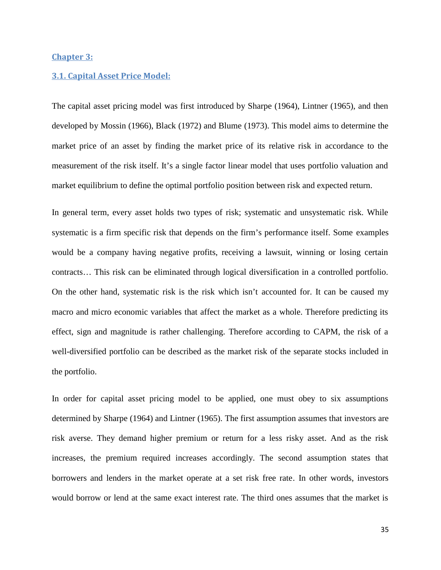#### **Chapter 3:**

#### **3.1. Capital Asset Price Model:**

The capital asset pricing model was first introduced by Sharpe (1964), Lintner (1965), and then developed by Mossin (1966), Black (1972) and Blume (1973). This model aims to determine the market price of an asset by finding the market price of its relative risk in accordance to the measurement of the risk itself. It's a single factor linear model that uses portfolio valuation and market equilibrium to define the optimal portfolio position between risk and expected return.

In general term, every asset holds two types of risk; systematic and unsystematic risk. While systematic is a firm specific risk that depends on the firm's performance itself. Some examples would be a company having negative profits, receiving a lawsuit, winning or losing certain contracts… This risk can be eliminated through logical diversification in a controlled portfolio. On the other hand, systematic risk is the risk which isn't accounted for. It can be caused my macro and micro economic variables that affect the market as a whole. Therefore predicting its effect, sign and magnitude is rather challenging. Therefore according to CAPM, the risk of a well-diversified portfolio can be described as the market risk of the separate stocks included in the portfolio.

In order for capital asset pricing model to be applied, one must obey to six assumptions determined by Sharpe (1964) and Lintner (1965). The first assumption assumes that investors are risk averse. They demand higher premium or return for a less risky asset. And as the risk increases, the premium required increases accordingly. The second assumption states that borrowers and lenders in the market operate at a set risk free rate. In other words, investors would borrow or lend at the same exact interest rate. The third ones assumes that the market is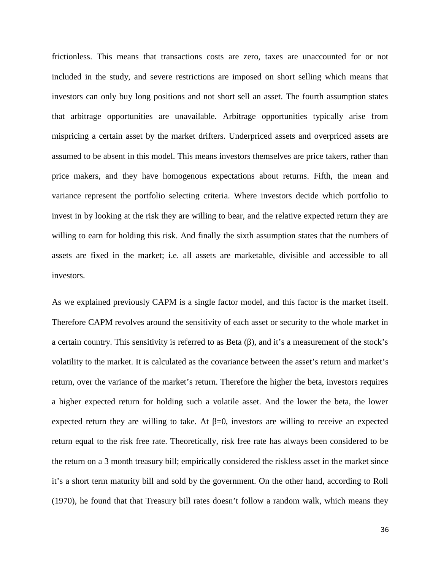frictionless. This means that transactions costs are zero, taxes are unaccounted for or not included in the study, and severe restrictions are imposed on short selling which means that investors can only buy long positions and not short sell an asset. The fourth assumption states that arbitrage opportunities are unavailable. Arbitrage opportunities typically arise from mispricing a certain asset by the market drifters. Underpriced assets and overpriced assets are assumed to be absent in this model. This means investors themselves are price takers, rather than price makers, and they have homogenous expectations about returns. Fifth, the mean and variance represent the portfolio selecting criteria. Where investors decide which portfolio to invest in by looking at the risk they are willing to bear, and the relative expected return they are willing to earn for holding this risk. And finally the sixth assumption states that the numbers of assets are fixed in the market; i.e. all assets are marketable, divisible and accessible to all investors.

As we explained previously CAPM is a single factor model, and this factor is the market itself. Therefore CAPM revolves around the sensitivity of each asset or security to the whole market in a certain country. This sensitivity is referred to as Beta (), and it's a measurement of the stock's volatility to the market. It is calculated as the covariance between the asset's return and market's return, over the variance of the market's return. Therefore the higher the beta, investors requires a higher expected return for holding such a volatile asset. And the lower the beta, the lower expected return they are willing to take. At  $=0$ , investors are willing to receive an expected return equal to the risk free rate. Theoretically, risk free rate has always been considered to be the return on a 3 month treasury bill; empirically considered the riskless asset in the market since it's a short term maturity bill and sold by the government. On the other hand, according to Roll (1970), he found that that Treasury bill rates doesn't follow a random walk, which means they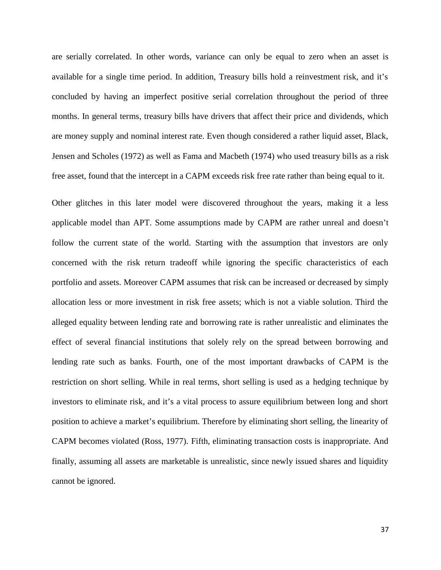are serially correlated. In other words, variance can only be equal to zero when an asset is available for a single time period. In addition, Treasury bills hold a reinvestment risk, and it's concluded by having an imperfect positive serial correlation throughout the period of three months. In general terms, treasury bills have drivers that affect their price and dividends, which are money supply and nominal interest rate. Even though considered a rather liquid asset, Black, Jensen and Scholes (1972) as well as Fama and Macbeth (1974) who used treasury bills as a risk free asset, found that the intercept in a CAPM exceeds risk free rate rather than being equal to it.

Other glitches in this later model were discovered throughout the years, making it a less applicable model than APT. Some assumptions made by CAPM are rather unreal and doesn't follow the current state of the world. Starting with the assumption that investors are only concerned with the risk return tradeoff while ignoring the specific characteristics of each portfolio and assets. Moreover CAPM assumes that risk can be increased or decreased by simply allocation less or more investment in risk free assets; which is not a viable solution. Third the alleged equality between lending rate and borrowing rate is rather unrealistic and eliminates the effect of several financial institutions that solely rely on the spread between borrowing and lending rate such as banks. Fourth, one of the most important drawbacks of CAPM is the restriction on short selling. While in real terms, short selling is used as a hedging technique by investors to eliminate risk, and it's a vital process to assure equilibrium between long and short position to achieve a market's equilibrium. Therefore by eliminating short selling, the linearity of CAPM becomes violated (Ross, 1977). Fifth, eliminating transaction costs is inappropriate. And finally, assuming all assets are marketable is unrealistic, since newly issued shares and liquidity cannot be ignored.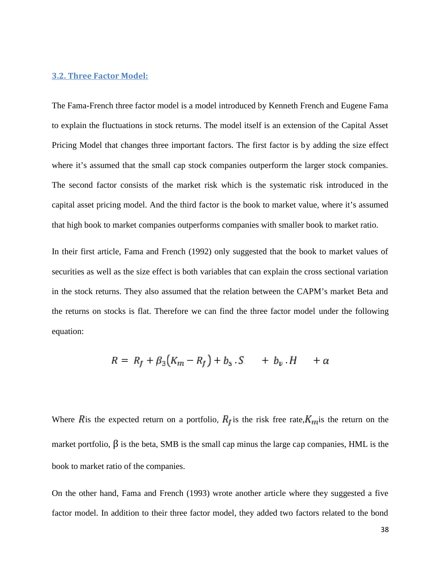#### **3.2. Three Factor Model:**

The Fama-French three factor model is a model introduced by Kenneth French and Eugene Fama to explain the fluctuations in stock returns. The model itself is an extension of the Capital Asset Pricing Model that changes three important factors. The first factor is by adding the size effect where it's assumed that the small cap stock companies outperform the larger stock companies. The second factor consists of the market risk which is the systematic risk introduced in the capital asset pricing model. And the third factor is the book to market value, where it's assumed that high book to market companies outperforms companies with smaller book to market ratio.

In their first article, Fama and French (1992) only suggested that the book to market values of securities as well as the size effect is both variables that can explain the cross sectional variation in the stock returns. They also assumed that the relation between the CAPM's market Beta and the returns on stocks is flat. Therefore we can find the three factor model under the following equation:

$$
R = R_f + \beta_3(K_m - R_f) + b_S \cdot S \quad + b_v \cdot H \quad + \alpha
$$

Where Ris the expected return on a portfolio,  $R_I$  is the risk free rate,  $K_{II}$  is the return on the market portfolio,  $\beta$  is the beta, SMB is the small cap minus the large cap companies, HML is the book to market ratio of the companies.

On the other hand, Fama and French (1993) wrote another article where they suggested a five factor model. In addition to their three factor model, they added two factors related to the bond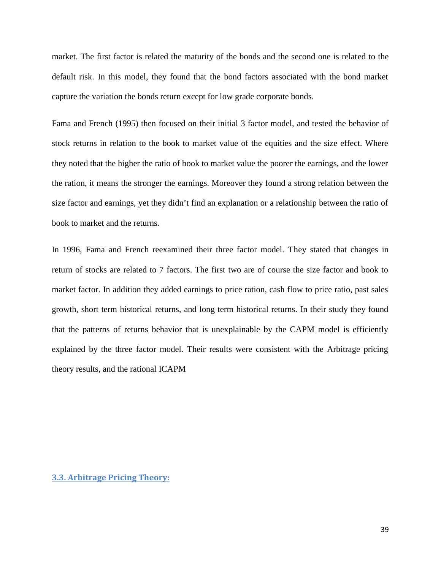market. The first factor is related the maturity of the bonds and the second one is related to the default risk. In this model, they found that the bond factors associated with the bond market capture the variation the bonds return except for low grade corporate bonds.

Fama and French (1995) then focused on their initial 3 factor model, and tested the behavior of stock returns in relation to the book to market value of the equities and the size effect. Where they noted that the higher the ratio of book to market value the poorer the earnings, and the lower the ration, it means the stronger the earnings. Moreover they found a strong relation between the size factor and earnings, yet they didn't find an explanation or a relationship between the ratio of book to market and the returns.

In 1996, Fama and French reexamined their three factor model. They stated that changes in return of stocks are related to 7 factors. The first two are of course the size factor and book to market factor. In addition they added earnings to price ration, cash flow to price ratio, past sales growth, short term historical returns, and long term historical returns. In their study they found that the patterns of returns behavior that is unexplainable by the CAPM model is efficiently explained by the three factor model. Their results were consistent with the Arbitrage pricing theory results, and the rational ICAPM

#### **3.3. Arbitrage Pricing Theory:**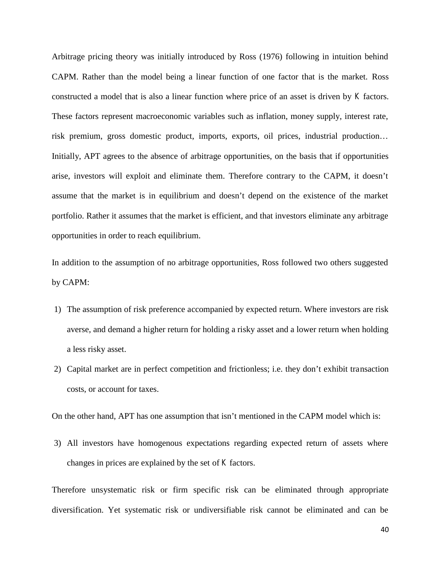Arbitrage pricing theory was initially introduced by Ross (1976) following in intuition behind CAPM. Rather than the model being a linear function of one factor that is the market. Ross constructed a model that is also a linear function where price of an asset is driven by *K* factors. These factors represent macroeconomic variables such as inflation, money supply, interest rate, risk premium, gross domestic product, imports, exports, oil prices, industrial production… Initially, APT agrees to the absence of arbitrage opportunities, on the basis that if opportunities arise, investors will exploit and eliminate them. Therefore contrary to the CAPM, it doesn't assume that the market is in equilibrium and doesn't depend on the existence of the market portfolio. Rather it assumes that the market is efficient, and that investors eliminate any arbitrage opportunities in order to reach equilibrium.

In addition to the assumption of no arbitrage opportunities, Ross followed two others suggested by CAPM:

- 1) The assumption of risk preference accompanied by expected return. Where investors are risk averse, and demand a higher return for holding a risky asset and a lower return when holding a less risky asset.
- 2) Capital market are in perfect competition and frictionless; i.e. they don't exhibit transaction costs, or account for taxes.

On the other hand, APT has one assumption that isn't mentioned in the CAPM model which is:

3) All investors have homogenous expectations regarding expected return of assets where changes in prices are explained by the set of *K* factors.

Therefore unsystematic risk or firm specific risk can be eliminated through appropriate diversification. Yet systematic risk or undiversifiable risk cannot be eliminated and can be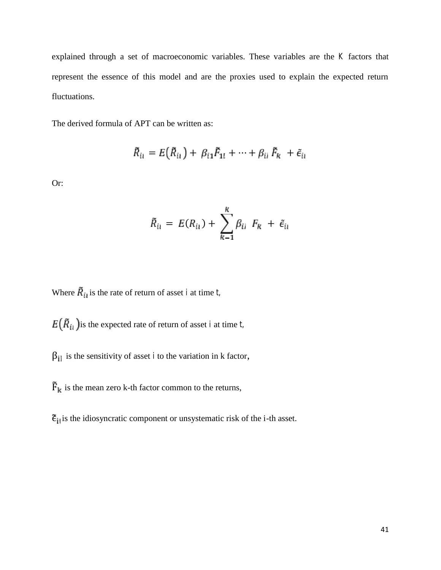explained through a set of macroeconomic variables. These variables are the *K* factors that represent the essence of this model and are the proxies used to explain the expected return fluctuations.

The derived formula of APT can be written as:

$$
\tilde{R}_{li} = E(\tilde{R}_{li}) + \beta_{li} \tilde{F}_{1l} + \cdots + \beta_{li} \tilde{F}_{ik} + \tilde{\epsilon}_{li}
$$

Or:

$$
\tilde{R}_{ii} = E(R_{ii}) + \sum_{k=1}^k \beta_{ii} F_k + \tilde{\epsilon}_{ii}
$$

Where  $\overline{R}_{i,j}$  is the rate of return of asset *i* at time *t*,

 $E(\tilde{R}_{ii})$  is the expected rate of return of asset *i* at time *t*,

 $\beta_{\text{H}}$  is the sensitivity of asset *i* to the variation in k factor,

 $\overline{F}_k$  is the mean zero k-th factor common to the returns,

 $\tilde{\epsilon}_{\text{H}}$  is the idiosyncratic component or unsystematic risk of the i-th asset.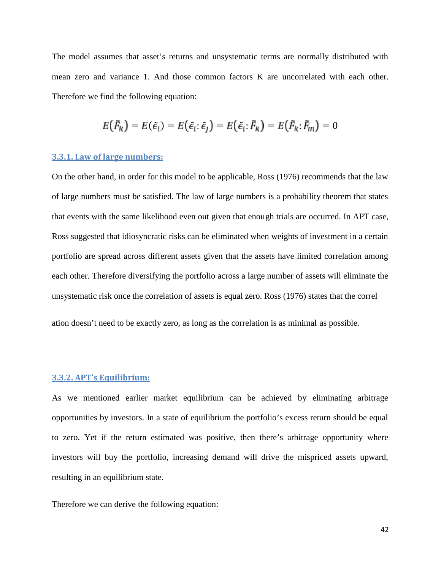The model assumes that asset's returns and unsystematic terms are normally distributed with mean zero and variance 1. And those common factors K are uncorrelated with each other. Therefore we find the following equation:

$$
E(\tilde{F}_k) = E(\tilde{\epsilon}_i) = E(\tilde{\epsilon}_i \cdot \tilde{\epsilon}_j) = E(\tilde{\epsilon}_i \cdot \tilde{F}_k) = E(\tilde{F}_k \cdot \tilde{F}_m) = 0
$$

#### **3.3.1. Law of large numbers:**

On the other hand, in order for this model to be applicable, Ross (1976) recommends that the law of large numbers must be satisfied. The law of large numbers is a probability theorem that states that events with the same likelihood even out given that enough trials are occurred. In APT case, Ross suggested that idiosyncratic risks can be eliminated when weights of investment in a certain portfolio are spread across different assets given that the assets have limited correlation among each other. Therefore diversifying the portfolio across a large number of assets will eliminate the unsystematic risk once the correlation of assets is equal zero. Ross (1976) states that the correl

ation doesn't need to be exactly zero, as long as the correlation is as minimal as possible.

#### **3.3.2. APT's Equilibrium:**

As we mentioned earlier market equilibrium can be achieved by eliminating arbitrage opportunities by investors. In a state of equilibrium the portfolio's excess return should be equal to zero. Yet if the return estimated was positive, then there's arbitrage opportunity where investors will buy the portfolio, increasing demand will drive the mispriced assets upward, resulting in an equilibrium state.

Therefore we can derive the following equation: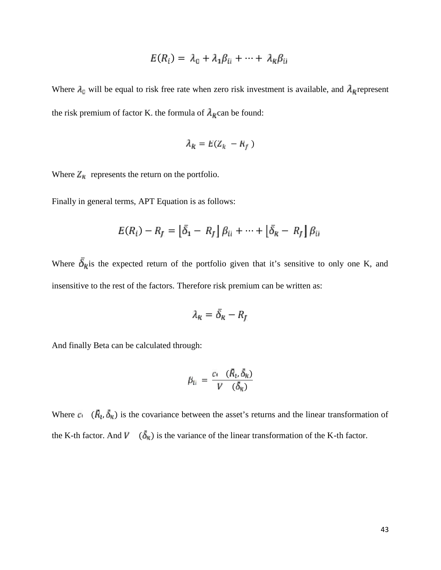$$
E(R_i) = \lambda_0 + \lambda_1 \beta_{ii} + \dots + \lambda_k \beta_{ii}
$$

Where  $\lambda_{\mathbb{C}}$  will be equal to risk free rate when zero risk investment is available, and  $\lambda_{\mathbb{R}}$  represent the risk premium of factor K. the formula of  $\lambda_k$  can be found:

$$
\lambda_R = E(Z_R - R_f)
$$

Where  $Z_R$  represents the return on the portfolio.

Finally in general terms, APT Equation is as follows:

$$
E(R_i) - R_f = \left[\bar{\delta}_1 - R_f\right] \beta_{ii} + \dots + \left[\bar{\delta}_k - R_f\right] \beta_{ii}
$$

Where  $\bar{\delta}_{k}$  is the expected return of the portfolio given that it's sensitive to only one K, and insensitive to the rest of the factors. Therefore risk premium can be written as:

$$
\lambda_k = \bar{\delta}_k - R_f
$$

And finally Beta can be calculated through:

$$
\beta_{li} = \frac{c_i}{V} \frac{(\bar{R}_i, \bar{\delta}_k)}{(\bar{\delta}_k)}
$$

Where  $c_i$  ( $\vec{R}_i$ ,  $\vec{\delta}_k$ ) is the covariance between the asset's returns and the linear transformation of the K-th factor. And  $\vec{V}$  ( $\vec{\delta}_{\text{R}}$ ) is the variance of the linear transformation of the K-th factor.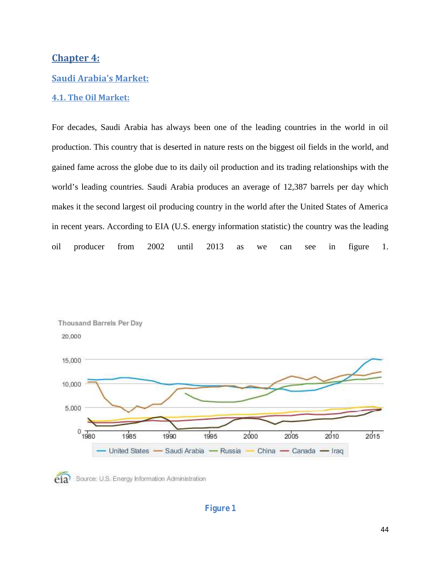# **Chapter 4:**

### **Saudi Arabia's Market:**

#### **4.1. The Oil Market:**

For decades, Saudi Arabia has always been one of the leading countries in the world in oil production. This country that is deserted in nature rests on the biggest oil fields in the world, and gained fame across the globe due to its daily oil production and its trading relationships with the world's leading countries. Saudi Arabia produces an average of 12,387 barrels per day which makes it the second largest oil producing country in the world after the United States of America in recent years. According to EIA (U.S. energy information statistic) the country was the leading oil producer from 2002 until 2013 as we can see in figure 1.





# **Figure 1**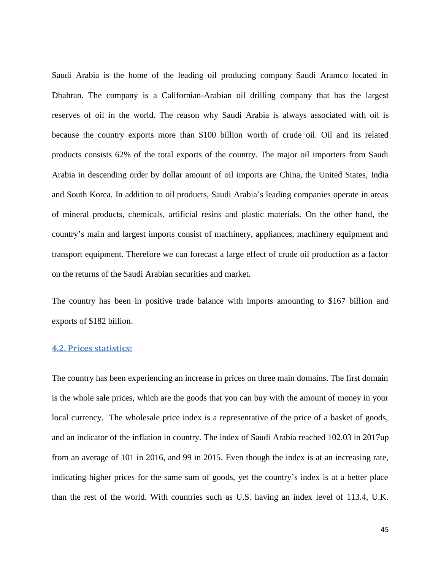Saudi Arabia is the home of the leading oil producing company Saudi Aramco located in Dhahran. The company is a Californian-Arabian oil drilling company that has the largest reserves of oil in the world. The reason why Saudi Arabia is always associated with oil is because the country exports more than \$100 billion worth of crude oil. Oil and its related products consists 62% of the total exports of the country. The major oil importers from Saudi Arabia in descending order by dollar amount of oil imports are China, the United States, India and South Korea. In addition to oil products, Saudi Arabia's leading companies operate in areas of mineral products, chemicals, artificial resins and plastic materials. On the other hand, the country's main and largest imports consist of machinery, appliances, machinery equipment and transport equipment. Therefore we can forecast a large effect of crude oil production as a factor on the returns of the Saudi Arabian securities and market.

The country has been in positive trade balance with imports amounting to \$167 billion and exports of \$182 billion.

# **4.2. Prices statistics:**

The country has been experiencing an increase in prices on three main domains. The first domain is the whole sale prices, which are the goods that you can buy with the amount of money in your local currency. The wholesale price index is a representative of the price of a basket of goods, and an indicator of the inflation in country. The index of Saudi Arabia reached 102.03 in 2017up from an average of 101 in 2016, and 99 in 2015. Even though the index is at an increasing rate, indicating higher prices for the same sum of goods, yet the country's index is at a better place than the rest of the world. With countries such as U.S. having an index level of 113.4, U.K.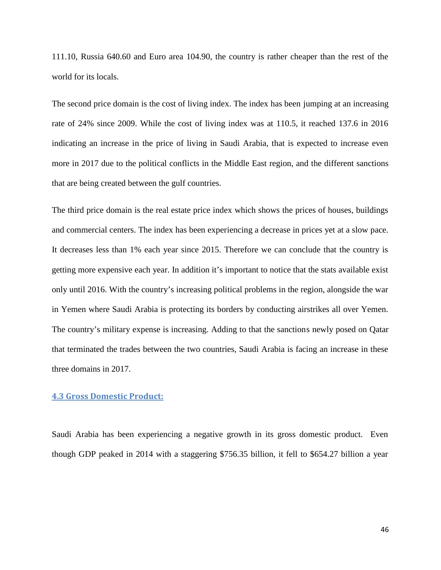111.10, Russia 640.60 and Euro area 104.90, the country is rather cheaper than the rest of the world for its locals.

The second price domain is the cost of living index. The index has been jumping at an increasing rate of 24% since 2009. While the cost of living index was at 110.5, it reached 137.6 in 2016 indicating an increase in the price of living in Saudi Arabia, that is expected to increase even more in 2017 due to the political conflicts in the Middle East region, and the different sanctions that are being created between the gulf countries.

The third price domain is the real estate price index which shows the prices of houses, buildings and commercial centers. The index has been experiencing a decrease in prices yet at a slow pace. It decreases less than 1% each year since 2015. Therefore we can conclude that the country is getting more expensive each year. In addition it's important to notice that the stats available exist only until 2016. With the country's increasing political problems in the region, alongside the war in Yemen where Saudi Arabia is protecting its borders by conducting airstrikes all over Yemen. The country's military expense is increasing. Adding to that the sanctions newly posed on Qatar that terminated the trades between the two countries, Saudi Arabia is facing an increase in these three domains in 2017.

# **4.3 Gross Domestic Product:**

Saudi Arabia has been experiencing a negative growth in its gross domestic product. Even though GDP peaked in 2014 with a staggering \$756.35 billion, it fell to \$654.27 billion a year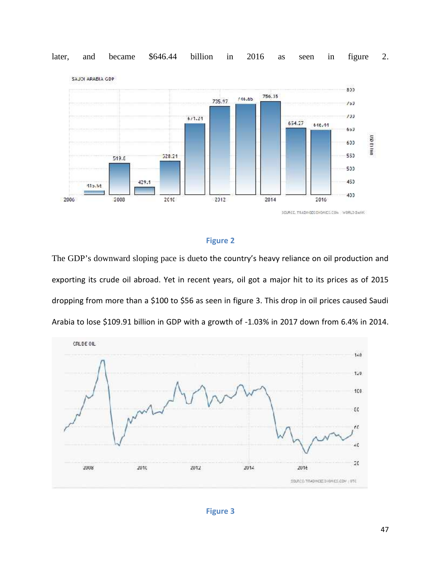

#### later, and became \$646.44 billion in 2016 as seen in figure 2. billion in 2016 as seen in

## **Figure 2**

The GDP's downward sloping pace is dueto the country's heavy reliance on oil production and exporting its crude oil abroad. Yet in recent years, oil got a major hit to its prices as of 2015 dropping from more than a \$100 to \$56 as seen in figure 3. This drop in oil prices caused Saudi Arabia to lose \$109.91 billion in GDP with a growth of -1.03% in 2017 down from 6.4% in 2014. The GDP's downward sloping pace is dueto the country's heavy reliance on oil production and<br>exporting its crude oil abroad. Yet in recent years, oil got a major hit to its prices as of 2015<br>dropping from more than a \$100 t

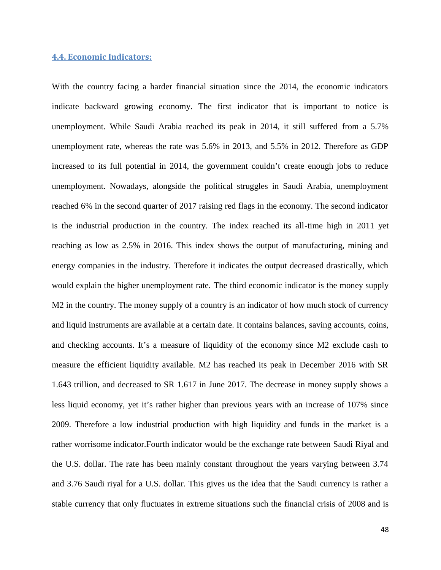#### **4.4. Economic Indicators:**

With the country facing a harder financial situation since the 2014, the economic indicators indicate backward growing economy. The first indicator that is important to notice is unemployment. While Saudi Arabia reached its peak in 2014, it still suffered from a 5.7% unemployment rate, whereas the rate was 5.6% in 2013, and 5.5% in 2012. Therefore as GDP increased to its full potential in 2014, the government couldn't create enough jobs to reduce unemployment. Nowadays, alongside the political struggles in Saudi Arabia, unemployment reached 6% in the second quarter of 2017 raising red flags in the economy. The second indicator is the industrial production in the country. The index reached its all-time high in 2011 yet reaching as low as 2.5% in 2016. This index shows the output of manufacturing, mining and energy companies in the industry. Therefore it indicates the output decreased drastically, which would explain the higher unemployment rate. The third economic indicator is the money supply M2 in the country. The money supply of a country is an indicator of how much stock of currency and liquid instruments are available at a certain date. It contains balances, saving accounts, coins, and checking accounts. It's a measure of liquidity of the economy since M2 exclude cash to measure the efficient liquidity available. M2 has reached its peak in December 2016 with SR 1.643 trillion, and decreased to SR 1.617 in June 2017. The decrease in money supply shows a less liquid economy, yet it's rather higher than previous years with an increase of 107% since 2009. Therefore a low industrial production with high liquidity and funds in the market is a rather worrisome indicator.Fourth indicator would be the exchange rate between Saudi Riyal and the U.S. dollar. The rate has been mainly constant throughout the years varying between 3.74 and 3.76 Saudi riyal for a U.S. dollar. This gives us the idea that the Saudi currency is rather a stable currency that only fluctuates in extreme situations such the financial crisis of 2008 and is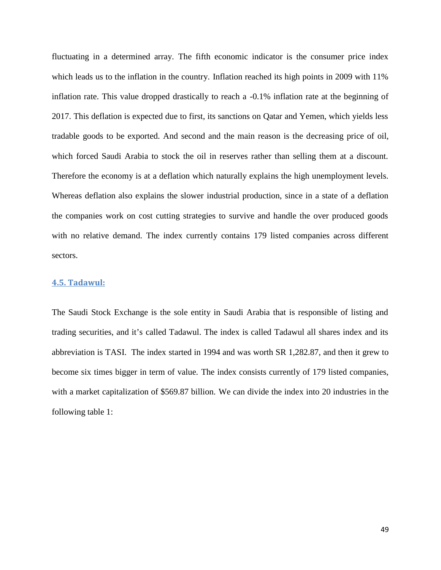fluctuating in a determined array. The fifth economic indicator is the consumer price index which leads us to the inflation in the country. Inflation reached its high points in 2009 with 11% inflation rate. This value dropped drastically to reach a -0.1% inflation rate at the beginning of 2017. This deflation is expected due to first, its sanctions on Qatar and Yemen, which yields less tradable goods to be exported. And second and the main reason is the decreasing price of oil, which forced Saudi Arabia to stock the oil in reserves rather than selling them at a discount. Therefore the economy is at a deflation which naturally explains the high unemployment levels. Whereas deflation also explains the slower industrial production, since in a state of a deflation the companies work on cost cutting strategies to survive and handle the over produced goods with no relative demand. The index currently contains 179 listed companies across different sectors.

#### **4.5. Tadawul:**

The Saudi Stock Exchange is the sole entity in Saudi Arabia that is responsible of listing and trading securities, and it's called Tadawul. The index is called Tadawul all shares index and its abbreviation is TASI. The index started in 1994 and was worth SR 1,282.87, and then it grew to become six times bigger in term of value. The index consists currently of 179 listed companies, with a market capitalization of \$569.87 billion. We can divide the index into 20 industries in the following table 1: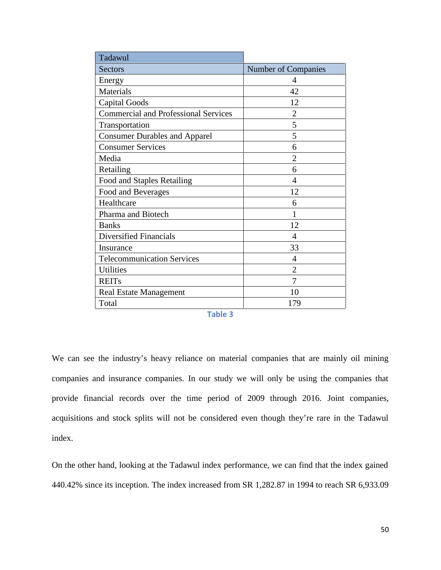| Tadawul                                     |                     |  |  |  |
|---------------------------------------------|---------------------|--|--|--|
| <b>Sectors</b>                              | Number of Companies |  |  |  |
| Energy                                      | 4                   |  |  |  |
| Materials                                   | 42                  |  |  |  |
| <b>Capital Goods</b>                        | 12                  |  |  |  |
| <b>Commercial and Professional Services</b> | $\overline{2}$      |  |  |  |
| Transportation                              | 5                   |  |  |  |
| <b>Consumer Durables and Apparel</b>        | 5                   |  |  |  |
| <b>Consumer Services</b>                    | 6                   |  |  |  |
| Media                                       | 2                   |  |  |  |
| Retailing                                   | 6                   |  |  |  |
| Food and Staples Retailing                  | 4                   |  |  |  |
| Food and Beverages                          | 12                  |  |  |  |
| Healthcare                                  | 6                   |  |  |  |
| Pharma and Biotech                          | 1                   |  |  |  |
| <b>Banks</b>                                | 12                  |  |  |  |
| Diversified Financials                      | 4                   |  |  |  |
| Insurance                                   | 33                  |  |  |  |
| <b>Telecommunication Services</b>           | 4                   |  |  |  |
| <b>Utilities</b>                            | 2                   |  |  |  |
| <b>REITs</b>                                | 7                   |  |  |  |
| <b>Real Estate Management</b>               | 10                  |  |  |  |
| Total                                       | 179                 |  |  |  |

We can see the industry's heavy reliance on material companies that are mainly oil mining companies and insurance companies. In our study we will only be using the companies that provide financial records over the time period of 2009 through 2016. Joint companies, acquisitions and stock splits will not be considered even though they're rare in the Tadawul index.

On the other hand, looking at the Tadawul index performance, we can find that the index gained 440.42% since its inception. The index increased from SR 1,282.87 in 1994 to reach SR 6,933.09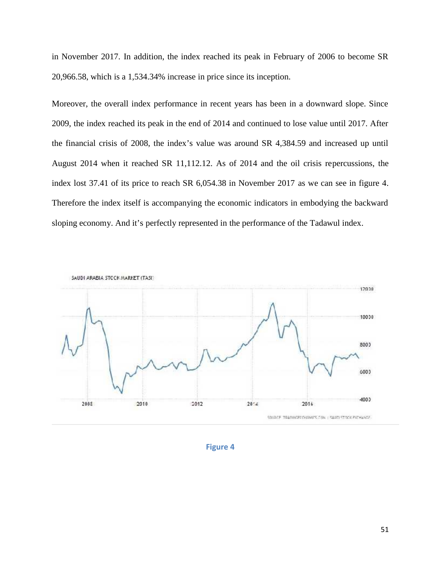in November 2017. In addition, the index reached its peak in February of 2006 to become SR 20,966.58, which is a 1,534.34% increase in price since its inception.

Moreover, the overall index performance in recent years has been in a downward slope. Since 2009, the index reached its peak in the end of 2014 and continued to lose value until 2017. After the financial crisis of 2008, the index's value was around SR 4,384.59 and increased up until August 2014 when it reached SR 11,112.12. As of 2014 and the oil crisis repercussions, the index lost 37.41 of its price to reach SR 6,054.38 in November 2017 as we can see in figure 4. Therefore the index itself is accompanying the economic indicators in embodying the backward sloping economy. And it's perfectly represented in the performance of the Tadawul index.



**Figure 4**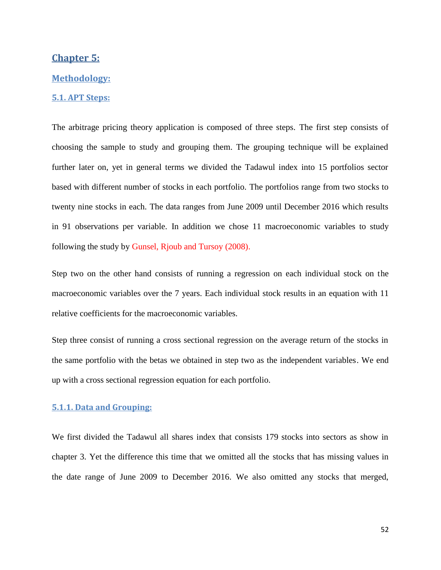# **Chapter 5:**

#### **Methodology:**

## **5.1. APT Steps:**

The arbitrage pricing theory application is composed of three steps. The first step consists of choosing the sample to study and grouping them. The grouping technique will be explained further later on, yet in general terms we divided the Tadawul index into 15 portfolios sector based with different number of stocks in each portfolio. The portfolios range from two stocks to twenty nine stocks in each. The data ranges from June 2009 until December 2016 which results in 91 observations per variable. In addition we chose 11 macroeconomic variables to study following the study by Gunsel, Rjoub and Tursoy (2008).

Step two on the other hand consists of running a regression on each individual stock on the macroeconomic variables over the 7 years. Each individual stock results in an equation with 11 relative coefficients for the macroeconomic variables.

Step three consist of running a cross sectional regression on the average return of the stocks in the same portfolio with the betas we obtained in step two as the independent variables. We end up with a cross sectional regression equation for each portfolio.

#### **5.1.1. Data and Grouping:**

We first divided the Tadawul all shares index that consists 179 stocks into sectors as show in chapter 3. Yet the difference this time that we omitted all the stocks that has missing values in the date range of June 2009 to December 2016. We also omitted any stocks that merged,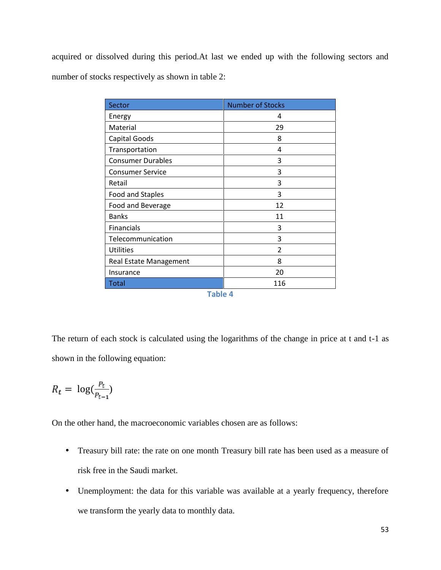acquired or dissolved during this period.At last we ended up with the following sectors and number of stocks respectively as shown in table 2:

| Sector                   | <b>Number of Stocks</b> |  |  |  |
|--------------------------|-------------------------|--|--|--|
| Energy                   | 4                       |  |  |  |
| Material                 | 29                      |  |  |  |
| <b>Capital Goods</b>     | 8                       |  |  |  |
| Transportation           | 4                       |  |  |  |
| <b>Consumer Durables</b> | 3                       |  |  |  |
| <b>Consumer Service</b>  | 3                       |  |  |  |
| Retail                   | 3                       |  |  |  |
| Food and Staples         | 3                       |  |  |  |
| Food and Beverage        | 12                      |  |  |  |
| <b>Banks</b>             | 11                      |  |  |  |
| Financials               | 3                       |  |  |  |
| Telecommunication        | 3                       |  |  |  |
| <b>Utilities</b>         | $\overline{2}$          |  |  |  |
| Real Estate Management   | 8                       |  |  |  |
| Insurance                | 20                      |  |  |  |
| <b>Total</b>             | 116                     |  |  |  |
| Table 4                  |                         |  |  |  |

The return of each stock is calculated using the logarithms of the change in price at t and t-1 as shown in the following equation:

$$
R_t = \log(\frac{P_t}{P_{t-1}})
$$

On the other hand, the macroeconomic variables chosen are as follows:

- Treasury bill rate: the rate on one month Treasury bill rate has been used as a measure of risk free in the Saudi market.
- Unemployment: the data for this variable was available at a yearly frequency, therefore we transform the yearly data to monthly data.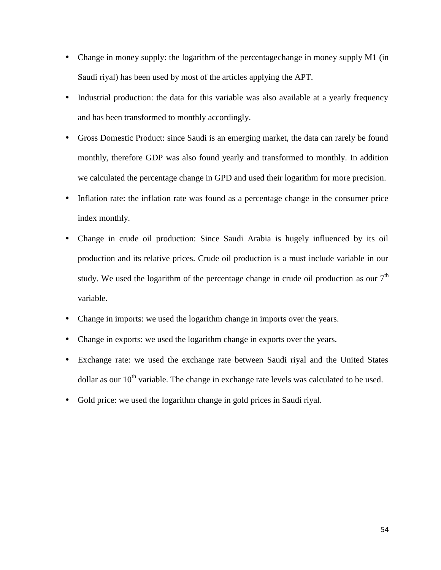- Change in money supply: the logarithm of the percentagechange in money supply M1 (in Saudi riyal) has been used by most of the articles applying the APT.
- Industrial production: the data for this variable was also available at a yearly frequency and has been transformed to monthly accordingly.
- Gross Domestic Product: since Saudi is an emerging market, the data can rarely be found monthly, therefore GDP was also found yearly and transformed to monthly. In addition we calculated the percentage change in GPD and used their logarithm for more precision.
- Inflation rate: the inflation rate was found as a percentage change in the consumer price index monthly.
- Change in crude oil production: Since Saudi Arabia is hugely influenced by its oil production and its relative prices. Crude oil production is a must include variable in our study. We used the logarithm of the percentage change in crude oil production as our  $7<sup>th</sup>$ variable.
- Change in imports: we used the logarithm change in imports over the years.
- Change in exports: we used the logarithm change in exports over the years.
- Exchange rate: we used the exchange rate between Saudi riyal and the United States dollar as our  $10<sup>th</sup>$  variable. The change in exchange rate levels was calculated to be used.
- Gold price: we used the logarithm change in gold prices in Saudi riyal.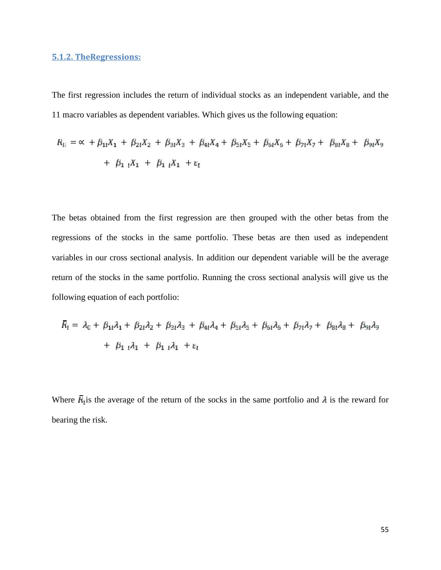### **5.1.2. TheRegressions:**

The first regression includes the return of individual stocks as an independent variable, and the 11 macro variables as dependent variables. Which gives us the following equation:

$$
R_{11} = \alpha + \beta_{11}X_1 + \beta_{21}X_2 + \beta_{31}X_3 + \beta_{41}X_4 + \beta_{51}X_5 + \beta_{61}X_6 + \beta_{71}X_7 + \beta_{81}X_8 + \beta_{91}X_9
$$
  
+  $\beta_{11}X_1 + \beta_{11}X_1 + \varepsilon_t$ 

The betas obtained from the first regression are then grouped with the other betas from the regressions of the stocks in the same portfolio. These betas are then used as independent variables in our cross sectional analysis. In addition our dependent variable will be the average return of the stocks in the same portfolio. Running the cross sectional analysis will give us the following equation of each portfolio:

$$
\overline{R}_1 = \lambda_0 + \beta_{11}\lambda_1 + \beta_{21}\lambda_2 + \beta_{31}\lambda_3 + \beta_{41}\lambda_4 + \beta_{51}\lambda_5 + \beta_{61}\lambda_6 + \beta_{71}\lambda_7 + \beta_{81}\lambda_8 + \beta_{91}\lambda_9
$$

$$
+ \beta_{11}\lambda_1 + \beta_{11}\lambda_1 + \epsilon_1
$$

Where  $\overline{R}_i$  is the average of the return of the socks in the same portfolio and  $\lambda$  is the reward for bearing the risk.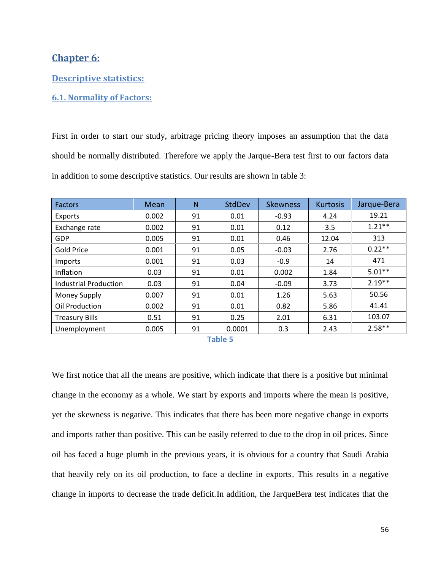# **Chapter 6:**

#### **Descriptive statistics:**

## **6.1. Normality of Factors:**

First in order to start our study, arbitrage pricing theory imposes an assumption that the data should be normally distributed. Therefore we apply the Jarque-Bera test first to our factors data in addition to some descriptive statistics. Our results are shown in table 3:

| <b>Factors</b>               | Mean  | N  | StdDev | <b>Skewness</b> | <b>Kurtosis</b> | Jarque-Bera |
|------------------------------|-------|----|--------|-----------------|-----------------|-------------|
| Exports                      | 0.002 | 91 | 0.01   | $-0.93$         | 4.24            | 19.21       |
| Exchange rate                | 0.002 | 91 | 0.01   | 0.12            | 3.5             | $1.21***$   |
| <b>GDP</b>                   | 0.005 | 91 | 0.01   | 0.46            | 12.04           | 313         |
| <b>Gold Price</b>            | 0.001 | 91 | 0.05   | $-0.03$         | 2.76            | $0.22**$    |
| Imports                      | 0.001 | 91 | 0.03   | $-0.9$          | 14              | 471         |
| Inflation                    | 0.03  | 91 | 0.01   | 0.002           | 1.84            | $5.01**$    |
| <b>Industrial Production</b> | 0.03  | 91 | 0.04   | $-0.09$         | 3.73            | $2.19**$    |
| Money Supply                 | 0.007 | 91 | 0.01   | 1.26            | 5.63            | 50.56       |
| Oil Production               | 0.002 | 91 | 0.01   | 0.82            | 5.86            | 41.41       |
| <b>Treasury Bills</b>        | 0.51  | 91 | 0.25   | 2.01            | 6.31            | 103.07      |
| Unemployment                 | 0.005 | 91 | 0.0001 | 0.3             | 2.43            | $2.58**$    |

**Table 5**

We first notice that all the means are positive, which indicate that there is a positive but minimal change in the economy as a whole. We start by exports and imports where the mean is positive, yet the skewness is negative. This indicates that there has been more negative change in exports and imports rather than positive. This can be easily referred to due to the drop in oil prices. Since oil has faced a huge plumb in the previous years, it is obvious for a country that Saudi Arabia that heavily rely on its oil production, to face a decline in exports. This results in a negative change in imports to decrease the trade deficit.In addition, the JarqueBera test indicates that the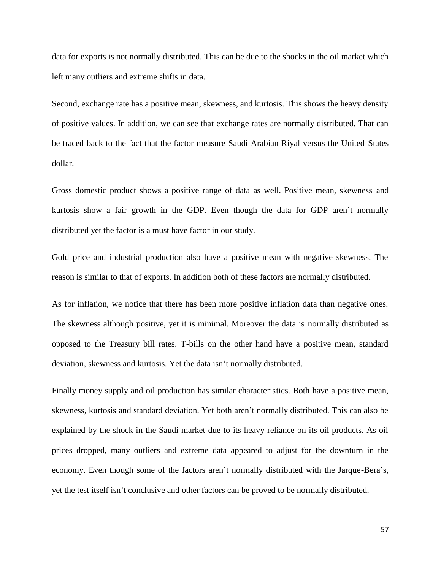data for exports is not normally distributed. This can be due to the shocks in the oil market which left many outliers and extreme shifts in data.

Second, exchange rate has a positive mean, skewness, and kurtosis. This shows the heavy density of positive values. In addition, we can see that exchange rates are normally distributed. That can be traced back to the fact that the factor measure Saudi Arabian Riyal versus the United States dollar.

Gross domestic product shows a positive range of data as well. Positive mean, skewness and kurtosis show a fair growth in the GDP. Even though the data for GDP aren't normally distributed yet the factor is a must have factor in our study.

Gold price and industrial production also have a positive mean with negative skewness. The reason is similar to that of exports. In addition both of these factors are normally distributed.

As for inflation, we notice that there has been more positive inflation data than negative ones. The skewness although positive, yet it is minimal. Moreover the data is normally distributed as opposed to the Treasury bill rates. T-bills on the other hand have a positive mean, standard deviation, skewness and kurtosis. Yet the data isn't normally distributed.

Finally money supply and oil production has similar characteristics. Both have a positive mean, skewness, kurtosis and standard deviation. Yet both aren't normally distributed. This can also be explained by the shock in the Saudi market due to its heavy reliance on its oil products. As oil prices dropped, many outliers and extreme data appeared to adjust for the downturn in the economy. Even though some of the factors aren't normally distributed with the Jarque-Bera's, yet the test itself isn't conclusive and other factors can be proved to be normally distributed.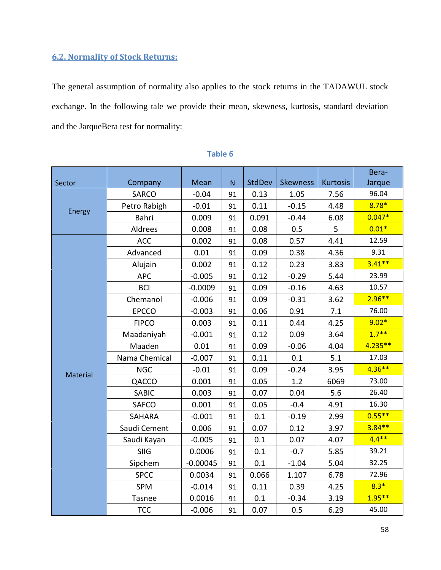# **6.2. Normality of Stock Returns:**

The general assumption of normality also applies to the stock returns in the TADAWUL stock exchange. In the following tale we provide their mean, skewness, kurtosis, standard deviation and the JarqueBera test for normality:

| Sector   | Company       | Mean       | N  | StdDev | <b>Skewness</b> | <b>Kurtosis</b> | Bera-<br>Jarque |
|----------|---------------|------------|----|--------|-----------------|-----------------|-----------------|
|          | SARCO         | $-0.04$    | 91 | 0.13   | 1.05            | 7.56            | 96.04           |
|          | Petro Rabigh  | $-0.01$    | 91 | 0.11   | $-0.15$         | 4.48            | $8.78*$         |
| Energy   | Bahri         | 0.009      | 91 | 0.091  | $-0.44$         | 6.08            | $0.047*$        |
|          | Aldrees       | 0.008      | 91 | 0.08   | 0.5             | 5               | $0.01*$         |
|          | <b>ACC</b>    | 0.002      | 91 | 0.08   | 0.57            | 4.41            | 12.59           |
|          | Advanced      | 0.01       | 91 | 0.09   | 0.38            | 4.36            | 9.31            |
|          | Alujain       | 0.002      | 91 | 0.12   | 0.23            | 3.83            | $3.41**$        |
|          | <b>APC</b>    | $-0.005$   | 91 | 0.12   | $-0.29$         | 5.44            | 23.99           |
|          | <b>BCI</b>    | $-0.0009$  | 91 | 0.09   | $-0.16$         | 4.63            | 10.57           |
|          | Chemanol      | $-0.006$   | 91 | 0.09   | $-0.31$         | 3.62            | $2.96**$        |
|          | <b>EPCCO</b>  | $-0.003$   | 91 | 0.06   | 0.91            | 7.1             | 76.00           |
|          | <b>FIPCO</b>  | 0.003      | 91 | 0.11   | 0.44            | 4.25            | $9.02*$         |
|          | Maadaniyah    | $-0.001$   | 91 | 0.12   | 0.09            | 3.64            | $1.7***$        |
|          | Maaden        | 0.01       | 91 | 0.09   | $-0.06$         | 4.04            | $4.235**$       |
|          | Nama Chemical | $-0.007$   | 91 | 0.11   | 0.1             | 5.1             | 17.03           |
|          | <b>NGC</b>    | $-0.01$    | 91 | 0.09   | $-0.24$         | 3.95            | $4.36**$        |
| Material | QACCO         | 0.001      | 91 | 0.05   | 1.2             | 6069            | 73.00           |
|          | SABIC         | 0.003      | 91 | 0.07   | 0.04            | 5.6             | 26.40           |
|          | <b>SAFCO</b>  | 0.001      | 91 | 0.05   | $-0.4$          | 4.91            | 16.30           |
|          | <b>SAHARA</b> | $-0.001$   | 91 | 0.1    | $-0.19$         | 2.99            | $0.55***$       |
|          | Saudi Cement  | 0.006      | 91 | 0.07   | 0.12            | 3.97            | $3.84**$        |
|          | Saudi Kayan   | $-0.005$   | 91 | 0.1    | 0.07            | 4.07            | $4.4***$        |
|          | <b>SIIG</b>   | 0.0006     | 91 | 0.1    | $-0.7$          | 5.85            | 39.21           |
|          | Sipchem       | $-0.00045$ | 91 | 0.1    | $-1.04$         | 5.04            | 32.25           |
|          | <b>SPCC</b>   | 0.0034     | 91 | 0.066  | 1.107           | 6.78            | 72.96           |
|          | SPM           | $-0.014$   | 91 | 0.11   | 0.39            | 4.25            | $8.3*$          |
|          | Tasnee        | 0.0016     | 91 | 0.1    | $-0.34$         | 3.19            | $1.95***$       |
|          | <b>TCC</b>    | $-0.006$   | 91 | 0.07   | 0.5             | 6.29            | 45.00           |

# **Table 6**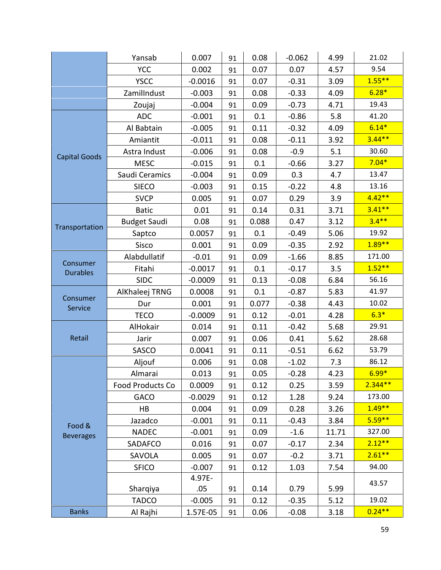|                             | Yansab              | 0.007     | 91 | 0.08  | $-0.062$ | 4.99  | 21.02     |
|-----------------------------|---------------------|-----------|----|-------|----------|-------|-----------|
|                             | <b>YCC</b>          | 0.002     | 91 | 0.07  | 0.07     | 4.57  | 9.54      |
|                             | <b>YSCC</b>         | $-0.0016$ | 91 | 0.07  | $-0.31$  | 3.09  | $1.55***$ |
|                             | ZamilIndust         | $-0.003$  | 91 | 0.08  | $-0.33$  | 4.09  | $6.28*$   |
|                             | Zoujaj              | $-0.004$  | 91 | 0.09  | $-0.73$  | 4.71  | 19.43     |
|                             | <b>ADC</b>          | $-0.001$  | 91 | 0.1   | $-0.86$  | 5.8   | 41.20     |
|                             | Al Babtain          | $-0.005$  | 91 | 0.11  | $-0.32$  | 4.09  | $6.14*$   |
|                             | Amiantit            | $-0.011$  | 91 | 0.08  | $-0.11$  | 3.92  | $3.44**$  |
|                             | Astra Indust        | $-0.006$  | 91 | 0.08  | $-0.9$   | 5.1   | 30.60     |
| <b>Capital Goods</b>        | <b>MESC</b>         | $-0.015$  | 91 | 0.1   | $-0.66$  | 3.27  | $7.04*$   |
|                             | Saudi Ceramics      | $-0.004$  | 91 | 0.09  | 0.3      | 4.7   | 13.47     |
|                             | <b>SIECO</b>        | $-0.003$  | 91 | 0.15  | $-0.22$  | 4.8   | 13.16     |
|                             | <b>SVCP</b>         | 0.005     | 91 | 0.07  | 0.29     | 3.9   | $4.42**$  |
|                             | <b>Batic</b>        | 0.01      | 91 | 0.14  | 0.31     | 3.71  | $3.41**$  |
|                             | <b>Budget Saudi</b> | 0.08      | 91 | 0.088 | 0.47     | 3.12  | $3.4***$  |
| Transportation              | Saptco              | 0.0057    | 91 | 0.1   | $-0.49$  | 5.06  | 19.92     |
|                             | Sisco               | 0.001     | 91 | 0.09  | $-0.35$  | 2.92  | $1.89**$  |
|                             | Alabdullatif        | $-0.01$   | 91 | 0.09  | $-1.66$  | 8.85  | 171.00    |
| Consumer<br><b>Durables</b> | Fitahi              | $-0.0017$ | 91 | 0.1   | $-0.17$  | 3.5   | $1.52**$  |
|                             | <b>SIDC</b>         | $-0.0009$ | 91 | 0.13  | $-0.08$  | 6.84  | 56.16     |
|                             | AlKhaleej TRNG      | 0.0008    | 91 | 0.1   | $-0.87$  | 5.83  | 41.97     |
| Consumer<br>Service         | Dur                 | 0.001     | 91 | 0.077 | $-0.38$  | 4.43  | 10.02     |
|                             | <b>TECO</b>         | $-0.0009$ | 91 | 0.12  | $-0.01$  | 4.28  | $6.3*$    |
|                             | AlHokair            | 0.014     | 91 | 0.11  | $-0.42$  | 5.68  | 29.91     |
| Retail                      | Jarir               | 0.007     | 91 | 0.06  | 0.41     | 5.62  | 28.68     |
|                             | SASCO               | 0.0041    | 91 | 0.11  | $-0.51$  | 6.62  | 53.79     |
|                             | Aljouf              | 0.006     | 91 | 0.08  | $-1.02$  | 7.3   | 86.12     |
|                             | Almarai             | 0.013     | 91 | 0.05  | $-0.28$  | 4.23  | $6.99*$   |
|                             | Food Products Co    | 0.0009    | 91 | 0.12  | 0.25     | 3.59  | $2.344**$ |
|                             | <b>GACO</b>         | $-0.0029$ | 91 | 0.12  | 1.28     | 9.24  | 173.00    |
|                             | <b>HB</b>           | 0.004     | 91 | 0.09  | 0.28     | 3.26  | $1.49**$  |
| Food &                      | Jazadco             | $-0.001$  | 91 | 0.11  | $-0.43$  | 3.84  | $5.59***$ |
| <b>Beverages</b>            | <b>NADEC</b>        | $-0.001$  | 91 | 0.09  | $-1.6$   | 11.71 | 327.00    |
|                             | SADAFCO             | 0.016     | 91 | 0.07  | $-0.17$  | 2.34  | $2.12**$  |
|                             | SAVOLA              | 0.005     | 91 | 0.07  | $-0.2$   | 3.71  | $2.61**$  |
|                             | <b>SFICO</b>        | $-0.007$  | 91 | 0.12  | 1.03     | 7.54  | 94.00     |
|                             |                     | 4.97E-    |    |       |          |       | 43.57     |
|                             | Sharqiya            | .05       | 91 | 0.14  | 0.79     | 5.99  |           |
|                             | <b>TADCO</b>        | $-0.005$  | 91 | 0.12  | $-0.35$  | 5.12  | 19.02     |
| <b>Banks</b>                | Al Rajhi            | 1.57E-05  | 91 | 0.06  | $-0.08$  | 3.18  | $0.24**$  |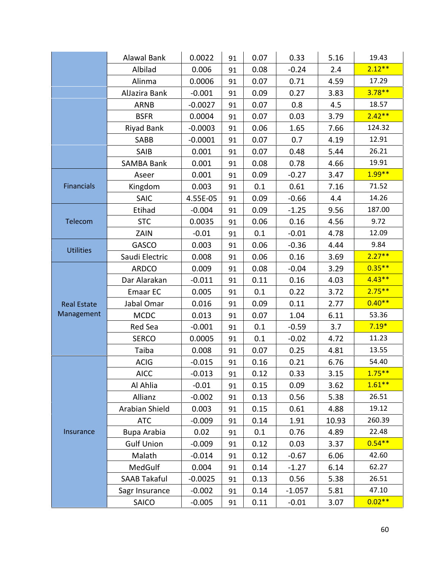|                    | Alawal Bank         | 0.0022    | 91 | 0.07 | 0.33     | 5.16  | 19.43     |
|--------------------|---------------------|-----------|----|------|----------|-------|-----------|
|                    | Albilad             | 0.006     | 91 | 0.08 | $-0.24$  | 2.4   | $2.12**$  |
|                    | Alinma              | 0.0006    | 91 | 0.07 | 0.71     | 4.59  | 17.29     |
|                    | AlJazira Bank       | $-0.001$  | 91 | 0.09 | 0.27     | 3.83  | $3.78**$  |
|                    | <b>ARNB</b>         | $-0.0027$ | 91 | 0.07 | 0.8      | 4.5   | 18.57     |
|                    | <b>BSFR</b>         | 0.0004    | 91 | 0.07 | 0.03     | 3.79  | $2.42**$  |
|                    | Riyad Bank          | $-0.0003$ | 91 | 0.06 | 1.65     | 7.66  | 124.32    |
|                    | SABB                | $-0.0001$ | 91 | 0.07 | 0.7      | 4.19  | 12.91     |
|                    | SAIB                | 0.001     | 91 | 0.07 | 0.48     | 5.44  | 26.21     |
|                    | <b>SAMBA Bank</b>   | 0.001     | 91 | 0.08 | 0.78     | 4.66  | 19.91     |
|                    | Aseer               | 0.001     | 91 | 0.09 | $-0.27$  | 3.47  | $1.99**$  |
| <b>Financials</b>  | Kingdom             | 0.003     | 91 | 0.1  | 0.61     | 7.16  | 71.52     |
|                    | <b>SAIC</b>         | 4.55E-05  | 91 | 0.09 | $-0.66$  | 4.4   | 14.26     |
|                    | Etihad              | $-0.004$  | 91 | 0.09 | $-1.25$  | 9.56  | 187.00    |
| Telecom            | <b>STC</b>          | 0.0035    | 91 | 0.06 | 0.16     | 4.56  | 9.72      |
|                    | ZAIN                | $-0.01$   | 91 | 0.1  | $-0.01$  | 4.78  | 12.09     |
|                    | <b>GASCO</b>        | 0.003     | 91 | 0.06 | $-0.36$  | 4.44  | 9.84      |
| <b>Utilities</b>   | Saudi Electric      | 0.008     | 91 | 0.06 | 0.16     | 3.69  | $2.27**$  |
|                    | <b>ARDCO</b>        | 0.009     | 91 | 0.08 | $-0.04$  | 3.29  | $0.35**$  |
|                    | Dar Alarakan        | $-0.011$  | 91 | 0.11 | 0.16     | 4.03  | $4.43**$  |
|                    | Emaar EC            | 0.005     | 91 | 0.1  | 0.22     | 3.72  | $2.75***$ |
| <b>Real Estate</b> | Jabal Omar          | 0.016     | 91 | 0.09 | 0.11     | 2.77  | $0.40**$  |
| Management         | <b>MCDC</b>         | 0.013     | 91 | 0.07 | 1.04     | 6.11  | 53.36     |
|                    | Red Sea             | $-0.001$  | 91 | 0.1  | $-0.59$  | 3.7   | $7.19*$   |
|                    | <b>SERCO</b>        | 0.0005    | 91 | 0.1  | $-0.02$  | 4.72  | 11.23     |
|                    | Taiba               | 0.008     | 91 | 0.07 | 0.25     | 4.81  | 13.55     |
|                    | <b>ACIG</b>         | $-0.015$  | 91 | 0.16 | 0.21     | 6.76  | 54.40     |
|                    | <b>AICC</b>         | $-0.013$  | 91 | 0.12 | 0.33     | 3.15  | $1.75***$ |
|                    | Al Ahlia            | $-0.01$   | 91 | 0.15 | 0.09     | 3.62  | $1.61**$  |
|                    | Allianz             | $-0.002$  | 91 | 0.13 | 0.56     | 5.38  | 26.51     |
|                    | Arabian Shield      | 0.003     | 91 | 0.15 | 0.61     | 4.88  | 19.12     |
|                    | <b>ATC</b>          | $-0.009$  | 91 | 0.14 | 1.91     | 10.93 | 260.39    |
| Insurance          | Bupa Arabia         | 0.02      | 91 | 0.1  | 0.76     | 4.89  | 22.48     |
|                    | <b>Gulf Union</b>   | $-0.009$  | 91 | 0.12 | 0.03     | 3.37  | $0.54**$  |
|                    | Malath              | $-0.014$  | 91 | 0.12 | $-0.67$  | 6.06  | 42.60     |
|                    | MedGulf             | 0.004     | 91 | 0.14 | $-1.27$  | 6.14  | 62.27     |
|                    | <b>SAAB Takaful</b> | $-0.0025$ | 91 | 0.13 | 0.56     | 5.38  | 26.51     |
|                    | Sagr Insurance      | $-0.002$  | 91 | 0.14 | $-1.057$ | 5.81  | 47.10     |
|                    | SAICO               | $-0.005$  | 91 | 0.11 | $-0.01$  | 3.07  | $0.02**$  |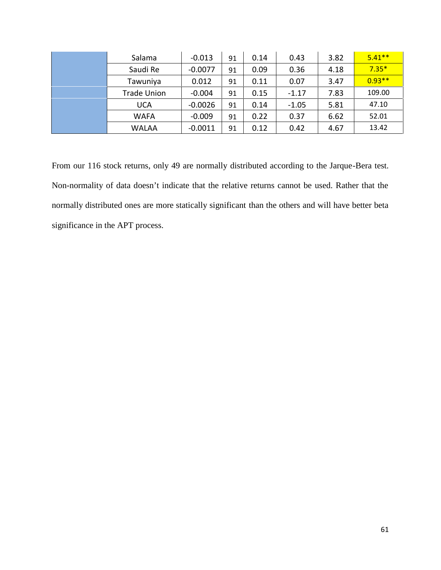| Salama             | $-0.013$  | 91 | 0.14 | 0.43    | 3.82 | $5.41**$ |
|--------------------|-----------|----|------|---------|------|----------|
| Saudi Re           | $-0.0077$ | 91 | 0.09 | 0.36    | 4.18 | $7.35*$  |
| Tawuniya           | 0.012     | 91 | 0.11 | 0.07    | 3.47 | $0.93**$ |
| <b>Trade Union</b> | $-0.004$  | 91 | 0.15 | $-1.17$ | 7.83 | 109.00   |
| <b>UCA</b>         | $-0.0026$ | 91 | 0.14 | $-1.05$ | 5.81 | 47.10    |
| <b>WAFA</b>        | $-0.009$  | 91 | 0.22 | 0.37    | 6.62 | 52.01    |
| <b>WALAA</b>       | $-0.0011$ | 91 | 0.12 | 0.42    | 4.67 | 13.42    |

From our 116 stock returns, only 49 are normally distributed according to the Jarque-Bera test. Non-normality of data doesn't indicate that the relative returns cannot be used. Rather that the normally distributed ones are more statically significant than the others and will have better beta significance in the APT process.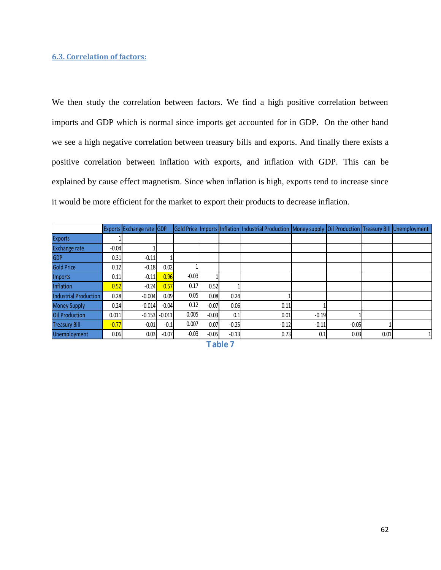#### **6.3. Correlation of factors:**

We then study the correlation between factors. We find a high positive correlation between imports and GDP which is normal since imports get accounted for in GDP. On the other hand we see a high negative correlation between treasury bills and exports. And finally there exists a positive correlation between inflation with exports, and inflation with GDP. This can be explained by cause effect magnetism. Since when inflation is high, exports tend to increase since it would be more efficient for the market to export their products to decrease inflation.

|                              |         | Exports Exchange rate GDP |          |         |         |         | Gold Price   Imports   Inflation   Industrial Production   Money supply   Oil Production   Treasury Bill   Unemployment |         |         |      |  |
|------------------------------|---------|---------------------------|----------|---------|---------|---------|-------------------------------------------------------------------------------------------------------------------------|---------|---------|------|--|
| <b>Exports</b>               |         |                           |          |         |         |         |                                                                                                                         |         |         |      |  |
| <b>Exchange rate</b>         | $-0.04$ |                           |          |         |         |         |                                                                                                                         |         |         |      |  |
| <b>GDP</b>                   | 0.31    | $-0.11$                   |          |         |         |         |                                                                                                                         |         |         |      |  |
| <b>Gold Price</b>            | 0.12    | $-0.18$                   | 0.02     |         |         |         |                                                                                                                         |         |         |      |  |
| Imports                      | 0.11    | $-0.11$                   | 0.96     | $-0.03$ |         |         |                                                                                                                         |         |         |      |  |
| Inflation                    | 0.52    | $-0.24$                   | 0.57     | 0.17    | 0.52    |         |                                                                                                                         |         |         |      |  |
| <b>Industrial Production</b> | 0.28    | $-0.004$                  | 0.09     | 0.05    | 0.08    | 0.24    |                                                                                                                         |         |         |      |  |
| <b>Money Supply</b>          | 0.24    | $-0.014$                  | $-0.04$  | 0.12    | $-0.07$ | 0.06    | 0.11                                                                                                                    |         |         |      |  |
| <b>Oil Production</b>        | 0.011   | $-0.153$                  | $-0.011$ | 0.005   | $-0.03$ | 0.1     | 0.01                                                                                                                    | $-0.19$ |         |      |  |
| <b>Treasury Bill</b>         | $-0.77$ | $-0.01$                   | $-0.1$   | 0.007   | 0.07    | $-0.25$ | $-0.12$                                                                                                                 | $-0.11$ | $-0.05$ |      |  |
| Unemployment                 | 0.06    | 0.03                      | $-0.07$  | $-0.03$ | $-0.05$ | $-0.13$ | 0.73                                                                                                                    | 0.1     | 0.03    | 0.01 |  |

**Table 7**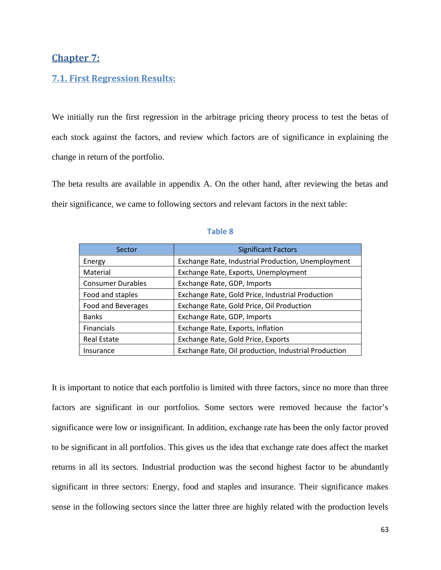# **Chapter 7:**

### **7.1. First Regression Results:**

We initially run the first regression in the arbitrage pricing theory process to test the betas of each stock against the factors, and review which factors are of significance in explaining the change in return of the portfolio.

The beta results are available in appendix A. On the other hand, after reviewing the betas and their significance, we came to following sectors and relevant factors in the next table:

| Sector                   | <b>Significant Factors</b>                           |
|--------------------------|------------------------------------------------------|
| Energy                   | Exchange Rate, Industrial Production, Unemployment   |
| Material                 | Exchange Rate, Exports, Unemployment                 |
| <b>Consumer Durables</b> | Exchange Rate, GDP, Imports                          |
| Food and staples         | Exchange Rate, Gold Price, Industrial Production     |
| Food and Beverages       | Exchange Rate, Gold Price, Oil Production            |
| <b>Banks</b>             | Exchange Rate, GDP, Imports                          |
| <b>Financials</b>        | Exchange Rate, Exports, Inflation                    |
| <b>Real Estate</b>       | Exchange Rate, Gold Price, Exports                   |
| Insurance                | Exchange Rate, Oil production, Industrial Production |

#### **Table 8**

It is important to notice that each portfolio is limited with three factors, since no more than three factors are significant in our portfolios. Some sectors were removed because the factor's significance were low or insignificant. In addition, exchange rate has been the only factor proved to be significant in all portfolios. This gives us the idea that exchange rate does affect the market returns in all its sectors. Industrial production was the second highest factor to be abundantly significant in three sectors: Energy, food and staples and insurance. Their significance makes sense in the following sectors since the latter three are highly related with the production levels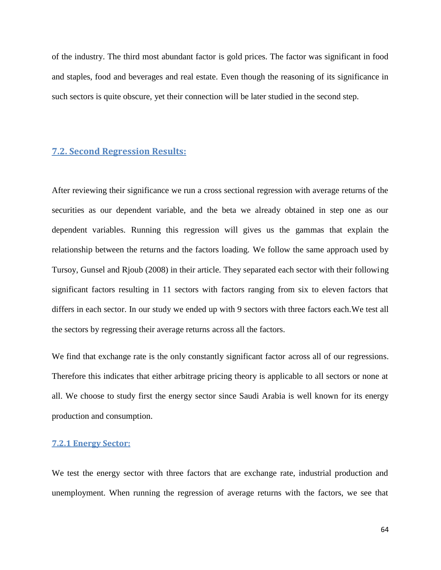of the industry. The third most abundant factor is gold prices. The factor was significant in food and staples, food and beverages and real estate. Even though the reasoning of its significance in such sectors is quite obscure, yet their connection will be later studied in the second step.

# **7.2. Second Regression Results:**

After reviewing their significance we run a cross sectional regression with average returns of the securities as our dependent variable, and the beta we already obtained in step one as our dependent variables. Running this regression will gives us the gammas that explain the relationship between the returns and the factors loading. We follow the same approach used by Tursoy, Gunsel and Rjoub (2008) in their article. They separated each sector with their following significant factors resulting in 11 sectors with factors ranging from six to eleven factors that differs in each sector. In our study we ended up with 9 sectors with three factors each.We test all the sectors by regressing their average returns across all the factors.

We find that exchange rate is the only constantly significant factor across all of our regressions. Therefore this indicates that either arbitrage pricing theory is applicable to all sectors or none at all. We choose to study first the energy sector since Saudi Arabia is well known for its energy production and consumption.

# **7.2.1 Energy Sector:**

We test the energy sector with three factors that are exchange rate, industrial production and unemployment. When running the regression of average returns with the factors, we see that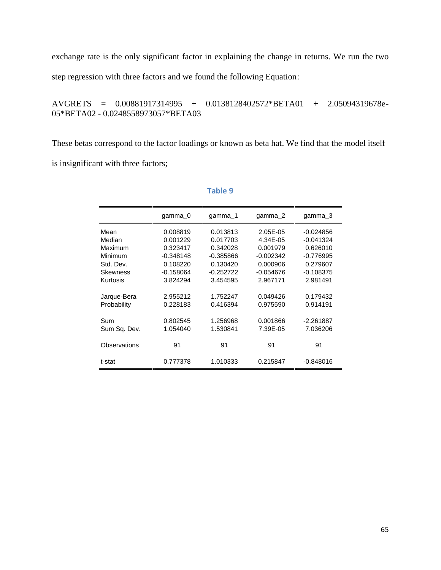exchange rate is the only significant factor in explaining the change in returns. We run the two step regression with three factors and we found the following Equation:

AVGRETS = 0.00881917314995 + 0.0138128402572\*BETA01 + 2.05094319678e- 05\*BETA02 - 0.0248558973057\*BETA03

These betas correspond to the factor loadings or known as beta hat. We find that the model itself

is insignificant with three factors;

| gamma 0     | gamma 1     | gamma 2     | gamma_3     |
|-------------|-------------|-------------|-------------|
| 0.008819    | 0.013813    | 2.05E-05    | $-0.024856$ |
| 0.001229    | 0.017703    | 4.34E-05    | -0.041324   |
| 0.323417    | 0.342028    | 0.001979    | 0.626010    |
| $-0.348148$ | $-0.385866$ | $-0.002342$ | $-0.776995$ |
| 0.108220    | 0.130420    | 0.000906    | 0.279607    |
| $-0.158064$ | $-0.252722$ | $-0.054676$ | $-0.108375$ |
| 3.824294    | 3.454595    | 2.967171    | 2.981491    |
|             |             |             |             |
| 2.955212    | 1.752247    | 0.049426    | 0.179432    |
| 0.228183    | 0.416394    | 0.975590    | 0.914191    |
|             |             |             |             |
| 0.802545    | 1.256968    | 0.001866    | $-2.261887$ |
| 1.054040    | 1.530841    | 7.39E-05    | 7.036206    |
|             |             |             |             |
| 91          | 91          | 91          | 91          |
|             |             |             |             |
| 0.777378    | 1.010333    | 0.215847    | $-0.848016$ |
|             |             |             |             |

# **Table 9**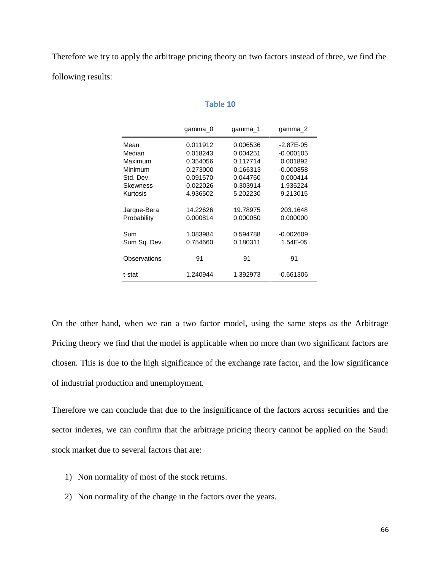Therefore we try to apply the arbitrage pricing theory on two factors instead of three, we find the following results:

|              | gamma 0     | gamma 1     | gamma 2     |
|--------------|-------------|-------------|-------------|
| Mean         | 0.011912    | 0.006536    | $-2.87E-05$ |
| Median       | 0.018243    | 0.004251    | $-0.000105$ |
| Maximum      | 0.354056    | 0.117714    | 0.001892    |
| Minimum      | $-0.273000$ | $-0.166313$ | $-0.000858$ |
| Std. Dev.    | 0.091570    | 0.044760    | 0.000414    |
| Skewness     | $-0.022026$ | $-0.303914$ | 1.935224    |
| Kurtosis     | 4.936502    | 5.202230    | 9.213015    |
| Jarque-Bera  | 14.22626    | 19.78975    | 203.1648    |
| Probability  | 0.000814    | 0.000050    | 0.000000    |
| Sum          | 1.083984    | 0.594788    | $-0.002609$ |
| Sum Sq. Dev. | 0.754660    | 0.180311    | 1.54E-05    |
| Observations | 91          | 91          | 91          |
| t-stat       | 1.240944    | 1.392973    | $-0.661306$ |

#### **Table 10**

On the other hand, when we ran a two factor model, using the same steps as the Arbitrage Pricing theory we find that the model is applicable when no more than two significant factors are chosen. This is due to the high significance of the exchange rate factor, and the low significance of industrial production and unemployment.

Therefore we can conclude that due to the insignificance of the factors across securities and the sector indexes, we can confirm that the arbitrage pricing theory cannot be applied on the Saudi stock market due to several factors that are:

- 1) Non normality of most of the stock returns.
- 2) Non normality of the change in the factors over the years.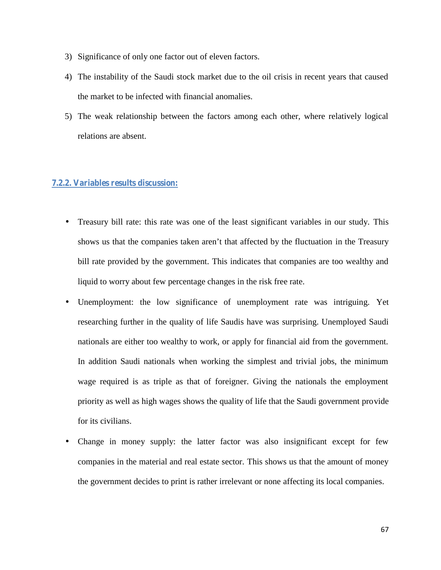- 3) Significance of only one factor out of eleven factors.
- 4) The instability of the Saudi stock market due to the oil crisis in recent years that caused the market to be infected with financial anomalies.
- 5) The weak relationship between the factors among each other, where relatively logical relations are absent.

# **7.2.2. Variables results discussion:**

- Treasury bill rate: this rate was one of the least significant variables in our study. This shows us that the companies taken aren't that affected by the fluctuation in the Treasury bill rate provided by the government. This indicates that companies are too wealthy and liquid to worry about few percentage changes in the risk free rate.
- Unemployment: the low significance of unemployment rate was intriguing. Yet researching further in the quality of life Saudis have was surprising. Unemployed Saudi nationals are either too wealthy to work, or apply for financial aid from the government. In addition Saudi nationals when working the simplest and trivial jobs, the minimum wage required is as triple as that of foreigner. Giving the nationals the employment priority as well as high wages shows the quality of life that the Saudi government provide for its civilians.
- Change in money supply: the latter factor was also insignificant except for few companies in the material and real estate sector. This shows us that the amount of money the government decides to print is rather irrelevant or none affecting its local companies.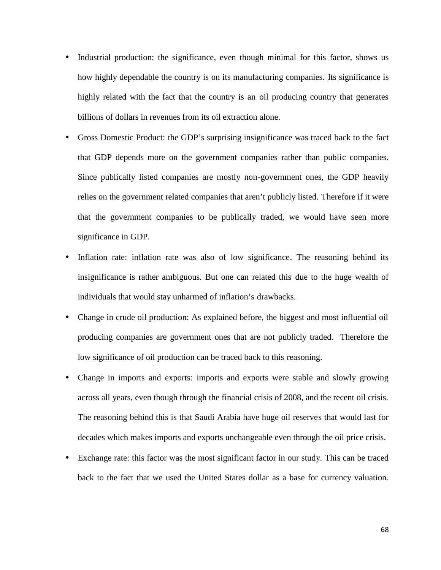- Industrial production: the significance, even though minimal for this factor, shows us how highly dependable the country is on its manufacturing companies. Its significance is highly related with the fact that the country is an oil producing country that generates billions of dollars in revenues from its oil extraction alone.
- Gross Domestic Product: the GDP's surprising insignificance was traced back to the fact that GDP depends more on the government companies rather than public companies. Since publically listed companies are mostly non-government ones, the GDP heavily relies on the government related companies that aren't publicly listed. Therefore if it were that the government companies to be publically traded, we would have seen more significance in GDP.
- Inflation rate: inflation rate was also of low significance. The reasoning behind its insignificance is rather ambiguous. But one can related this due to the huge wealth of individuals that would stay unharmed of inflation's drawbacks.
- Change in crude oil production: As explained before, the biggest and most influential oil producing companies are government ones that are not publicly traded. Therefore the low significance of oil production can be traced back to this reasoning.
- Change in imports and exports: imports and exports were stable and slowly growing across all years, even though through the financial crisis of 2008, and the recent oil crisis. The reasoning behind this is that Saudi Arabia have huge oil reserves that would last for decades which makes imports and exports unchangeable even through the oil price crisis.
- Exchange rate: this factor was the most significant factor in our study. This can be traced back to the fact that we used the United States dollar as a base for currency valuation.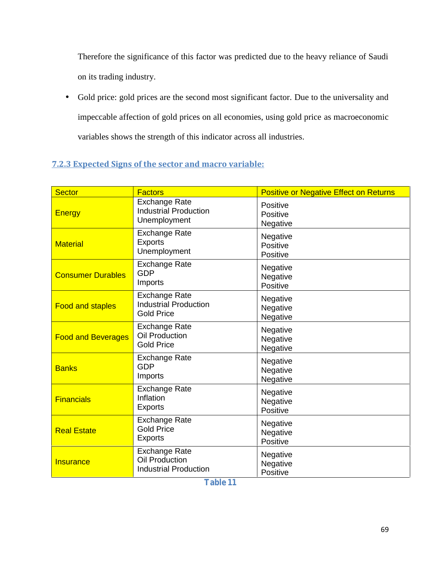Therefore the significance of this factor was predicted due to the heavy reliance of Saudi on its trading industry.

 Gold price: gold prices are the second most significant factor. Due to the universality and impeccable affection of gold prices on all economies, using gold price as macroeconomic variables shows the strength of this indicator across all industries.

# **7.2.3 Expected Signs of the sector and macro variable:**

| <b>Sector</b>             | <b>Factors</b>                                                                | <b>Positive or Negative Effect on Returns</b> |
|---------------------------|-------------------------------------------------------------------------------|-----------------------------------------------|
| <b>Energy</b>             | <b>Exchange Rate</b><br><b>Industrial Production</b><br>Unemployment          | Positive<br>Positive<br>Negative              |
| <b>Material</b>           | <b>Exchange Rate</b><br><b>Exports</b><br>Unemployment                        | Negative<br>Positive<br>Positive              |
| <b>Consumer Durables</b>  | <b>Exchange Rate</b><br><b>GDP</b><br>Imports                                 | Negative<br>Negative<br>Positive              |
| <b>Food and staples</b>   | <b>Exchange Rate</b><br><b>Industrial Production</b><br><b>Gold Price</b>     | Negative<br>Negative<br>Negative              |
| <b>Food and Beverages</b> | <b>Exchange Rate</b><br>Oil Production<br><b>Gold Price</b>                   | Negative<br>Negative<br>Negative              |
| <b>Banks</b>              | <b>Exchange Rate</b><br><b>GDP</b><br>Imports                                 | Negative<br>Negative<br>Negative              |
| <b>Financials</b>         | <b>Exchange Rate</b><br>Inflation<br><b>Exports</b>                           | Negative<br>Negative<br>Positive              |
| <b>Real Estate</b>        | <b>Exchange Rate</b><br><b>Gold Price</b><br><b>Exports</b>                   | Negative<br>Negative<br>Positive              |
| <b>Insurance</b>          | <b>Exchange Rate</b><br><b>Oil Production</b><br><b>Industrial Production</b> | Negative<br>Negative<br>Positive              |

**Table 11**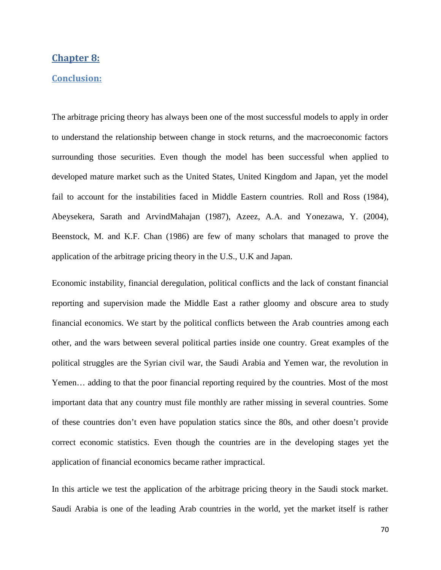# **Chapter 8:**

#### **Conclusion:**

The arbitrage pricing theory has always been one of the most successful models to apply in order to understand the relationship between change in stock returns, and the macroeconomic factors surrounding those securities. Even though the model has been successful when applied to developed mature market such as the United States, United Kingdom and Japan, yet the model fail to account for the instabilities faced in Middle Eastern countries. Roll and Ross (1984), Abeysekera, Sarath and ArvindMahajan (1987), Azeez, A.A. and Yonezawa, Y. (2004), Beenstock, M. and K.F. Chan (1986) are few of many scholars that managed to prove the application of the arbitrage pricing theory in the U.S., U.K and Japan.

Economic instability, financial deregulation, political conflicts and the lack of constant financial reporting and supervision made the Middle East a rather gloomy and obscure area to study financial economics. We start by the political conflicts between the Arab countries among each other, and the wars between several political parties inside one country. Great examples of the political struggles are the Syrian civil war, the Saudi Arabia and Yemen war, the revolution in Yemen… adding to that the poor financial reporting required by the countries. Most of the most important data that any country must file monthly are rather missing in several countries. Some of these countries don't even have population statics since the 80s, and other doesn't provide correct economic statistics. Even though the countries are in the developing stages yet the application of financial economics became rather impractical.

In this article we test the application of the arbitrage pricing theory in the Saudi stock market. Saudi Arabia is one of the leading Arab countries in the world, yet the market itself is rather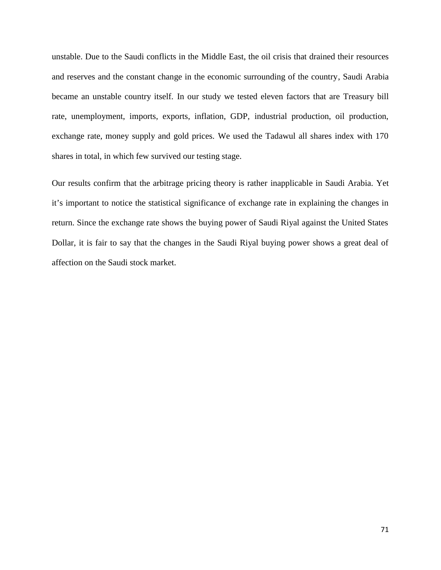unstable. Due to the Saudi conflicts in the Middle East, the oil crisis that drained their resources and reserves and the constant change in the economic surrounding of the country, Saudi Arabia became an unstable country itself. In our study we tested eleven factors that are Treasury bill rate, unemployment, imports, exports, inflation, GDP, industrial production, oil production, exchange rate, money supply and gold prices. We used the Tadawul all shares index with 170 shares in total, in which few survived our testing stage.

Our results confirm that the arbitrage pricing theory is rather inapplicable in Saudi Arabia. Yet it's important to notice the statistical significance of exchange rate in explaining the changes in return. Since the exchange rate shows the buying power of Saudi Riyal against the United States Dollar, it is fair to say that the changes in the Saudi Riyal buying power shows a great deal of affection on the Saudi stock market.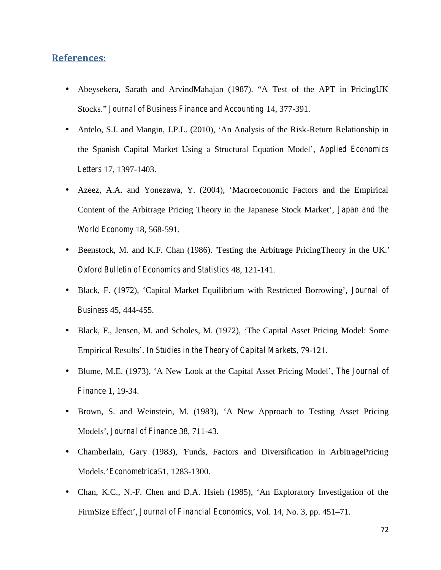# **References:**

- Abeysekera, Sarath and ArvindMahajan (1987). "A Test of the APT in PricingUK Stocks." *Journal of Business Finance and Accounting* 14, 377-391.
- Antelo, S.I. and Mangin, J.P.L. (2010), 'An Analysis of the Risk-Return Relationship in the Spanish Capital Market Using a Structural Equation Model', *Applied Economics Letters* 17, 1397-1403.
- Azeez, A.A. and Yonezawa, Y. (2004), 'Macroeconomic Factors and the Empirical Content of the Arbitrage Pricing Theory in the Japanese Stock Market', *Japan and the World Economy* 18, 568-591.
- Beenstock, M. and K.F. Chan (1986). 'Testing the Arbitrage PricingTheory in the UK.' *Oxford Bulletin of Economics and Statistics* 48, 121-141.
- Black, F. (1972), 'Capital Market Equilibrium with Restricted Borrowing', *Journal of Business* 45, 444-455.
- Black, F., Jensen, M. and Scholes, M. (1972), 'The Capital Asset Pricing Model: Some Empirical Results'. *In Studies in the Theory of Capital Markets*, 79-121.
- Blume, M.E. (1973), 'A New Look at the Capital Asset Pricing Model', *The Journal of Finance* 1, 19-34.
- Brown, S. and Weinstein, M. (1983), 'A New Approach to Testing Asset Pricing Models', *Journal of Finance* 38, 711-43.
- Chamberlain, Gary (1983), 'Funds, Factors and Diversification in ArbitragePricing Models.' *Econometrica*51, 1283-1300.
- Chan, K.C., N.-F. Chen and D.A. Hsieh (1985), 'An Exploratory Investigation of the FirmSize Effect', *Journal of Financial Economics*, Vol. 14, No. 3, pp. 451–71.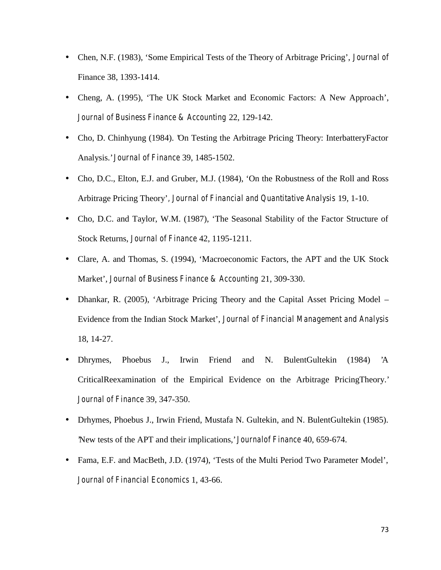- Chen, N.F. (1983), 'Some Empirical Tests of the Theory of Arbitrage Pricing', *Journal of* Finance 38, 1393-1414.
- Cheng, A. (1995), 'The UK Stock Market and Economic Factors: A New Approach', *Journal of Business Finance & Accounting* 22, 129-142.
- Cho, D. Chinhyung (1984). 'On Testing the Arbitrage Pricing Theory: InterbatteryFactor Analysis.' *Journal of Finance* 39, 1485-1502.
- Cho, D.C., Elton, E.J. and Gruber, M.J. (1984), 'On the Robustness of the Roll and Ross Arbitrage Pricing Theory'*, Journal of Financial and Quantitative Analysis* 19, 1-10.
- Cho, D.C. and Taylor, W.M. (1987), 'The Seasonal Stability of the Factor Structure of Stock Returns, *Journal of Finance* 42, 1195-1211.
- Clare, A. and Thomas, S. (1994), 'Macroeconomic Factors, the APT and the UK Stock Market', *Journal of Business Finance & Accounting* 21, 309-330.
- Dhankar, R. (2005), 'Arbitrage Pricing Theory and the Capital Asset Pricing Model Evidence from the Indian Stock Market', *Journal of Financial Management and Analysis* 18, 14-27.
- Dhrymes, Phoebus J., Irwin Friend and N. BulentGultekin (1984) 'A CriticalReexamination of the Empirical Evidence on the Arbitrage PricingTheory.' *Journal of Finance* 39, 347-350.
- Drhymes, Phoebus J., Irwin Friend, Mustafa N. Gultekin, and N. BulentGultekin (1985). 'New tests of the APT and their implications,' *Journalof Finance* 40, 659-674.
- Fama, E.F. and MacBeth, J.D. (1974), 'Tests of the Multi Period Two Parameter Model', *Journal of Financial Economics* 1, 43-66.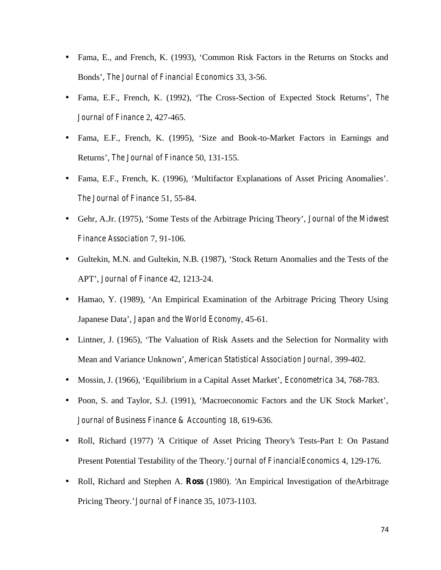- Fama, E., and French, K. (1993), 'Common Risk Factors in the Returns on Stocks and Bonds', *The Journal of Financial Economics* 33, 3-56.
- Fama, E.F., French, K. (1992), 'The Cross-Section of Expected Stock Returns', *The Journal of Finance* 2, 427-465.
- Fama, E.F., French, K. (1995), 'Size and Book-to-Market Factors in Earnings and Returns', *The Journal of Finance* 50, 131-155.
- Fama, E.F., French, K. (1996), 'Multifactor Explanations of Asset Pricing Anomalies'. *The Journal of Finance* 51, 55-84.
- Gehr, A.Jr. (1975), 'Some Tests of the Arbitrage Pricing Theory', *Journal of the Midwest Finance Association* 7, 91-106.
- Gultekin, M.N. and Gultekin, N.B. (1987), 'Stock Return Anomalies and the Tests of the APT', *Journal of Finance* 42, 1213-24.
- Hamao, Y. (1989), 'An Empirical Examination of the Arbitrage Pricing Theory Using Japanese Data', *Japan and the World Economy*, 45-61.
- Lintner, J. (1965), 'The Valuation of Risk Assets and the Selection for Normality with Mean and Variance Unknown', *American Statistical Association Journal,* 399-402.
- Mossin, J. (1966), 'Equilibrium in a Capital Asset Market', *Econometrica* 34, 768-783.
- Poon, S. and Taylor, S.J. (1991), 'Macroeconomic Factors and the UK Stock Market', *Journal of Business Finance & Accounting* 18, 619-636.
- Roll, Richard (1977) 'A Critique of Asset Pricing Theory's Tests-Part I: On Pastand Present Potential Testability of the Theory.' *Journal of FinancialEconomics* 4, 129-176.
- Roll, Richard and Stephen A. **Ross** (1980). 'An Empirical Investigation of theArbitrage Pricing Theory.' *Journal of Finance* 35, 1073-1103.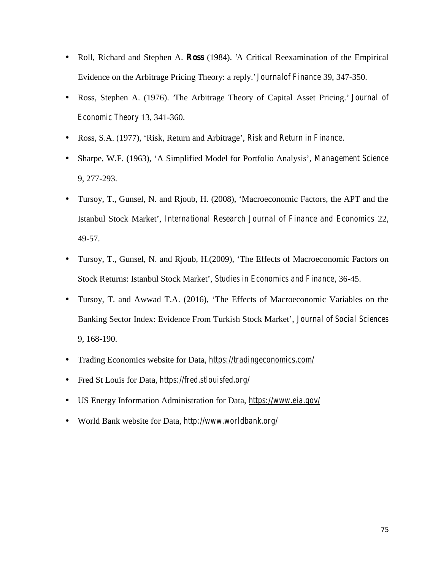- Roll, Richard and Stephen A. **Ross** (1984). 'A Critical Reexamination of the Empirical Evidence on the Arbitrage Pricing Theory: a reply.' *Journalof Finance* 39, 347-350.
- Ross, Stephen A. (1976). 'The Arbitrage Theory of Capital Asset Pricing.' *Journal of Economic Theory* 13, 341-360.
- Ross, S.A. (1977), 'Risk, Return and Arbitrage', *Risk and Return in Finance*.
- Sharpe, W.F. (1963), 'A Simplified Model for Portfolio Analysis', *Management Science* 9, 277-293.
- Tursoy, T., Gunsel, N. and Rjoub, H. (2008), 'Macroeconomic Factors, the APT and the Istanbul Stock Market', *International Research Journal of Finance and Economics* 22, 49-57.
- Tursoy, T., Gunsel, N. and Rjoub, H.(2009), 'The Effects of Macroeconomic Factors on Stock Returns: Istanbul Stock Market', *Studies in Economics and Finance*, 36-45.
- Tursoy, T. and Awwad T.A. (2016), 'The Effects of Macroeconomic Variables on the Banking Sector Index: Evidence From Turkish Stock Market', *Journal of Social Sciences* 9, 168-190.
- Trading Economics website for Data, *https://tradingeconomics.com/*
- Fred St Louis for Data, *https://fred.stlouisfed.org/*
- US Energy Information Administration for Data, *https://www.eia.gov/*
- World Bank website for Data, *http://www.worldbank.org/*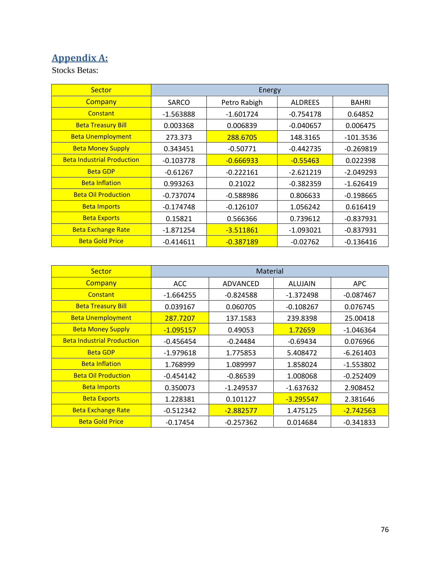## **Appendix A:**

Stocks Betas:

| Sector                            | Energy       |              |                |              |  |
|-----------------------------------|--------------|--------------|----------------|--------------|--|
| Company                           | <b>SARCO</b> | Petro Rabigh | <b>ALDREES</b> | <b>BAHRI</b> |  |
| Constant                          | $-1.563888$  | $-1.601724$  | $-0.754178$    | 0.64852      |  |
| <b>Beta Treasury Bill</b>         | 0.003368     | 0.006839     | $-0.040657$    | 0.006475     |  |
| <b>Beta Unemployment</b>          | 273.373      | 288.6705     | 148.3165       | $-101.3536$  |  |
| <b>Beta Money Supply</b>          | 0.343451     | $-0.50771$   | $-0.442735$    | $-0.269819$  |  |
| <b>Beta Industrial Production</b> | $-0.103778$  | $-0.666933$  | $-0.55463$     | 0.022398     |  |
| <b>Beta GDP</b>                   | $-0.61267$   | $-0.222161$  | $-2.621219$    | $-2.049293$  |  |
| <b>Beta Inflation</b>             | 0.993263     | 0.21022      | $-0.382359$    | $-1.626419$  |  |
| <b>Beta Oil Production</b>        | $-0.737074$  | $-0.588986$  | 0.806633       | $-0.198665$  |  |
| <b>Beta Imports</b>               | $-0.174748$  | $-0.126107$  | 1.056242       | 0.616419     |  |
| <b>Beta Exports</b>               | 0.15821      | 0.566366     | 0.739612       | $-0.837931$  |  |
| <b>Beta Exchange Rate</b>         | -1.871254    | $-3.511861$  | $-1.093021$    | $-0.837931$  |  |
| <b>Beta Gold Price</b>            | $-0.414611$  | $-0.387189$  | $-0.02762$     | $-0.136416$  |  |

| <b>Sector</b>                     | Material    |             |                |             |  |
|-----------------------------------|-------------|-------------|----------------|-------------|--|
| Company                           | <b>ACC</b>  | ADVANCED    | <b>ALUJAIN</b> | <b>APC</b>  |  |
| Constant                          | $-1.664255$ | $-0.824588$ | $-1.372498$    | $-0.087467$ |  |
| <b>Beta Treasury Bill</b>         | 0.039167    | 0.060705    | $-0.108267$    | 0.076745    |  |
| <b>Beta Unemployment</b>          | 287.7207    | 137.1583    | 239.8398       | 25.00418    |  |
| <b>Beta Money Supply</b>          | $-1.095157$ | 0.49053     | 1.72659        | $-1.046364$ |  |
| <b>Beta Industrial Production</b> | $-0.456454$ | $-0.24484$  | $-0.69434$     | 0.076966    |  |
| <b>Beta GDP</b>                   | $-1.979618$ | 1.775853    | 5.408472       | $-6.261403$ |  |
| <b>Beta Inflation</b>             | 1.768999    | 1.089997    | 1.858024       | $-1.553802$ |  |
| <b>Beta Oil Production</b>        | $-0.454142$ | $-0.86539$  | 1.008068       | $-0.252409$ |  |
| <b>Beta Imports</b>               | 0.350073    | $-1.249537$ | $-1.637632$    | 2.908452    |  |
| <b>Beta Exports</b>               | 1.228381    | 0.101127    | $-3.295547$    | 2.381646    |  |
| <b>Beta Exchange Rate</b>         | $-0.512342$ | $-2.882577$ | 1.475125       | $-2.742563$ |  |
| <b>Beta Gold Price</b>            | $-0.17454$  | $-0.257362$ | 0.014684       | $-0.341833$ |  |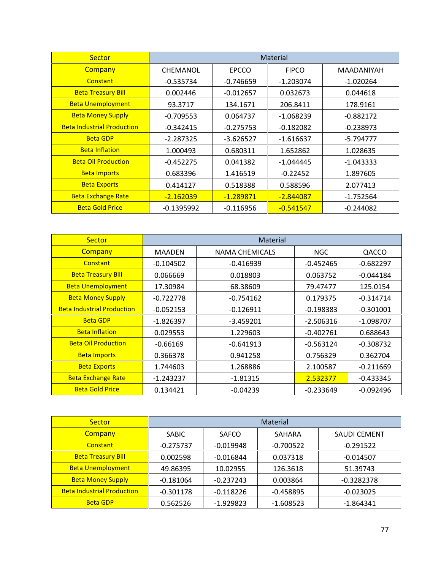| Sector                            | Material    |              |                  |             |  |
|-----------------------------------|-------------|--------------|------------------|-------------|--|
| Company                           | CHEMANOL    | <b>EPCCO</b> | <b>FIPCO</b>     | MAADANIYAH  |  |
| Constant                          | $-0.535734$ | $-0.746659$  | $-1.203074$      | $-1.020264$ |  |
| <b>Beta Treasury Bill</b>         | 0.002446    | $-0.012657$  | 0.032673         | 0.044618    |  |
| <b>Beta Unemployment</b>          | 93.3717     | 134.1671     | 206.8411         | 178.9161    |  |
| <b>Beta Money Supply</b>          | $-0.709553$ | 0.064737     | $-1.068239$      | $-0.882172$ |  |
| <b>Beta Industrial Production</b> | $-0.342415$ | $-0.275753$  | $-0.182082$      | $-0.238973$ |  |
| <b>Beta GDP</b>                   | $-2.287325$ | $-3.626527$  | $-1.616637$      | $-5.794777$ |  |
| <b>Beta Inflation</b>             | 1.000493    | 0.680311     | 1.652862         | 1.028635    |  |
| <b>Beta Oil Production</b>        | $-0.452275$ | 0.041382     | $-1.044445$      | $-1.043333$ |  |
| <b>Beta Imports</b>               | 0.683396    | 1.416519     | $-0.22452$       | 1.897605    |  |
| <b>Beta Exports</b>               | 0.414127    | 0.518388     | 0.588596         | 2.077413    |  |
| <b>Beta Exchange Rate</b>         | $-2.162039$ | $-1.289871$  | <u>-2.844087</u> | $-1.752564$ |  |
| <b>Beta Gold Price</b>            | -0.1395992  | $-0.116956$  | $-0.541547$      | $-0.244082$ |  |

| Sector                            | Material      |                |             |             |  |  |
|-----------------------------------|---------------|----------------|-------------|-------------|--|--|
| Company                           | <b>MAADEN</b> | NAMA CHEMICALS | <b>NGC</b>  | QACCO       |  |  |
| Constant                          | $-0.104502$   | $-0.416939$    | $-0.452465$ | $-0.682297$ |  |  |
| <b>Beta Treasury Bill</b>         | 0.066669      | 0.018803       | 0.063752    | $-0.044184$ |  |  |
| <b>Beta Unemployment</b>          | 17.30984      | 68.38609       | 79.47477    | 125.0154    |  |  |
| <b>Beta Money Supply</b>          | $-0.722778$   | $-0.754162$    | 0.179375    | $-0.314714$ |  |  |
| <b>Beta Industrial Production</b> | $-0.052153$   | $-0.126911$    | $-0.198383$ | $-0.301001$ |  |  |
| <b>Beta GDP</b>                   | $-1.826397$   | $-3.459201$    | $-2.506316$ | $-1.098707$ |  |  |
| <b>Beta Inflation</b>             | 0.029553      | 1.229603       | $-0.402761$ | 0.688643    |  |  |
| <b>Beta Oil Production</b>        | $-0.66169$    | $-0.641913$    | $-0.563124$ | $-0.308732$ |  |  |
| <b>Beta Imports</b>               | 0.366378      | 0.941258       | 0.756329    | 0.362704    |  |  |
| <b>Beta Exports</b>               | 1.744603      | 1.268886       | 2.100587    | $-0.211669$ |  |  |
| <b>Beta Exchange Rate</b>         | $-1.243237$   | -1.81315       | 2.532377    | -0.433345   |  |  |
| <b>Beta Gold Price</b>            | 0.134421      | $-0.04239$     | $-0.233649$ | $-0.092496$ |  |  |

| Sector                            | <b>Material</b> |              |             |                     |  |
|-----------------------------------|-----------------|--------------|-------------|---------------------|--|
| Company                           | <b>SABIC</b>    | <b>SAFCO</b> | SAHARA      | <b>SAUDI CEMENT</b> |  |
| Constant                          | $-0.275737$     | $-0.019948$  | $-0.700522$ | $-0.291522$         |  |
| <b>Beta Treasury Bill</b>         | 0.002598        | -0.016844    | 0.037318    | $-0.014507$         |  |
| <b>Beta Unemployment</b>          | 49.86395        | 10.02955     | 126.3618    | 51.39743            |  |
| <b>Beta Money Supply</b>          | $-0.181064$     | $-0.237243$  | 0.003864    | $-0.3282378$        |  |
| <b>Beta Industrial Production</b> | $-0.301178$     | $-0.118226$  | $-0.458895$ | $-0.023025$         |  |
| <b>Beta GDP</b>                   | 0.562526        | $-1.929823$  | $-1.608523$ | $-1.864341$         |  |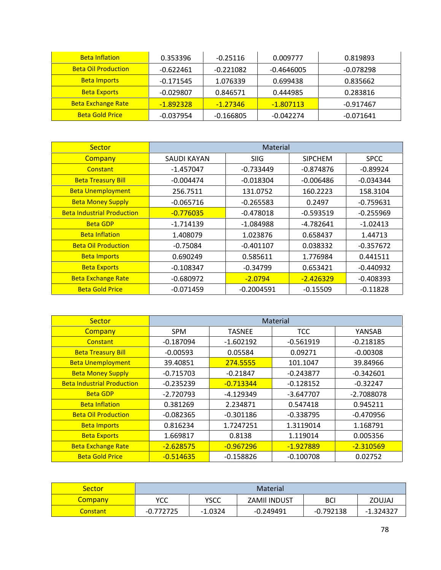| <b>Beta Inflation</b>      | 0.353396    | $-0.25116$  | 0.009777     | 0.819893    |
|----------------------------|-------------|-------------|--------------|-------------|
| <b>Beta Oil Production</b> | $-0.622461$ | $-0.221082$ | $-0.4646005$ | $-0.078298$ |
| <b>Beta Imports</b>        | $-0.171545$ | 1.076339    | 0.699438     | 0.835662    |
| <b>Beta Exports</b>        | $-0.029807$ | 0.846571    | 0.444985     | 0.283816    |
| <b>Beta Exchange Rate</b>  | $-1.892328$ | $-1.27346$  | $-1.807113$  | -0.917467   |
| <b>Beta Gold Price</b>     | $-0.037954$ | $-0.166805$ | $-0.042274$  | -0.071641   |

| <b>Sector</b>                     | Material    |              |                |             |  |  |
|-----------------------------------|-------------|--------------|----------------|-------------|--|--|
| Company                           | SAUDI KAYAN | <b>SIIG</b>  | <b>SIPCHEM</b> | <b>SPCC</b> |  |  |
| Constant                          | $-1.457047$ | $-0.733449$  | $-0.874876$    | $-0.89924$  |  |  |
| <b>Beta Treasury Bill</b>         | $-0.004474$ | $-0.018304$  | $-0.006486$    | $-0.034344$ |  |  |
| <b>Beta Unemployment</b>          | 256.7511    | 131.0752     | 160.2223       | 158.3104    |  |  |
| <b>Beta Money Supply</b>          | $-0.065716$ | $-0.265583$  | 0.2497         | $-0.759631$ |  |  |
| <b>Beta Industrial Production</b> | $-0.776035$ | $-0.478018$  | $-0.593519$    | $-0.255969$ |  |  |
| <b>Beta GDP</b>                   | $-1.714139$ | $-1.084988$  | -4.782641      | $-1.02413$  |  |  |
| <b>Beta Inflation</b>             | 1.408079    | 1.023876     | 0.658437       | 1.44713     |  |  |
| <b>Beta Oil Production</b>        | $-0.75084$  | $-0.401107$  | 0.038332       | $-0.357672$ |  |  |
| <b>Beta Imports</b>               | 0.690249    | 0.585611     | 1.776984       | 0.441511    |  |  |
| <b>Beta Exports</b>               | $-0.108347$ | $-0.34799$   | 0.653421       | $-0.440932$ |  |  |
| <b>Beta Exchange Rate</b>         | $-0.680972$ | $-2.0794$    | $-2.426329$    | $-0.408393$ |  |  |
| <b>Beta Gold Price</b>            | $-0.071459$ | $-0.2004591$ | $-0.15509$     | $-0.11828$  |  |  |

| <b>Sector</b>                     | <b>Material</b> |               |             |             |  |  |
|-----------------------------------|-----------------|---------------|-------------|-------------|--|--|
| Company                           | <b>SPM</b>      | <b>TASNEE</b> | <b>TCC</b>  | YANSAB      |  |  |
| Constant                          | $-0.187094$     | $-1.602192$   | $-0.561919$ | $-0.218185$ |  |  |
| <b>Beta Treasury Bill</b>         | $-0.00593$      | 0.05584       | 0.09271     | $-0.00308$  |  |  |
| <b>Beta Unemployment</b>          | 39.40851        | 274.5555      | 101.1047    | 39.84966    |  |  |
| <b>Beta Money Supply</b>          | $-0.715703$     | $-0.21847$    | $-0.243877$ | $-0.342601$ |  |  |
| <b>Beta Industrial Production</b> | $-0.235239$     | $-0.713344$   | $-0.128152$ | $-0.32247$  |  |  |
| <b>Beta GDP</b>                   | $-2.720793$     | -4.129349     | $-3.647707$ | -2.7088078  |  |  |
| <b>Beta Inflation</b>             | 0.381269        | 2.234871      | 0.547418    | 0.945211    |  |  |
| <b>Beta Oil Production</b>        | $-0.082365$     | $-0.301186$   | $-0.338795$ | $-0.470956$ |  |  |
| <b>Beta Imports</b>               | 0.816234        | 1.7247251     | 1.3119014   | 1.168791    |  |  |
| <b>Beta Exports</b>               | 1.669817        | 0.8138        | 1.119014    | 0.005356    |  |  |
| <b>Beta Exchange Rate</b>         | $-2.628575$     | $-0.967296$   | $-1.927889$ | $-2.310569$ |  |  |
| <b>Beta Gold Price</b>            | $-0.514635$     | $-0.158826$   | $-0.100708$ | 0.02752     |  |  |

| Sector          | <b>Material</b> |             |                    |             |               |
|-----------------|-----------------|-------------|--------------------|-------------|---------------|
| <b>Company</b>  | YCC             | <b>YSCC</b> | <b>ZAMILINDUST</b> | <b>BCI</b>  | <b>ZOUJAJ</b> |
| <b>Constant</b> | $-0.772725$     | $-1.0324$   | $-0.249491$        | $-0.792138$ | -1.324327     |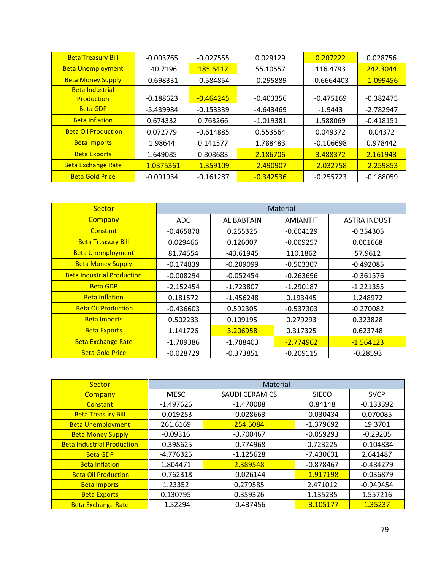| <b>Beta Treasury Bill</b>  | $-0.003765$  | $-0.027555$ | 0.029129    | 0.207222     | 0.028756    |
|----------------------------|--------------|-------------|-------------|--------------|-------------|
| <b>Beta Unemployment</b>   | 140.7196     | 185.6417    | 55.10557    | 116.4793     | 242.3044    |
| <b>Beta Money Supply</b>   | $-0.698331$  | $-0.584854$ | $-0.295889$ | $-0.6664403$ | $-1.099456$ |
| <b>Beta Industrial</b>     |              |             |             |              |             |
| Production                 | $-0.188623$  | $-0.464245$ | $-0.403356$ | $-0.475169$  | $-0.382475$ |
| <b>Beta GDP</b>            | -5.439984    | $-0.153339$ | -4.643469   | $-1.9443$    | $-2.782947$ |
| <b>Beta Inflation</b>      | 0.674332     | 0.763266    | $-1.019381$ | 1.588069     | $-0.418151$ |
| <b>Beta Oil Production</b> | 0.072779     | $-0.614885$ | 0.553564    | 0.049372     | 0.04372     |
| <b>Beta Imports</b>        | 1.98644      | 0.141577    | 1.788483    | $-0.106698$  | 0.978442    |
| <b>Beta Exports</b>        | 1.649085     | 0.808683    | 2.186706    | 3.488372     | 2.161943    |
| <b>Beta Exchange Rate</b>  | $-1.0375361$ | $-1.359109$ | $-2.490907$ | $-2.032758$  | $-2.259853$ |
| <b>Beta Gold Price</b>     | $-0.091934$  | $-0.161287$ | $-0.342536$ | $-0.255723$  | $-0.188059$ |

| <b>Sector</b>                     | <b>Material</b> |             |                 |                     |  |
|-----------------------------------|-----------------|-------------|-----------------|---------------------|--|
| Company                           | ADC.            | AL BABTAIN  | <b>AMIANTIT</b> | <b>ASTRA INDUST</b> |  |
| Constant                          | $-0.465878$     | 0.255325    | $-0.604129$     | $-0.354305$         |  |
| <b>Beta Treasury Bill</b>         | 0.029466        | 0.126007    | $-0.009257$     | 0.001668            |  |
| <b>Beta Unemployment</b>          | 81.74554        | -43.61945   | 110.1862        | 57.9612             |  |
| <b>Beta Money Supply</b>          | $-0.174839$     | $-0.209099$ | $-0.503307$     | $-0.492085$         |  |
| <b>Beta Industrial Production</b> | $-0.008294$     | $-0.052454$ | $-0.263696$     | $-0.361576$         |  |
| <b>Beta GDP</b>                   | $-2.152454$     | $-1.723807$ | $-1.290187$     | $-1.221355$         |  |
| <b>Beta Inflation</b>             | 0.181572        | $-1.456248$ | 0.193445        | 1.248972            |  |
| <b>Beta Oil Production</b>        | $-0.436603$     | 0.592305    | $-0.537303$     | $-0.270082$         |  |
| <b>Beta Imports</b>               | 0.502233        | 0.109195    | 0.279293        | 0.323828            |  |
| <b>Beta Exports</b>               | 1.141726        | 3.206958    | 0.317325        | 0.623748            |  |
| <b>Beta Exchange Rate</b>         | $-1.709386$     | $-1.788403$ | $-2.774962$     | $-1.564123$         |  |
| <b>Beta Gold Price</b>            | $-0.028729$     | $-0.373851$ | $-0.209115$     | $-0.28593$          |  |

| Sector                            | Material    |                       |              |             |  |
|-----------------------------------|-------------|-----------------------|--------------|-------------|--|
| Company                           | <b>MESC</b> | <b>SAUDI CERAMICS</b> | <b>SIECO</b> | <b>SVCP</b> |  |
| Constant                          | $-1.497626$ | $-1.470088$           | 0.84148      | $-0.133392$ |  |
| <b>Beta Treasury Bill</b>         | $-0.019253$ | $-0.028663$           | $-0.030434$  | 0.070085    |  |
| <b>Beta Unemployment</b>          | 261.6169    | 254.5084              | $-1.379692$  | 19.3701     |  |
| <b>Beta Money Supply</b>          | $-0.09316$  | $-0.700467$           | $-0.059293$  | $-0.29205$  |  |
| <b>Beta Industrial Production</b> | $-0.398625$ | $-0.774968$           | 0.723225     | $-0.104834$ |  |
| <b>Beta GDP</b>                   | $-4.776325$ | $-1.125628$           | $-7.430631$  | 2.641487    |  |
| <b>Beta Inflation</b>             | 1.804471    | 2.389548              | $-0.878467$  | $-0.484279$ |  |
| <b>Beta Oil Production</b>        | $-0.762318$ | $-0.026144$           | $-1.917198$  | $-0.036879$ |  |
| <b>Beta Imports</b>               | 1.23352     | 0.279585              | 2.471012     | $-0.949454$ |  |
| <b>Beta Exports</b>               | 0.130795    | 0.359326              | 1.135235     | 1.557216    |  |
| <b>Beta Exchange Rate</b>         | $-1.52294$  | $-0.437456$           | $-3.105177$  | 1.35237     |  |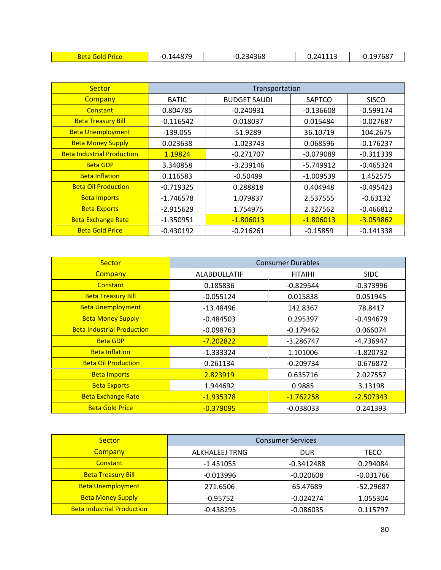| <u>ats</u><br>पाट | 44879 | 234368<br><u>.</u> | 241113 | .197687 |
|-------------------|-------|--------------------|--------|---------|
|-------------------|-------|--------------------|--------|---------|

| <b>Sector</b>                     |              | Transportation      |             |              |
|-----------------------------------|--------------|---------------------|-------------|--------------|
| Company                           | <b>BATIC</b> | <b>BUDGET SAUDI</b> | SAPTCO      | <b>SISCO</b> |
| Constant                          | 0.804785     | $-0.240931$         | $-0.136608$ | $-0.599174$  |
| <b>Beta Treasury Bill</b>         | $-0.116542$  | 0.018037            | 0.015484    | $-0.027687$  |
| <b>Beta Unemployment</b>          | $-139.055$   | 51.9289             | 36.10719    | 104.2675     |
| <b>Beta Money Supply</b>          | 0.023638     | $-1.023743$         | 0.068596    | $-0.176237$  |
| <b>Beta Industrial Production</b> | 1.19824      | $-0.271707$         | $-0.079089$ | $-0.311339$  |
| <b>Beta GDP</b>                   | 3.340858     | $-3.239146$         | $-5.749912$ | $-0.465324$  |
| <b>Beta Inflation</b>             | 0.116583     | $-0.50499$          | $-1.009539$ | 1.452575     |
| <b>Beta Oil Production</b>        | $-0.719325$  | 0.288818            | 0.404948    | $-0.495423$  |
| <b>Beta Imports</b>               | $-1.746578$  | 1.079837            | 2.537555    | $-0.63132$   |
| <b>Beta Exports</b>               | $-2.915629$  | 1.754975            | 2.327562    | $-0.466812$  |
| <b>Beta Exchange Rate</b>         | $-1.350951$  | $-1.806013$         | $-1.806013$ | $-3.059862$  |
| <b>Beta Gold Price</b>            | $-0.430192$  | $-0.216261$         | $-0.15859$  | $-0.141338$  |

| <b>Sector</b>                     |                     | <b>Consumer Durables</b> |             |
|-----------------------------------|---------------------|--------------------------|-------------|
| Company                           | <b>ALABDULLATIF</b> | <b>FITAIHI</b>           | <b>SIDC</b> |
| Constant                          | 0.185836            | $-0.829544$              | $-0.373996$ |
| <b>Beta Treasury Bill</b>         | $-0.055124$         | 0.015838                 | 0.051945    |
| <b>Beta Unemployment</b>          | $-13.48496$         | 142.8367                 | 78.8417     |
| <b>Beta Money Supply</b>          | $-0.484503$         | 0.295397                 | $-0.494679$ |
| <b>Beta Industrial Production</b> | $-0.098763$         | $-0.179462$              | 0.066074    |
| <b>Beta GDP</b>                   | $-7.202822$         | $-3.286747$              | -4.736947   |
| <b>Beta Inflation</b>             | $-1.333324$         | 1.101006                 | $-1.820732$ |
| <b>Beta Oil Production</b>        | 0.261134            | $-0.209734$              | $-0.676872$ |
| <b>Beta Imports</b>               | 2.823919            | 0.635716                 | 2.027557    |
| <b>Beta Exports</b>               | 1.944692            | 0.9885                   | 3.13198     |
| <b>Beta Exchange Rate</b>         | $-1.935378$         | $-1.762258$              | $-2.507343$ |
| <b>Beta Gold Price</b>            | $-0.379095$         | $-0.038033$              | 0.241393    |

| Sector                            | <b>Consumer Services</b> |              |             |  |  |
|-----------------------------------|--------------------------|--------------|-------------|--|--|
| Company                           | ALKHALEEJ TRNG           | <b>DUR</b>   | TECO        |  |  |
| Constant                          | $-1.451055$              | $-0.3412488$ | 0.294084    |  |  |
| <b>Beta Treasury Bill</b>         | $-0.013996$              | $-0.020608$  | $-0.031766$ |  |  |
| <b>Beta Unemployment</b>          | 271.6506                 | 65.47689     | -52.29687   |  |  |
| <b>Beta Money Supply</b>          | $-0.95752$               | $-0.024274$  | 1.055304    |  |  |
| <b>Beta Industrial Production</b> | $-0.438295$              | $-0.086035$  | 0.115797    |  |  |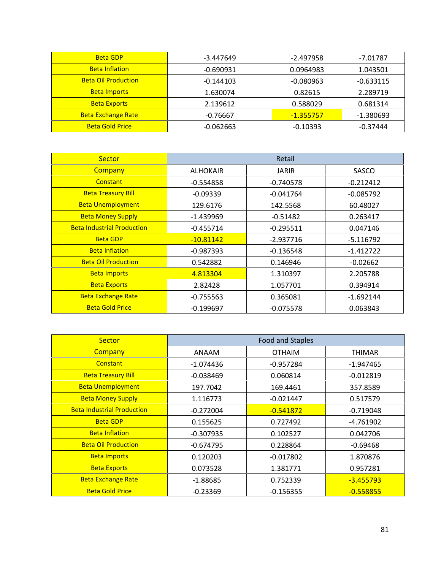| <b>Beta GDP</b>            | $-3.447649$ | $-2.497958$ | -7.01787    |
|----------------------------|-------------|-------------|-------------|
| <b>Beta Inflation</b>      | $-0.690931$ | 0.0964983   | 1.043501    |
| <b>Beta Oil Production</b> | $-0.144103$ | $-0.080963$ | $-0.633115$ |
| <b>Beta Imports</b>        | 1.630074    | 0.82615     | 2.289719    |
| <b>Beta Exports</b>        | 2.139612    | 0.588029    | 0.681314    |
| <b>Beta Exchange Rate</b>  | $-0.76667$  | $-1.355757$ | $-1.380693$ |
| <b>Beta Gold Price</b>     | $-0.062663$ | $-0.10393$  | $-0.37444$  |

| Sector                            |                 | Retail       |             |
|-----------------------------------|-----------------|--------------|-------------|
| Company                           | <b>ALHOKAIR</b> | <b>JARIR</b> | SASCO       |
| Constant                          | $-0.554858$     | $-0.740578$  | $-0.212412$ |
| <b>Beta Treasury Bill</b>         | $-0.09339$      | $-0.041764$  | $-0.085792$ |
| <b>Beta Unemployment</b>          | 129.6176        | 142.5568     | 60.48027    |
| <b>Beta Money Supply</b>          | $-1.439969$     | $-0.51482$   | 0.263417    |
| <b>Beta Industrial Production</b> | $-0.455714$     | $-0.295511$  | 0.047146    |
| <b>Beta GDP</b>                   | $-10.81142$     | $-2.937716$  | $-5.116792$ |
| <b>Beta Inflation</b>             | $-0.987393$     | $-0.136548$  | $-1.412722$ |
| <b>Beta Oil Production</b>        | 0.542882        | 0.146946     | $-0.02662$  |
| <b>Beta Imports</b>               | 4.813304        | 1.310397     | 2.205788    |
| <b>Beta Exports</b>               | 2.82428         | 1.057701     | 0.394914    |
| <b>Beta Exchange Rate</b>         | $-0.755563$     | 0.365081     | $-1.692144$ |
| <b>Beta Gold Price</b>            | $-0.199697$     | $-0.075578$  | 0.063843    |

| <b>Sector</b>                     |              | <b>Food and Staples</b> |             |
|-----------------------------------|--------------|-------------------------|-------------|
| <b>Company</b>                    | <b>ANAAM</b> | <b>OTHAIM</b>           | THIMAR      |
| Constant                          | $-1.074436$  | $-0.957284$             | $-1.947465$ |
| <b>Beta Treasury Bill</b>         | $-0.038469$  | 0.060814                | $-0.012819$ |
| <b>Beta Unemployment</b>          | 197.7042     | 169.4461                | 357.8589    |
| <b>Beta Money Supply</b>          | 1.116773     | $-0.021447$             | 0.517579    |
| <b>Beta Industrial Production</b> | $-0.272004$  | $-0.541872$             | $-0.719048$ |
| <b>Beta GDP</b>                   | 0.155625     | 0.727492                | -4.761902   |
| <b>Beta Inflation</b>             | $-0.307935$  | 0.102527                | 0.042706    |
| <b>Beta Oil Production</b>        | $-0.674795$  | 0.228864                | $-0.69468$  |
| <b>Beta Imports</b>               | 0.120203     | $-0.017802$             | 1.870876    |
| <b>Beta Exports</b>               | 0.073528     | 1.381771                | 0.957281    |
| <b>Beta Exchange Rate</b>         | $-1.88685$   | 0.752339                | $-3.455793$ |
| <b>Beta Gold Price</b>            | $-0.23369$   | $-0.156355$             | $-0.558855$ |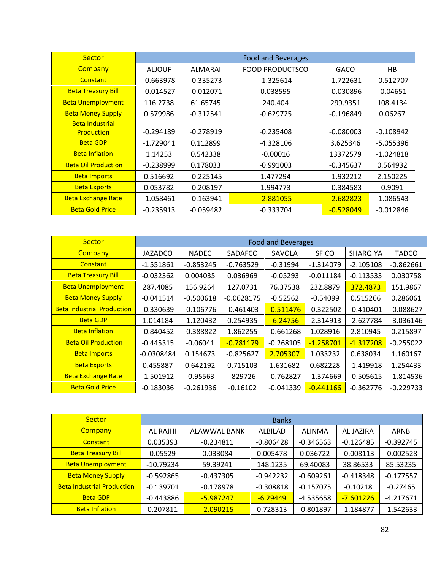| <b>Sector</b>                               |               |             | <b>Food and Beverages</b> |             |             |
|---------------------------------------------|---------------|-------------|---------------------------|-------------|-------------|
| Company                                     | <b>ALJOUF</b> | ALMARAI     | <b>FOOD PRODUCTSCO</b>    | <b>GACO</b> | HB          |
| Constant                                    | $-0.663978$   | $-0.335273$ | $-1.325614$               | $-1.722631$ | $-0.512707$ |
| <b>Beta Treasury Bill</b>                   | $-0.014527$   | $-0.012071$ | 0.038595                  | $-0.030896$ | $-0.04651$  |
| <b>Beta Unemployment</b>                    | 116.2738      | 61.65745    | 240.404                   | 299.9351    | 108.4134    |
| <b>Beta Money Supply</b>                    | 0.579986      | $-0.312541$ | $-0.629725$               | $-0.196849$ | 0.06267     |
| <b>Beta Industrial</b><br><b>Production</b> | $-0.294189$   | $-0.278919$ | $-0.235408$               | $-0.080003$ | $-0.108942$ |
| <b>Beta GDP</b>                             | $-1.729041$   | 0.112899    | $-4.328106$               | 3.625346    | $-5.055396$ |
| <b>Beta Inflation</b>                       | 1.14253       | 0.542338    | $-0.00016$                | 13372579    | $-1.024818$ |
| <b>Beta Oil Production</b>                  | $-0.238999$   | 0.178033    | $-0.991003$               | $-0.345637$ | 0.564932    |
| <b>Beta Imports</b>                         | 0.516692      | $-0.225145$ | 1.477294                  | $-1.932212$ | 2.150225    |
| <b>Beta Exports</b>                         | 0.053782      | $-0.208197$ | 1.994773                  | $-0.384583$ | 0.9091      |
| <b>Beta Exchange Rate</b>                   | $-1.058461$   | $-0.163941$ | $-2.881055$               | $-2.682823$ | $-1.086543$ |
| <b>Beta Gold Price</b>                      | $-0.235913$   | $-0.059482$ | $-0.333704$               | $-0.528049$ | $-0.012846$ |

| <b>Sector</b>                     | <b>Food and Beverages</b> |              |              |             |              |             |              |
|-----------------------------------|---------------------------|--------------|--------------|-------------|--------------|-------------|--------------|
| Company                           | <b>JAZADCO</b>            | <b>NADEC</b> | SADAFCO      | SAVOLA      | <b>SFICO</b> | SHARQIYA    | <b>TADCO</b> |
| Constant                          | $-1.551861$               | $-0.853245$  | $-0.763529$  | $-0.31994$  | $-1.314079$  | $-2.105108$ | $-0.862661$  |
| <b>Beta Treasury Bill</b>         | $-0.032362$               | 0.004035     | 0.036969     | $-0.05293$  | $-0.011184$  | $-0.113533$ | 0.030758     |
| <b>Beta Unemployment</b>          | 287.4085                  | 156.9264     | 127.0731     | 76.37538    | 232.8879     | 372.4873    | 151.9867     |
| <b>Beta Money Supply</b>          | $-0.041514$               | $-0.500618$  | $-0.0628175$ | $-0.52562$  | $-0.54099$   | 0.515266    | 0.286061     |
| <b>Beta Industrial Production</b> | $-0.330639$               | $-0.106776$  | $-0.461403$  | $-0.511476$ | $-0.322502$  | $-0.410401$ | $-0.088627$  |
| <b>Beta GDP</b>                   | 1.014184                  | $-1.120432$  | 0.254935     | $-6.24756$  | $-2.314913$  | $-2.627784$ | $-3.036146$  |
| <b>Beta Inflation</b>             | $-0.840452$               | $-0.388822$  | 1.862255     | $-0.661268$ | 1.028916     | 2.810945    | 0.215897     |
| <b>Beta Oil Production</b>        | $-0.445315$               | $-0.06041$   | $-0.781179$  | $-0.268105$ | $-1.258701$  | $-1.317208$ | $-0.255022$  |
| <b>Beta Imports</b>               | $-0.0308484$              | 0.154673     | $-0.825627$  | 2.705307    | 1.033232     | 0.638034    | 1.160167     |
| <b>Beta Exports</b>               | 0.455887                  | 0.642192     | 0.715103     | 1.631682    | 0.682228     | $-1.419918$ | 1.254433     |
| <b>Beta Exchange Rate</b>         | $-1.501912$               | $-0.95563$   | $-829726$    | $-0.762827$ | $-1.374669$  | $-0.505615$ | $-1.814536$  |
| <b>Beta Gold Price</b>            | $-0.183036$               | $-0.261936$  | $-0.16102$   | $-0.041339$ | $-0.441166$  | $-0.362776$ | $-0.229733$  |

| <b>Sector</b>                     | <b>Banks</b> |              |             |               |             |             |  |
|-----------------------------------|--------------|--------------|-------------|---------------|-------------|-------------|--|
| Company                           | AL RAJHI     | ALAWWAL BANK | ALBILAD     | <b>ALINMA</b> | AL JAZIRA   | ARNB        |  |
| Constant                          | 0.035393     | $-0.234811$  | $-0.806428$ | $-0.346563$   | $-0.126485$ | $-0.392745$ |  |
| <b>Beta Treasury Bill</b>         | 0.05529      | 0.033084     | 0.005478    | 0.036722      | $-0.008113$ | $-0.002528$ |  |
| <b>Beta Unemployment</b>          | $-10.79234$  | 59.39241     | 148.1235    | 69.40083      | 38.86533    | 85.53235    |  |
| <b>Beta Money Supply</b>          | $-0.592865$  | $-0.437305$  | $-0.942232$ | $-0.609261$   | $-0.418348$ | $-0.177557$ |  |
| <b>Beta Industrial Production</b> | $-0.139701$  | $-0.178978$  | $-0.308818$ | $-0.157075$   | $-0.10218$  | $-0.27465$  |  |
| <b>Beta GDP</b>                   | $-0.443886$  | -5.987247    | $-6.29449$  | $-4.535658$   | $-7.601226$ | $-4.217671$ |  |
| <b>Beta Inflation</b>             | 0.207811     | $-2.090215$  | 0.728313    | $-0.801897$   | $-1.184877$ | $-1.542633$ |  |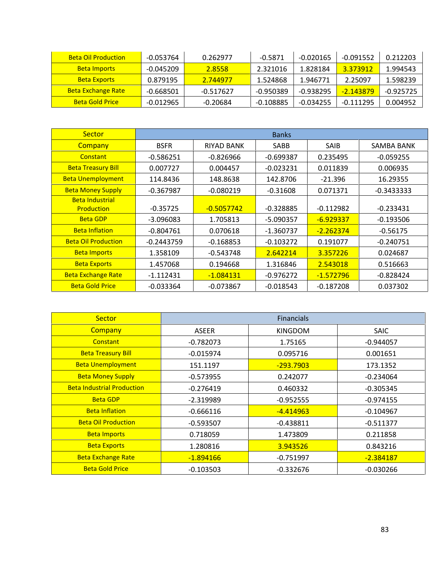| <b>Beta Oil Production</b> | -0.053764   | 0.262977  | $-0.5871$   | $-0.020165$ | $-0.091552$ | 0.212203    |  |
|----------------------------|-------------|-----------|-------------|-------------|-------------|-------------|--|
| <b>Beta Imports</b>        | -0.045209   | 2.8558    | 2.321016    | 1.828184    | 3.373912    | 1.994543    |  |
| <b>Beta Exports</b>        | 0.879195    | 2.744977  | 1.524868    | 1.946771    | 2.25097     | 1.598239    |  |
| <b>Beta Exchange Rate</b>  | -0.668501   | -0.517627 | $-0.950389$ | $-0.938295$ | $-2.143879$ | $-0.925725$ |  |
| <b>Beta Gold Price</b>     | $-0.012965$ | -0.20684  | $-0.108885$ | $-0.034255$ | $-0.111295$ | 0.004952    |  |

| <b>Sector</b>              |              |                   | <b>Banks</b> |             |              |
|----------------------------|--------------|-------------------|--------------|-------------|--------------|
| <b>Company</b>             | <b>BSFR</b>  | <b>RIYAD BANK</b> | <b>SABB</b>  | <b>SAIB</b> | SAMBA BANK   |
| Constant                   | $-0.586251$  | $-0.826966$       | $-0.699387$  | 0.235495    | $-0.059255$  |
| <b>Beta Treasury Bill</b>  | 0.007727     | 0.004457          | $-0.023231$  | 0.011839    | 0.006935     |
| <b>Beta Unemployment</b>   | 114.8436     | 148.8638          | 142.8706     | $-21.396$   | 16.29355     |
| <b>Beta Money Supply</b>   | $-0.367987$  | $-0.080219$       | $-0.31608$   | 0.071371    | $-0.3433333$ |
| <b>Beta Industrial</b>     |              |                   |              |             |              |
| <b>Production</b>          | $-0.35725$   | $-0.5057742$      | $-0.328885$  | $-0.112982$ | $-0.233431$  |
| <b>Beta GDP</b>            | $-3.096083$  | 1.705813          | $-5.090357$  | $-6.929337$ | $-0.193506$  |
| <b>Beta Inflation</b>      | $-0.804761$  | 0.070618          | $-1.360737$  | $-2.262374$ | $-0.56175$   |
| <b>Beta Oil Production</b> | $-0.2443759$ | $-0.168853$       | $-0.103272$  | 0.191077    | $-0.240751$  |
| <b>Beta Imports</b>        | 1.358109     | $-0.543748$       | 2.642214     | 3.357226    | 0.024687     |
| <b>Beta Exports</b>        | 1.457068     | 0.194668          | 1.316846     | 2.543018    | 0.516663     |
| <b>Beta Exchange Rate</b>  | $-1.112431$  | $-1.084131$       | $-0.976272$  | $-1.572796$ | $-0.828424$  |
| <b>Beta Gold Price</b>     | $-0.033364$  | $-0.073867$       | $-0.018543$  | $-0.187208$ | 0.037302     |

| <b>Sector</b>                     |              | <b>Financials</b> |             |
|-----------------------------------|--------------|-------------------|-------------|
| Company                           | <b>ASEER</b> | <b>KINGDOM</b>    | <b>SAIC</b> |
| Constant                          | $-0.782073$  | 1.75165           | $-0.944057$ |
| <b>Beta Treasury Bill</b>         | $-0.015974$  | 0.095716          | 0.001651    |
| <b>Beta Unemployment</b>          | 151.1197     | $-293.7903$       | 173.1352    |
| <b>Beta Money Supply</b>          | $-0.573955$  | 0.242077          | $-0.234064$ |
| <b>Beta Industrial Production</b> | $-0.276419$  | 0.460332          | $-0.305345$ |
| <b>Beta GDP</b>                   | $-2.319989$  | $-0.952555$       | $-0.974155$ |
| <b>Beta Inflation</b>             | $-0.666116$  | $-4.414963$       | $-0.104967$ |
| <b>Beta Oil Production</b>        | $-0.593507$  | $-0.438811$       | $-0.511377$ |
| <b>Beta Imports</b>               | 0.718059     | 1.473809          | 0.211858    |
| <b>Beta Exports</b>               | 1.280816     | 3.943526          | 0.843216    |
| <b>Beta Exchange Rate</b>         | $-1.894166$  | $-0.751997$       | $-2.384187$ |
| <b>Beta Gold Price</b>            | $-0.103503$  | $-0.332676$       | $-0.030266$ |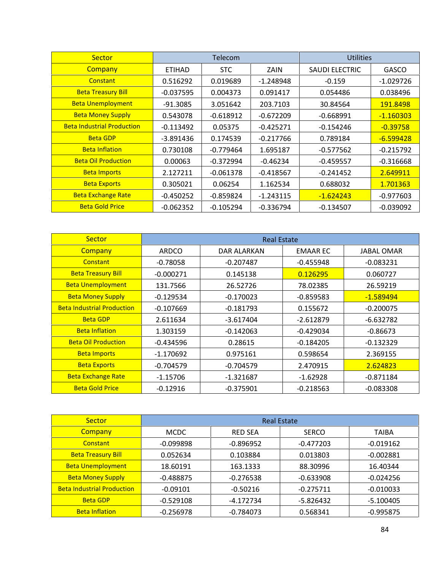| <b>Sector</b>                     |               | <b>Telecom</b> |             | <b>Utilities</b> |              |
|-----------------------------------|---------------|----------------|-------------|------------------|--------------|
| Company                           | <b>ETIHAD</b> | <b>STC</b>     | ZAIN        | SAUDI ELECTRIC   | <b>GASCO</b> |
| Constant                          | 0.516292      | 0.019689       | $-1.248948$ | $-0.159$         | $-1.029726$  |
| <b>Beta Treasury Bill</b>         | $-0.037595$   | 0.004373       | 0.091417    | 0.054486         | 0.038496     |
| <b>Beta Unemployment</b>          | $-91.3085$    | 3.051642       | 203.7103    | 30.84564         | 191.8498     |
| <b>Beta Money Supply</b>          | 0.543078      | $-0.618912$    | $-0.672209$ | $-0.668991$      | $-1.160303$  |
| <b>Beta Industrial Production</b> | $-0.113492$   | 0.05375        | $-0.425271$ | $-0.154246$      | $-0.39758$   |
| <b>Beta GDP</b>                   | -3.891436     | 0.174539       | $-0.217766$ | 0.789184         | $-6.599428$  |
| <b>Beta Inflation</b>             | 0.730108      | $-0.779464$    | 1.695187    | $-0.577562$      | $-0.215792$  |
| <b>Beta Oil Production</b>        | 0.00063       | $-0.372994$    | $-0.46234$  | $-0.459557$      | $-0.316668$  |
| <b>Beta Imports</b>               | 2.127211      | $-0.061378$    | $-0.418567$ | $-0.241452$      | 2.649911     |
| <b>Beta Exports</b>               | 0.305021      | 0.06254        | 1.162534    | 0.688032         | 1.701363     |
| <b>Beta Exchange Rate</b>         | $-0.450252$   | $-0.859824$    | $-1.243115$ | $-1.624243$      | $-0.977603$  |
| <b>Beta Gold Price</b>            | $-0.062352$   | $-0.105294$    | $-0.336794$ | $-0.134507$      | $-0.039092$  |

| <b>Sector</b>                     | <b>Real Estate</b> |             |                 |             |  |
|-----------------------------------|--------------------|-------------|-----------------|-------------|--|
| Company                           | <b>ARDCO</b>       | DAR ALARKAN | <b>EMAAR EC</b> | JABAL OMAR  |  |
| Constant                          | $-0.78058$         | $-0.207487$ | $-0.455948$     | $-0.083231$ |  |
| <b>Beta Treasury Bill</b>         | $-0.000271$        | 0.145138    | 0.126295        | 0.060727    |  |
| <b>Beta Unemployment</b>          | 131.7566           | 26.52726    | 78.02385        | 26.59219    |  |
| <b>Beta Money Supply</b>          | $-0.129534$        | $-0.170023$ | $-0.859583$     | $-1.589494$ |  |
| <b>Beta Industrial Production</b> | $-0.107669$        | $-0.181793$ | 0.155672        | $-0.200075$ |  |
| <b>Beta GDP</b>                   | 2.611634           | $-3.617404$ | $-2.612879$     | $-6.632782$ |  |
| <b>Beta Inflation</b>             | 1.303159           | $-0.142063$ | $-0.429034$     | $-0.86673$  |  |
| <b>Beta Oil Production</b>        | $-0.434596$        | 0.28615     | $-0.184205$     | $-0.132329$ |  |
| <b>Beta Imports</b>               | $-1.170692$        | 0.975161    | 0.598654        | 2.369155    |  |
| <b>Beta Exports</b>               | $-0.704579$        | $-0.704579$ | 2.470915        | 2.624823    |  |
| <b>Beta Exchange Rate</b>         | $-1.15706$         | -1.321687   | $-1.62928$      | $-0.871184$ |  |
| <b>Beta Gold Price</b>            | $-0.12916$         | $-0.375901$ | $-0.218563$     | $-0.083308$ |  |

| Sector                            | <b>Real Estate</b> |                |              |              |  |
|-----------------------------------|--------------------|----------------|--------------|--------------|--|
| Company                           | <b>MCDC</b>        | <b>RED SEA</b> | <b>SERCO</b> | <b>TAIBA</b> |  |
| Constant                          | $-0.099898$        | $-0.896952$    | $-0.477203$  | $-0.019162$  |  |
| <b>Beta Treasury Bill</b>         | 0.052634           | 0.103884       | 0.013803     | $-0.002881$  |  |
| <b>Beta Unemployment</b>          | 18.60191           | 163.1333       | 88.30996     | 16.40344     |  |
| <b>Beta Money Supply</b>          | $-0.488875$        | $-0.276538$    | $-0.633908$  | $-0.024256$  |  |
| <b>Beta Industrial Production</b> | $-0.09101$         | $-0.50216$     | $-0.275711$  | $-0.010033$  |  |
| <b>Beta GDP</b>                   | $-0.529108$        | $-4.172734$    | $-5.826432$  | $-5.100405$  |  |
| <b>Beta Inflation</b>             | $-0.256978$        | $-0.784073$    | 0.568341     | $-0.995875$  |  |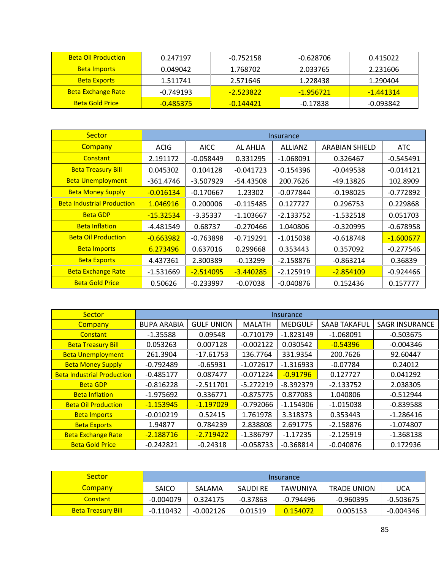| <b>Beta Oil Production</b> | 0.247197  | $-0.752158$ | -0.628706  | 0.415022  |
|----------------------------|-----------|-------------|------------|-----------|
| <b>Beta Imports</b>        | 0.049042  | 1.768702    | 2.033765   | 2.231606  |
| <b>Beta Exports</b>        | 1.511741  | 2.571646    | 1.228438   | 1.290404  |
| <b>Beta Exchange Rate</b>  | -0.749193 | -2.523822   | -1.956721  | -1.441314 |
| <b>Beta Gold Price</b>     | -0.485375 | -0.144421   | $-0.17838$ | -0.093842 |

| <b>Sector</b>                     | <b>Insurance</b> |             |             |                |                |             |
|-----------------------------------|------------------|-------------|-------------|----------------|----------------|-------------|
| Company                           | <b>ACIG</b>      | <b>AICC</b> | AL AHLIA    | <b>ALLIANZ</b> | ARABIAN SHIELD | <b>ATC</b>  |
| Constant                          | 2.191172         | $-0.058449$ | 0.331295    | $-1.068091$    | 0.326467       | $-0.545491$ |
| <b>Beta Treasury Bill</b>         | 0.045302         | 0.104128    | $-0.041723$ | $-0.154396$    | $-0.049538$    | $-0.014121$ |
| <b>Beta Unemployment</b>          | -361.4746        | $-3.507929$ | $-54.43508$ | 200.7626       | -49.13826      | 102.8909    |
| <b>Beta Money Supply</b>          | $-0.016134$      | $-0.170667$ | 1.23302     | $-0.077844$    | $-0.198025$    | $-0.772892$ |
| <b>Beta Industrial Production</b> | 1.046916         | 0.200006    | $-0.115485$ | 0.127727       | 0.296753       | 0.229868    |
| <b>Beta GDP</b>                   | $-15.32534$      | $-3.35337$  | $-1.103667$ | $-2.133752$    | $-1.532518$    | 0.051703    |
| <b>Beta Inflation</b>             | -4.481549        | 0.68737     | $-0.270466$ | 1.040806       | $-0.320995$    | $-0.678958$ |
| <b>Beta Oil Production</b>        | $-0.663982$      | $-0.763898$ | $-0.719291$ | $-1.015038$    | $-0.618748$    | $-1.600677$ |
| <b>Beta Imports</b>               | 6.273496         | 0.637016    | 0.299668    | 0.353443       | 0.357092       | $-0.277546$ |
| <b>Beta Exports</b>               | 4.437361         | 2.300389    | $-0.13299$  | $-2.158876$    | $-0.863214$    | 0.36839     |
| <b>Beta Exchange Rate</b>         | $-1.531669$      | $-2.514095$ | $-3.440285$ | $-2.125919$    | $-2.854109$    | $-0.924466$ |
| <b>Beta Gold Price</b>            | 0.50626          | $-0.233997$ | $-0.07038$  | $-0.040876$    | 0.152436       | 0.157777    |

| <b>Sector</b>                     |                    |                   |               | Insurance      |                     |                       |
|-----------------------------------|--------------------|-------------------|---------------|----------------|---------------------|-----------------------|
| <b>Company</b>                    | <b>BUPA ARABIA</b> | <b>GULF UNION</b> | <b>MALATH</b> | <b>MEDGULF</b> | <b>SAAB TAKAFUL</b> | <b>SAGR INSURANCE</b> |
| Constant                          | $-1.35588$         | 0.09548           | $-0.710179$   | $-1.823149$    | $-1.068091$         | $-0.503675$           |
| <b>Beta Treasury Bill</b>         | 0.053263           | 0.007128          | $-0.002122$   | 0.030542       | $-0.54396$          | $-0.004346$           |
| <b>Beta Unemployment</b>          | 261.3904           | -17.61753         | 136.7764      | 331.9354       | 200.7626            | 92.60447              |
| <b>Beta Money Supply</b>          | $-0.792489$        | $-0.65931$        | $-1.072617$   | $-1.316933$    | $-0.07784$          | 0.24012               |
| <b>Beta Industrial Production</b> | $-0.485177$        | 0.087477          | $-0.071224$   | $-0.91796$     | 0.127727            | 0.041292              |
| <b>Beta GDP</b>                   | $-0.816228$        | $-2.511701$       | $-5.272219$   | $-8.392379$    | $-2.133752$         | 2.038305              |
| <b>Beta Inflation</b>             | -1.975692          | 0.336771          | $-0.875775$   | 0.877083       | 1.040806            | $-0.512944$           |
| <b>Beta Oil Production</b>        | $-1.153945$        | $-1.197029$       | $-0.792066$   | $-1.154306$    | $-1.015038$         | $-0.839588$           |
| <b>Beta Imports</b>               | $-0.010219$        | 0.52415           | 1.761978      | 3.318373       | 0.353443            | $-1.286416$           |
| <b>Beta Exports</b>               | 1.94877            | 0.784239          | 2.838808      | 2.691775       | $-2.158876$         | $-1.074807$           |
| <b>Beta Exchange Rate</b>         | $-2.188716$        | $-2.719422$       | $-1.386797$   | $-1.17235$     | $-2.125919$         | $-1.368138$           |
| <b>Beta Gold Price</b>            | $-0.242821$        | $-0.24318$        | $-0.058733$   | $-0.368814$    | $-0.040876$         | 0.172936              |
|                                   |                    |                   |               |                |                     |                       |

| <b>Sector</b>             | <i>Insurance</i> |             |            |                 |                    |             |
|---------------------------|------------------|-------------|------------|-----------------|--------------------|-------------|
| <b>Company</b>            | <b>SAICO</b>     | SALAMA      | SAUDI RE   | <b>TAWUNIYA</b> | <b>TRADE UNION</b> | <b>UCA</b>  |
| <b>Constant</b>           | $-0.004079$      | 0.324175    | $-0.37863$ | -0.794496       | $-0.960395$        | $-0.503675$ |
| <b>Beta Treasury Bill</b> | $-0.110432$      | $-0.002126$ | 0.01519    | 0.154072        | 0.005153           | -0.004346   |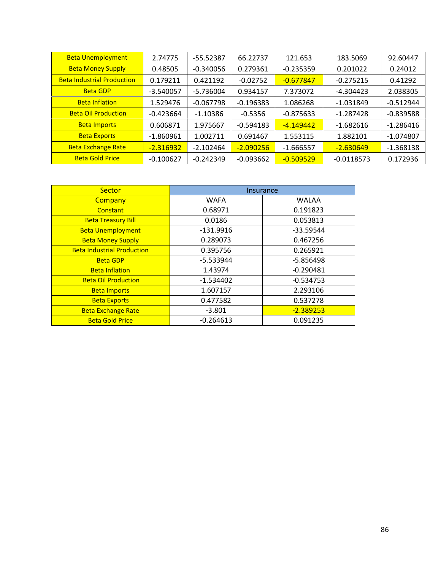| <b>Beta Unemployment</b>          | 2.74775     | -55.52387   | 66.22737    | 121.653     | 183.5069     | 92.60447    |
|-----------------------------------|-------------|-------------|-------------|-------------|--------------|-------------|
| <b>Beta Money Supply</b>          | 0.48505     | $-0.340056$ | 0.279361    | $-0.235359$ | 0.201022     | 0.24012     |
| <b>Beta Industrial Production</b> | 0.179211    | 0.421192    | $-0.02752$  | $-0.677847$ | $-0.275215$  | 0.41292     |
| <b>Beta GDP</b>                   | $-3.540057$ | $-5.736004$ | 0.934157    | 7.373072    | $-4.304423$  | 2.038305    |
| <b>Beta Inflation</b>             | 1.529476    | $-0.067798$ | $-0.196383$ | 1.086268    | $-1.031849$  | $-0.512944$ |
| <b>Beta Oil Production</b>        | $-0.423664$ | $-1.10386$  | $-0.5356$   | $-0.875633$ | $-1.287428$  | $-0.839588$ |
| <b>Beta Imports</b>               | 0.606871    | 1.975667    | $-0.594183$ | $-4.149442$ | $-1.682616$  | $-1.286416$ |
| <b>Beta Exports</b>               | $-1.860961$ | 1.002711    | 0.691467    | 1.553115    | 1.882101     | $-1.074807$ |
| <b>Beta Exchange Rate</b>         | $-2.316932$ | $-2.102464$ | $-2.090256$ | $-1.666557$ | $-2.630649$  | $-1.368138$ |
| <b>Beta Gold Price</b>            | $-0.100627$ | $-0.242349$ | $-0.093662$ | $-0.509529$ | $-0.0118573$ | 0.172936    |

| Sector                            | Insurance   |              |
|-----------------------------------|-------------|--------------|
| Company                           | <b>WAFA</b> | <b>WALAA</b> |
| Constant                          | 0.68971     | 0.191823     |
| <b>Beta Treasury Bill</b>         | 0.0186      | 0.053813     |
| <b>Beta Unemployment</b>          | -131.9916   | $-33.59544$  |
| <b>Beta Money Supply</b>          | 0.289073    | 0.467256     |
| <b>Beta Industrial Production</b> | 0.395756    | 0.265921     |
| <b>Beta GDP</b>                   | $-5.533944$ | -5.856498    |
| <b>Beta Inflation</b>             | 1.43974     | $-0.290481$  |
| <b>Beta Oil Production</b>        | $-1.534402$ | $-0.534753$  |
| <b>Beta Imports</b>               | 1.607157    | 2.293106     |
| <b>Beta Exports</b>               | 0.477582    | 0.537278     |
| <b>Beta Exchange Rate</b>         | $-3.801$    | $-2.389253$  |
| <b>Beta Gold Price</b>            | $-0.264613$ | 0.091235     |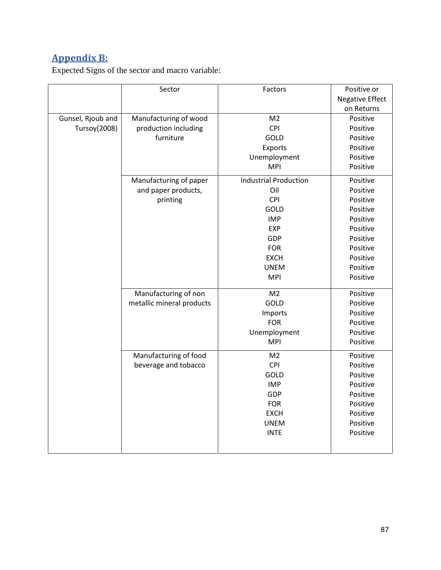## **Appendix B:**

Expected Signs of the sector and macro variable:

|                   | Sector                    | Factors                      | Positive or            |
|-------------------|---------------------------|------------------------------|------------------------|
|                   |                           |                              | <b>Negative Effect</b> |
|                   |                           |                              | on Returns             |
| Gunsel, Rjoub and | Manufacturing of wood     | M <sub>2</sub>               | Positive               |
| Tursoy(2008)      | production including      | <b>CPI</b>                   | Positive               |
|                   | furniture                 | GOLD                         | Positive               |
|                   |                           | Exports                      | Positive               |
|                   |                           | Unemployment                 | Positive               |
|                   |                           | <b>MPI</b>                   | Positive               |
|                   | Manufacturing of paper    | <b>Industrial Production</b> | Positive               |
|                   | and paper products,       | Oil                          | Positive               |
|                   | printing                  | CPI                          | Positive               |
|                   |                           | GOLD                         | Positive               |
|                   |                           | <b>IMP</b>                   | Positive               |
|                   |                           | EXP                          | Positive               |
|                   |                           | GDP                          | Positive               |
|                   |                           | <b>FOR</b>                   | Positive               |
|                   |                           | <b>EXCH</b>                  | Positive               |
|                   |                           | <b>UNEM</b>                  | Positive               |
|                   |                           | <b>MPI</b>                   | Positive               |
|                   | Manufacturing of non      | M <sub>2</sub>               | Positive               |
|                   | metallic mineral products | GOLD                         | Positive               |
|                   |                           | Imports                      | Positive               |
|                   |                           | <b>FOR</b>                   | Positive               |
|                   |                           | Unemployment                 | Positive               |
|                   |                           | <b>MPI</b>                   | Positive               |
|                   | Manufacturing of food     | M <sub>2</sub>               | Positive               |
|                   | beverage and tobacco      | CPI                          | Positive               |
|                   |                           | GOLD                         | Positive               |
|                   |                           | <b>IMP</b>                   | Positive               |
|                   |                           | GDP                          | Positive               |
|                   |                           | <b>FOR</b>                   | Positive               |
|                   |                           | <b>EXCH</b>                  | Positive               |
|                   |                           | <b>UNEM</b>                  | Positive               |
|                   |                           | <b>INTE</b>                  | Positive               |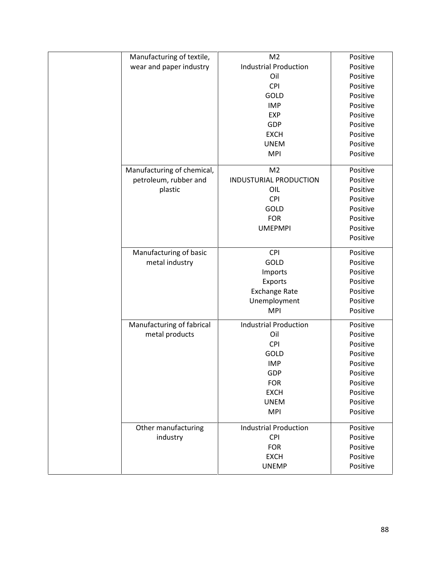| Manufacturing of textile,  | M <sub>2</sub>               | Positive |
|----------------------------|------------------------------|----------|
| wear and paper industry    | <b>Industrial Production</b> | Positive |
|                            | Oil                          | Positive |
|                            | CPI                          | Positive |
|                            | GOLD                         | Positive |
|                            | <b>IMP</b>                   | Positive |
|                            | <b>EXP</b>                   | Positive |
|                            | GDP                          | Positive |
|                            | <b>EXCH</b>                  | Positive |
|                            | <b>UNEM</b>                  | Positive |
|                            | <b>MPI</b>                   | Positive |
| Manufacturing of chemical, | M <sub>2</sub>               | Positive |
| petroleum, rubber and      | INDUSTURIAL PRODUCTION       | Positive |
| plastic                    | OIL                          | Positive |
|                            | CPI                          | Positive |
|                            | GOLD                         | Positive |
|                            | <b>FOR</b>                   | Positive |
|                            | <b>UMEPMPI</b>               | Positive |
|                            |                              | Positive |
| Manufacturing of basic     | CPI                          | Positive |
| metal industry             | GOLD                         | Positive |
|                            | Imports                      | Positive |
|                            | Exports                      | Positive |
|                            | <b>Exchange Rate</b>         | Positive |
|                            | Unemployment                 | Positive |
|                            | <b>MPI</b>                   | Positive |
| Manufacturing of fabrical  | <b>Industrial Production</b> | Positive |
| metal products             | Oil                          | Positive |
|                            | <b>CPI</b>                   | Positive |
|                            | GOLD                         | Positive |
|                            | <b>IMP</b>                   | Positive |
|                            | GDP                          | Positive |
|                            | <b>FOR</b>                   | Positive |
|                            | <b>EXCH</b>                  | Positive |
|                            | <b>UNEM</b>                  | Positive |
|                            | <b>MPI</b>                   | Positive |
| Other manufacturing        | <b>Industrial Production</b> | Positive |
| industry                   | <b>CPI</b>                   | Positive |
|                            | <b>FOR</b>                   | Positive |
|                            |                              |          |
|                            | <b>EXCH</b>                  | Positive |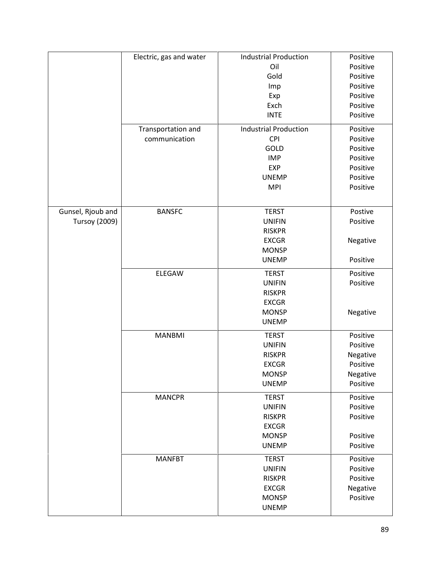|                      | Electric, gas and water | <b>Industrial Production</b> | Positive |
|----------------------|-------------------------|------------------------------|----------|
|                      |                         | Oil                          | Positive |
|                      |                         | Gold                         | Positive |
|                      |                         | Imp                          | Positive |
|                      |                         | Exp                          | Positive |
|                      |                         | Exch                         | Positive |
|                      |                         | <b>INTE</b>                  | Positive |
|                      | Transportation and      | <b>Industrial Production</b> | Positive |
|                      | communication           | <b>CPI</b>                   | Positive |
|                      |                         | GOLD                         | Positive |
|                      |                         | <b>IMP</b>                   | Positive |
|                      |                         | <b>EXP</b>                   | Positive |
|                      |                         | <b>UNEMP</b>                 | Positive |
|                      |                         | <b>MPI</b>                   | Positive |
|                      |                         |                              |          |
| Gunsel, Rjoub and    | <b>BANSFC</b>           | <b>TERST</b>                 | Postive  |
| <b>Tursoy (2009)</b> |                         | <b>UNIFIN</b>                | Positive |
|                      |                         | <b>RISKPR</b>                |          |
|                      |                         | <b>EXCGR</b>                 | Negative |
|                      |                         | <b>MONSP</b>                 |          |
|                      |                         | <b>UNEMP</b>                 | Positive |
|                      | ELEGAW                  | <b>TERST</b>                 | Positive |
|                      |                         | <b>UNIFIN</b>                | Positive |
|                      |                         | <b>RISKPR</b>                |          |
|                      |                         | <b>EXCGR</b>                 |          |
|                      |                         | <b>MONSP</b>                 | Negative |
|                      |                         | <b>UNEMP</b>                 |          |
|                      | <b>MANBMI</b>           | <b>TERST</b>                 | Positive |
|                      |                         | <b>UNIFIN</b>                | Positive |
|                      |                         | <b>RISKPR</b>                | Negative |
|                      |                         | <b>EXCGR</b>                 | Positive |
|                      |                         | <b>MONSP</b>                 | Negative |
|                      |                         | <b>UNEMP</b>                 | Positive |
|                      | <b>MANCPR</b>           | <b>TERST</b>                 | Positive |
|                      |                         | <b>UNIFIN</b>                | Positive |
|                      |                         | <b>RISKPR</b>                | Positive |
|                      |                         | <b>EXCGR</b>                 |          |
|                      |                         | <b>MONSP</b>                 | Positive |
|                      |                         | <b>UNEMP</b>                 | Positive |
|                      | <b>MANFBT</b>           | <b>TERST</b>                 | Positive |
|                      |                         | <b>UNIFIN</b>                | Positive |
|                      |                         |                              |          |
|                      |                         | <b>RISKPR</b>                | Positive |
|                      |                         | <b>EXCGR</b>                 | Negative |
|                      |                         | <b>MONSP</b>                 | Positive |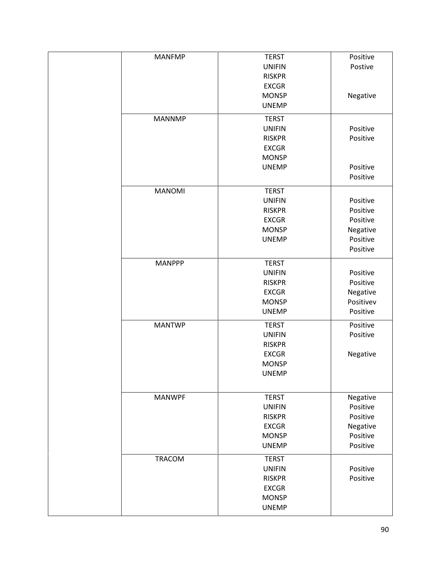| <b>MANFMP</b> | <b>TERST</b>                 | Positive  |
|---------------|------------------------------|-----------|
|               | <b>UNIFIN</b>                | Postive   |
|               |                              |           |
|               | <b>RISKPR</b>                |           |
|               | <b>EXCGR</b>                 |           |
|               | <b>MONSP</b>                 | Negative  |
|               |                              |           |
|               | <b>UNEMP</b>                 |           |
| <b>MANNMP</b> | <b>TERST</b>                 |           |
|               | <b>UNIFIN</b>                | Positive  |
|               | <b>RISKPR</b>                | Positive  |
|               | <b>EXCGR</b>                 |           |
|               |                              |           |
|               | <b>MONSP</b>                 |           |
|               | <b>UNEMP</b>                 | Positive  |
|               |                              | Positive  |
|               |                              |           |
| <b>MANOMI</b> | <b>TERST</b>                 |           |
|               | <b>UNIFIN</b>                | Positive  |
|               | <b>RISKPR</b>                | Positive  |
|               | <b>EXCGR</b>                 | Positive  |
|               |                              |           |
|               | <b>MONSP</b>                 | Negative  |
|               | <b>UNEMP</b>                 | Positive  |
|               |                              | Positive  |
| <b>MANPPP</b> | <b>TERST</b>                 |           |
|               |                              |           |
|               | <b>UNIFIN</b>                | Positive  |
|               | <b>RISKPR</b>                | Positive  |
|               | <b>EXCGR</b>                 | Negative  |
|               | <b>MONSP</b>                 | Positivev |
|               | <b>UNEMP</b>                 | Positive  |
|               |                              |           |
| <b>MANTWP</b> | <b>TERST</b>                 | Positive  |
|               | <b>UNIFIN</b>                | Positive  |
|               | <b>RISKPR</b>                |           |
|               |                              |           |
|               | <b>EXCGR</b>                 | Negative  |
|               | <b>MONSP</b>                 |           |
|               | <b>UNEMP</b>                 |           |
|               |                              |           |
| <b>MANWPF</b> | <b>TERST</b>                 | Negative  |
|               | <b>UNIFIN</b>                | Positive  |
|               | <b>RISKPR</b>                | Positive  |
|               |                              |           |
|               | <b>EXCGR</b>                 | Negative  |
|               | <b>MONSP</b>                 | Positive  |
|               | <b>UNEMP</b>                 | Positive  |
| TRACOM        | <b>TERST</b>                 |           |
|               |                              |           |
|               | <b>UNIFIN</b>                | Positive  |
|               | <b>RISKPR</b>                | Positive  |
|               | <b>EXCGR</b>                 |           |
|               |                              |           |
|               |                              |           |
|               | <b>MONSP</b><br><b>UNEMP</b> |           |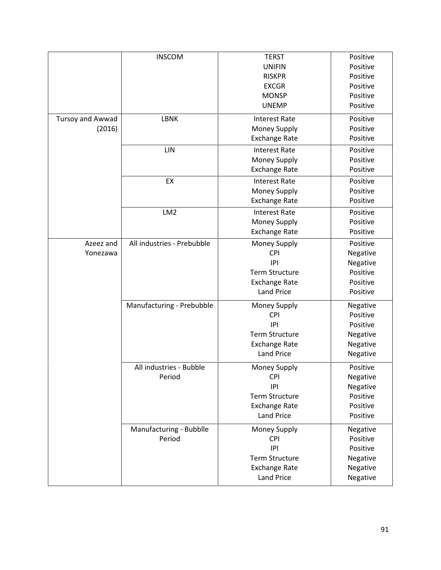|                            | <b>INSCOM</b>                     | <b>TERST</b><br><b>UNIFIN</b><br><b>RISKPR</b><br><b>EXCGR</b>                                          | Positive<br>Positive<br>Positive<br>Positive                         |
|----------------------------|-----------------------------------|---------------------------------------------------------------------------------------------------------|----------------------------------------------------------------------|
|                            |                                   | <b>MONSP</b><br><b>UNEMP</b>                                                                            | Positive<br>Positive                                                 |
| Tursoy and Awwad<br>(2016) | <b>LBNK</b>                       | <b>Interest Rate</b><br>Money Supply<br><b>Exchange Rate</b>                                            | Positive<br>Positive<br>Positive                                     |
|                            | LIN                               | <b>Interest Rate</b><br>Money Supply<br><b>Exchange Rate</b>                                            | Positive<br>Positive<br>Positive                                     |
|                            | EX                                | <b>Interest Rate</b><br>Money Supply<br><b>Exchange Rate</b>                                            | Positive<br>Positive<br>Positive                                     |
|                            | LM <sub>2</sub>                   | <b>Interest Rate</b><br>Money Supply<br><b>Exchange Rate</b>                                            | Positive<br>Positive<br>Positive                                     |
| Azeez and<br>Yonezawa      | All industries - Prebubble        | Money Supply<br><b>CPI</b><br> P <br><b>Term Structure</b><br><b>Exchange Rate</b><br><b>Land Price</b> | Positive<br>Negative<br>Negative<br>Positive<br>Positive<br>Positive |
|                            | Manufacturing - Prebubble         | Money Supply<br><b>CPI</b><br> P <br><b>Term Structure</b><br><b>Exchange Rate</b><br><b>Land Price</b> | Negative<br>Positive<br>Positive<br>Negative<br>Negative<br>Negative |
|                            | All industries - Bubble<br>Period | Money Supply<br><b>CPI</b><br> P <br><b>Term Structure</b><br><b>Exchange Rate</b><br><b>Land Price</b> | Positive<br>Negative<br>Negative<br>Positive<br>Positive<br>Positive |
|                            | Manufacturing - Bubblle<br>Period | Money Supply<br><b>CPI</b><br> P <br><b>Term Structure</b><br><b>Exchange Rate</b><br><b>Land Price</b> | Negative<br>Positive<br>Positive<br>Negative<br>Negative<br>Negative |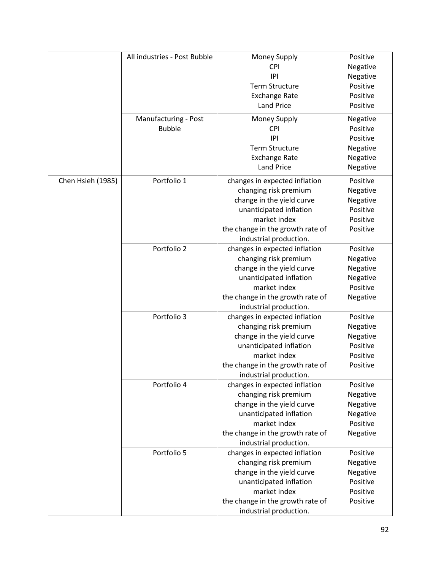|                   | All industries - Post Bubble | Money Supply                     | Positive |
|-------------------|------------------------------|----------------------------------|----------|
|                   |                              | <b>CPI</b>                       | Negative |
|                   |                              | P                                | Negative |
|                   |                              | <b>Term Structure</b>            | Positive |
|                   |                              | <b>Exchange Rate</b>             | Positive |
|                   |                              | <b>Land Price</b>                | Positive |
|                   |                              |                                  |          |
|                   | Manufacturing - Post         | Money Supply                     | Negative |
|                   | <b>Bubble</b>                | <b>CPI</b>                       | Positive |
|                   |                              | IPI                              | Positive |
|                   |                              | <b>Term Structure</b>            | Negative |
|                   |                              | <b>Exchange Rate</b>             | Negative |
|                   |                              | <b>Land Price</b>                | Negative |
| Chen Hsieh (1985) | Portfolio 1                  | changes in expected inflation    | Positive |
|                   |                              | changing risk premium            | Negative |
|                   |                              |                                  |          |
|                   |                              | change in the yield curve        | Negative |
|                   |                              | unanticipated inflation          | Positive |
|                   |                              | market index                     | Positive |
|                   |                              | the change in the growth rate of | Positive |
|                   |                              | industrial production.           |          |
|                   | Portfolio 2                  | changes in expected inflation    | Positive |
|                   |                              | changing risk premium            | Negative |
|                   |                              | change in the yield curve        | Negative |
|                   |                              | unanticipated inflation          | Negative |
|                   |                              | market index                     | Positive |
|                   |                              | the change in the growth rate of | Negative |
|                   |                              | industrial production.           |          |
|                   | Portfolio 3                  | changes in expected inflation    | Positive |
|                   |                              | changing risk premium            | Negative |
|                   |                              | change in the yield curve        | Negative |
|                   |                              | unanticipated inflation          | Positive |
|                   |                              | market index                     | Positive |
|                   |                              | the change in the growth rate of | Positive |
|                   |                              | industrial production.           |          |
|                   | Portfolio 4                  | changes in expected inflation    | Positive |
|                   |                              | changing risk premium            | Negative |
|                   |                              | change in the yield curve        | Negative |
|                   |                              | unanticipated inflation          | Negative |
|                   |                              | market index                     | Positive |
|                   |                              | the change in the growth rate of |          |
|                   |                              |                                  | Negative |
|                   | Portfolio 5                  | industrial production.           |          |
|                   |                              | changes in expected inflation    | Positive |
|                   |                              | changing risk premium            | Negative |
|                   |                              | change in the yield curve        | Negative |
|                   |                              | unanticipated inflation          | Positive |
|                   |                              | market index                     | Positive |
|                   |                              | the change in the growth rate of | Positive |
|                   |                              | industrial production.           |          |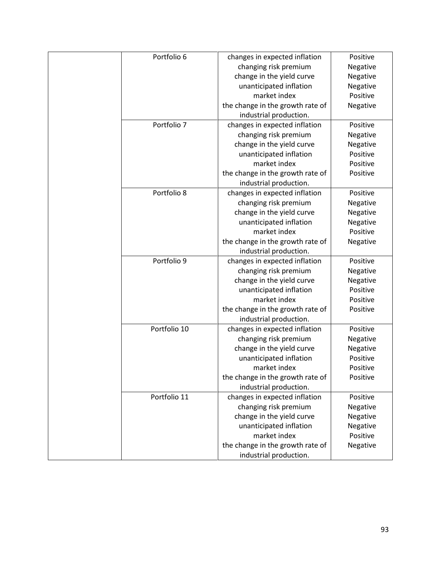| Portfolio 6  | changes in expected inflation    | Positive |
|--------------|----------------------------------|----------|
|              | changing risk premium            | Negative |
|              | change in the yield curve        | Negative |
|              | unanticipated inflation          | Negative |
|              | market index                     | Positive |
|              | the change in the growth rate of | Negative |
|              | industrial production.           |          |
| Portfolio 7  | changes in expected inflation    | Positive |
|              | changing risk premium            | Negative |
|              | change in the yield curve        | Negative |
|              | unanticipated inflation          | Positive |
|              | market index                     | Positive |
|              | the change in the growth rate of | Positive |
|              |                                  |          |
|              | industrial production.           |          |
| Portfolio 8  | changes in expected inflation    | Positive |
|              | changing risk premium            | Negative |
|              | change in the yield curve        | Negative |
|              | unanticipated inflation          | Negative |
|              | market index                     | Positive |
|              | the change in the growth rate of | Negative |
|              | industrial production.           |          |
| Portfolio 9  | changes in expected inflation    | Positive |
|              | changing risk premium            | Negative |
|              | change in the yield curve        | Negative |
|              | unanticipated inflation          | Positive |
|              | market index                     | Positive |
|              | the change in the growth rate of | Positive |
|              | industrial production.           |          |
| Portfolio 10 | changes in expected inflation    | Positive |
|              | changing risk premium            | Negative |
|              | change in the yield curve        | Negative |
|              | unanticipated inflation          | Positive |
|              | market index                     | Positive |
|              | the change in the growth rate of | Positive |
|              |                                  |          |
|              | industrial production.           |          |
| Portfolio 11 | changes in expected inflation    | Positive |
|              | changing risk premium            | Negative |
|              | change in the yield curve        | Negative |
|              | unanticipated inflation          | Negative |
|              | market index                     | Positive |
|              | the change in the growth rate of | Negative |
|              | industrial production.           |          |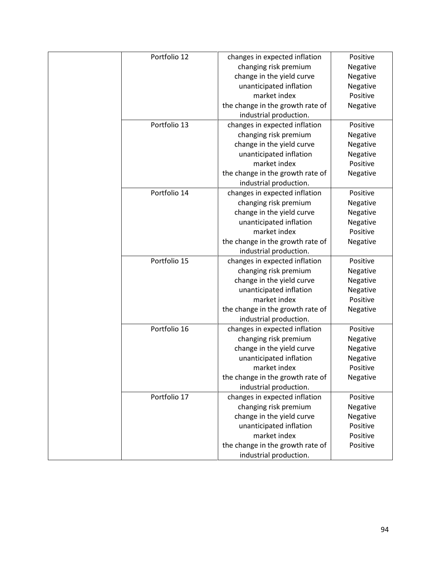| Portfolio 12<br>changes in expected inflation |                      |
|-----------------------------------------------|----------------------|
|                                               | Positive             |
| changing risk premium                         | Negative             |
| change in the yield curve                     | Negative             |
| unanticipated inflation                       | Negative             |
| market index                                  | Positive             |
| the change in the growth rate of              | Negative             |
| industrial production.                        |                      |
| Portfolio 13<br>changes in expected inflation | Positive             |
| changing risk premium                         | Negative             |
| change in the yield curve                     | Negative             |
| unanticipated inflation                       | Negative             |
| market index                                  | Positive             |
| the change in the growth rate of              | Negative             |
| industrial production.                        |                      |
| Portfolio 14<br>changes in expected inflation | Positive             |
| changing risk premium                         | Negative             |
| change in the yield curve                     | Negative             |
| unanticipated inflation                       | Negative             |
| market index                                  | Positive             |
| the change in the growth rate of              | Negative             |
| industrial production.                        |                      |
| Portfolio 15<br>changes in expected inflation | Positive             |
| changing risk premium                         | Negative             |
| change in the yield curve                     | Negative             |
| unanticipated inflation                       | Negative             |
| market index                                  | Positive             |
| the change in the growth rate of              | Negative             |
| industrial production.                        |                      |
| Portfolio 16<br>changes in expected inflation | Positive             |
| changing risk premium                         | Negative             |
| change in the yield curve                     | Negative             |
| unanticipated inflation                       | Negative             |
| market index                                  | Positive             |
| the change in the growth rate of              | Negative             |
| industrial production.                        |                      |
| Portfolio 17<br>changes in expected inflation | Positive             |
|                                               | Negative             |
| changing risk premium                         |                      |
| change in the yield curve                     |                      |
| Negative                                      | Positive             |
| unanticipated inflation<br>market index       |                      |
| the change in the growth rate of              | Positive<br>Positive |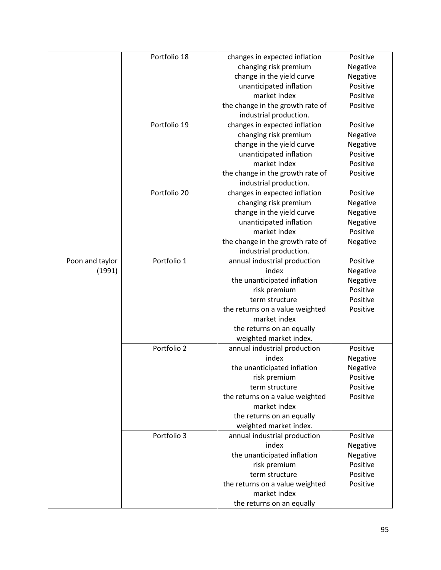|                 | Portfolio 18 | changes in expected inflation                   | Positive             |
|-----------------|--------------|-------------------------------------------------|----------------------|
|                 |              | changing risk premium                           | Negative             |
|                 |              | change in the yield curve                       | Negative             |
|                 |              | unanticipated inflation                         | Positive             |
|                 |              | market index                                    | Positive             |
|                 |              | the change in the growth rate of                | Positive             |
|                 |              | industrial production.                          |                      |
|                 | Portfolio 19 | changes in expected inflation                   | Positive             |
|                 |              | changing risk premium                           | Negative             |
|                 |              | change in the yield curve                       | Negative             |
|                 |              | unanticipated inflation                         | Positive             |
|                 |              | market index                                    | Positive             |
|                 |              | the change in the growth rate of                | Positive             |
|                 |              | industrial production.                          |                      |
|                 | Portfolio 20 | changes in expected inflation                   | Positive             |
|                 |              | changing risk premium                           | Negative             |
|                 |              | change in the yield curve                       | Negative             |
|                 |              | unanticipated inflation                         | Negative             |
|                 |              | market index                                    | Positive             |
|                 |              | the change in the growth rate of                | Negative             |
|                 |              | industrial production.                          |                      |
| Poon and taylor | Portfolio 1  | annual industrial production                    | Positive             |
| (1991)          |              | index                                           | Negative             |
|                 |              | the unanticipated inflation                     | Negative             |
|                 |              | risk premium                                    | Positive             |
|                 |              | term structure                                  | Positive             |
|                 |              | the returns on a value weighted                 | Positive             |
|                 |              | market index                                    |                      |
|                 |              | the returns on an equally                       |                      |
|                 |              | weighted market index.                          |                      |
|                 | Portfolio 2  | annual industrial production                    | Positive             |
|                 |              | index                                           | Negative             |
|                 |              | the unanticipated inflation                     | Negative             |
|                 |              | risk premium                                    | Positive             |
|                 |              | term structure                                  | Positive             |
|                 |              | the returns on a value weighted                 | Positive             |
|                 |              | market index                                    |                      |
|                 |              | the returns on an equally                       |                      |
|                 | Portfolio 3  | weighted market index.                          |                      |
|                 |              | annual industrial production                    | Positive             |
|                 |              | index                                           | Negative             |
|                 |              | the unanticipated inflation                     | Negative             |
|                 |              | risk premium<br>term structure                  | Positive<br>Positive |
|                 |              |                                                 | Positive             |
|                 |              | the returns on a value weighted<br>market index |                      |
|                 |              |                                                 |                      |
|                 |              | the returns on an equally                       |                      |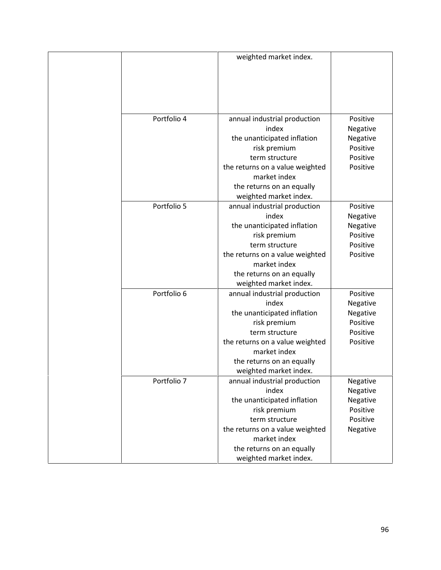|             | weighted market index.          |          |
|-------------|---------------------------------|----------|
|             |                                 |          |
|             |                                 |          |
|             |                                 |          |
| Portfolio 4 | annual industrial production    | Positive |
|             | index                           | Negative |
|             | the unanticipated inflation     | Negative |
|             | risk premium                    | Positive |
|             | term structure                  | Positive |
|             | the returns on a value weighted | Positive |
|             | market index                    |          |
|             | the returns on an equally       |          |
|             | weighted market index.          |          |
| Portfolio 5 | annual industrial production    | Positive |
|             | index                           | Negative |
|             | the unanticipated inflation     | Negative |
|             | risk premium                    | Positive |
|             | term structure                  | Positive |
|             | the returns on a value weighted | Positive |
|             | market index                    |          |
|             | the returns on an equally       |          |
|             | weighted market index.          |          |
| Portfolio 6 | annual industrial production    | Positive |
|             | index                           | Negative |
|             | the unanticipated inflation     | Negative |
|             | risk premium                    | Positive |
|             | term structure                  | Positive |
|             | the returns on a value weighted | Positive |
|             | market index                    |          |
|             | the returns on an equally       |          |
|             | weighted market index.          |          |
| Portfolio 7 | annual industrial production    | Negative |
|             | index                           | Negative |
|             | the unanticipated inflation     | Negative |
|             | risk premium                    | Positive |
|             | term structure                  | Positive |
|             | the returns on a value weighted | Negative |
|             | market index                    |          |
|             | the returns on an equally       |          |
|             | weighted market index.          |          |
|             |                                 |          |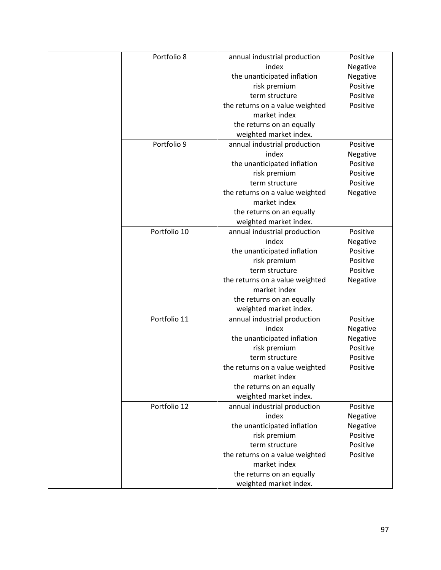| Portfolio 8  | annual industrial production    | Positive |
|--------------|---------------------------------|----------|
|              | index                           | Negative |
|              | the unanticipated inflation     | Negative |
|              | risk premium                    | Positive |
|              | term structure                  | Positive |
|              | the returns on a value weighted | Positive |
|              | market index                    |          |
|              | the returns on an equally       |          |
|              | weighted market index.          |          |
| Portfolio 9  | annual industrial production    | Positive |
|              | index                           | Negative |
|              | the unanticipated inflation     | Positive |
|              | risk premium                    | Positive |
|              | term structure                  | Positive |
|              | the returns on a value weighted | Negative |
|              | market index                    |          |
|              | the returns on an equally       |          |
|              | weighted market index.          |          |
| Portfolio 10 | annual industrial production    | Positive |
|              | index                           | Negative |
|              | the unanticipated inflation     | Positive |
|              | risk premium                    | Positive |
|              | term structure                  | Positive |
|              | the returns on a value weighted | Negative |
|              | market index                    |          |
|              | the returns on an equally       |          |
|              | weighted market index.          |          |
| Portfolio 11 | annual industrial production    | Positive |
|              | index                           | Negative |
|              | the unanticipated inflation     | Negative |
|              | risk premium                    | Positive |
|              | term structure                  | Positive |
|              | the returns on a value weighted | Positive |
|              | market index                    |          |
|              | the returns on an equally       |          |
|              | weighted market index.          |          |
| Portfolio 12 | annual industrial production    | Positive |
|              | index                           | Negative |
|              | the unanticipated inflation     | Negative |
|              | risk premium                    | Positive |
|              | term structure                  | Positive |
|              | the returns on a value weighted | Positive |
|              | market index                    |          |
|              | the returns on an equally       |          |
|              | weighted market index.          |          |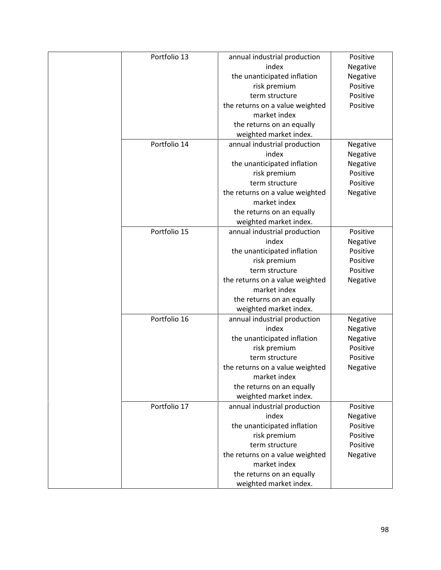| Portfolio 13 | annual industrial production    | Positive |
|--------------|---------------------------------|----------|
|              | index                           | Negative |
|              | the unanticipated inflation     | Negative |
|              | risk premium                    | Positive |
|              | term structure                  | Positive |
|              | the returns on a value weighted | Positive |
|              | market index                    |          |
|              | the returns on an equally       |          |
|              | weighted market index.          |          |
| Portfolio 14 | annual industrial production    | Negative |
|              | index                           | Negative |
|              | the unanticipated inflation     | Negative |
|              | risk premium                    | Positive |
|              | term structure                  | Positive |
|              | the returns on a value weighted | Negative |
|              | market index                    |          |
|              | the returns on an equally       |          |
|              | weighted market index.          |          |
| Portfolio 15 | annual industrial production    | Positive |
|              | index                           | Negative |
|              | the unanticipated inflation     | Positive |
|              | risk premium                    | Positive |
|              | term structure                  | Positive |
|              | the returns on a value weighted | Negative |
|              | market index                    |          |
|              | the returns on an equally       |          |
|              | weighted market index.          |          |
| Portfolio 16 | annual industrial production    | Negative |
|              | index                           | Negative |
|              | the unanticipated inflation     | Negative |
|              | risk premium                    | Positive |
|              | term structure                  | Positive |
|              | the returns on a value weighted | Negative |
|              | market index                    |          |
|              | the returns on an equally       |          |
|              | weighted market index.          |          |
| Portfolio 17 | annual industrial production    | Positive |
|              | index                           | Negative |
|              | the unanticipated inflation     | Positive |
|              | risk premium                    | Positive |
|              | term structure                  | Positive |
|              | the returns on a value weighted | Negative |
|              | market index                    |          |
|              | the returns on an equally       |          |
|              | weighted market index.          |          |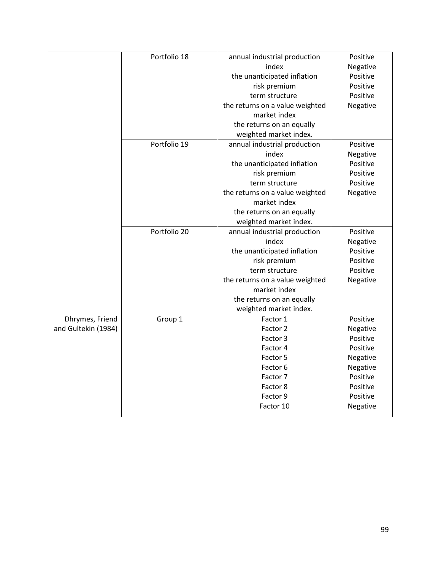|                     | Portfolio 18 | annual industrial production    | Positive |
|---------------------|--------------|---------------------------------|----------|
|                     |              | index                           | Negative |
|                     |              | the unanticipated inflation     | Positive |
|                     |              | risk premium                    | Positive |
|                     |              | term structure                  | Positive |
|                     |              | the returns on a value weighted | Negative |
|                     |              | market index                    |          |
|                     |              | the returns on an equally       |          |
|                     |              | weighted market index.          |          |
|                     | Portfolio 19 | annual industrial production    | Positive |
|                     |              | index                           | Negative |
|                     |              | the unanticipated inflation     | Positive |
|                     |              | risk premium                    | Positive |
|                     |              | term structure                  | Positive |
|                     |              | the returns on a value weighted | Negative |
|                     |              | market index                    |          |
|                     |              | the returns on an equally       |          |
|                     |              | weighted market index.          |          |
|                     | Portfolio 20 | annual industrial production    | Positive |
|                     |              | index                           | Negative |
|                     |              | the unanticipated inflation     | Positive |
|                     |              | risk premium                    | Positive |
|                     |              | term structure                  | Positive |
|                     |              | the returns on a value weighted | Negative |
|                     |              | market index                    |          |
|                     |              | the returns on an equally       |          |
|                     |              | weighted market index.          |          |
| Dhrymes, Friend     | Group 1      | Factor 1                        | Positive |
| and Gultekin (1984) |              | Factor 2                        | Negative |
|                     |              | Factor 3                        | Positive |
|                     |              | Factor 4                        | Positive |
|                     |              | Factor 5                        | Negative |
|                     |              | Factor 6                        | Negative |
|                     |              | Factor 7                        | Positive |
|                     |              | Factor 8                        | Positive |
|                     |              | Factor 9                        | Positive |
|                     |              | Factor 10                       | Negative |
|                     |              |                                 |          |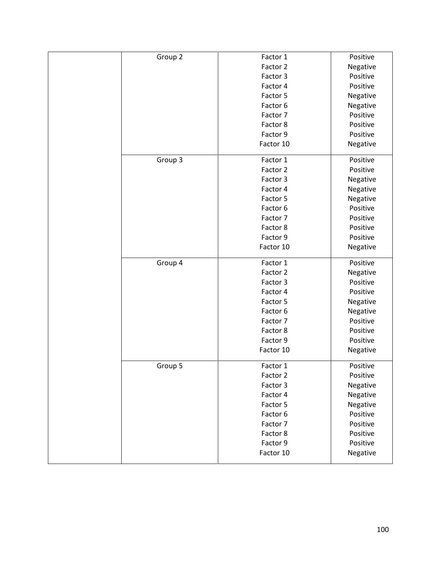| Group 2 | Factor 1  | Positive |
|---------|-----------|----------|
|         | Factor 2  | Negative |
|         | Factor 3  | Positive |
|         | Factor 4  | Positive |
|         | Factor 5  | Negative |
|         | Factor 6  | Negative |
|         | Factor 7  | Positive |
|         | Factor 8  | Positive |
|         | Factor 9  | Positive |
|         | Factor 10 | Negative |
| Group 3 | Factor 1  | Positive |
|         | Factor 2  | Positive |
|         | Factor 3  | Negative |
|         | Factor 4  | Negative |
|         | Factor 5  | Negative |
|         | Factor 6  | Positive |
|         | Factor 7  | Positive |
|         | Factor 8  | Positive |
|         | Factor 9  | Positive |
|         | Factor 10 | Negative |
| Group 4 | Factor 1  | Positive |
|         | Factor 2  | Negative |
|         | Factor 3  | Positive |
|         | Factor 4  | Positive |
|         | Factor 5  | Negative |
|         | Factor 6  | Negative |
|         | Factor 7  | Positive |
|         | Factor 8  | Positive |
|         | Factor 9  | Positive |
|         | Factor 10 | Negative |
| Group 5 | Factor 1  | Positive |
|         | Factor 2  | Positive |
|         | Factor 3  | Negative |
|         | Factor 4  | Negative |
|         | Factor 5  | Negative |
|         | Factor 6  | Positive |
|         | Factor 7  | Positive |
|         | Factor 8  | Positive |
|         | Factor 9  | Positive |
|         | Factor 10 | Negative |
|         |           |          |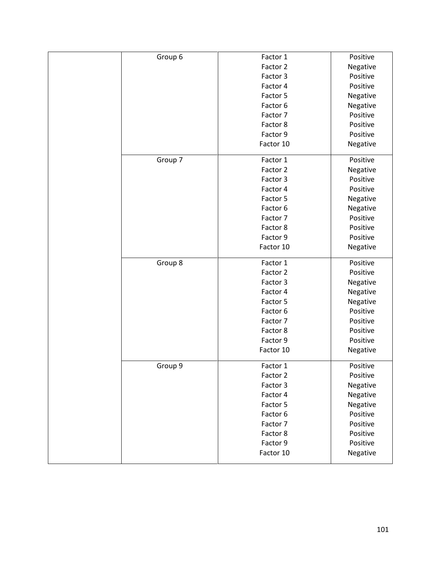| Group 6 | Factor 1  | Positive |
|---------|-----------|----------|
|         | Factor 2  | Negative |
|         | Factor 3  | Positive |
|         | Factor 4  | Positive |
|         | Factor 5  | Negative |
|         | Factor 6  | Negative |
|         | Factor 7  | Positive |
|         | Factor 8  | Positive |
|         | Factor 9  | Positive |
|         | Factor 10 | Negative |
| Group 7 | Factor 1  | Positive |
|         | Factor 2  | Negative |
|         | Factor 3  | Positive |
|         | Factor 4  | Positive |
|         | Factor 5  | Negative |
|         | Factor 6  | Negative |
|         | Factor 7  | Positive |
|         | Factor 8  | Positive |
|         | Factor 9  | Positive |
|         | Factor 10 | Negative |
| Group 8 | Factor 1  | Positive |
|         | Factor 2  | Positive |
|         | Factor 3  | Negative |
|         | Factor 4  | Negative |
|         | Factor 5  | Negative |
|         | Factor 6  | Positive |
|         | Factor 7  | Positive |
|         | Factor 8  | Positive |
|         | Factor 9  | Positive |
|         | Factor 10 | Negative |
| Group 9 | Factor 1  | Positive |
|         | Factor 2  | Positive |
|         | Factor 3  | Negative |
|         | Factor 4  | Negative |
|         | Factor 5  | Negative |
|         | Factor 6  | Positive |
|         | Factor 7  | Positive |
|         | Factor 8  | Positive |
|         | Factor 9  | Positive |
|         | Factor 10 | Negative |
|         |           |          |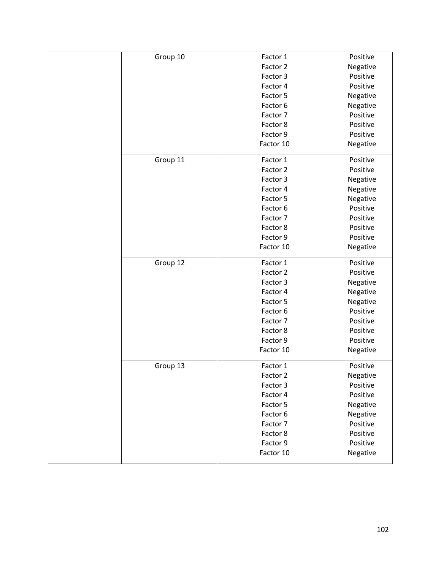| Group 10 | Factor 1  | Positive |
|----------|-----------|----------|
|          | Factor 2  | Negative |
|          | Factor 3  | Positive |
|          | Factor 4  | Positive |
|          | Factor 5  | Negative |
|          | Factor 6  | Negative |
|          | Factor 7  | Positive |
|          | Factor 8  | Positive |
|          | Factor 9  | Positive |
|          | Factor 10 | Negative |
| Group 11 | Factor 1  | Positive |
|          | Factor 2  | Positive |
|          | Factor 3  | Negative |
|          | Factor 4  | Negative |
|          | Factor 5  | Negative |
|          | Factor 6  | Positive |
|          | Factor 7  | Positive |
|          | Factor 8  | Positive |
|          | Factor 9  | Positive |
|          | Factor 10 | Negative |
| Group 12 | Factor 1  | Positive |
|          | Factor 2  | Positive |
|          | Factor 3  | Negative |
|          | Factor 4  | Negative |
|          | Factor 5  | Negative |
|          | Factor 6  | Positive |
|          | Factor 7  | Positive |
|          | Factor 8  | Positive |
|          | Factor 9  | Positive |
|          | Factor 10 | Negative |
| Group 13 | Factor 1  | Positive |
|          | Factor 2  | Negative |
|          | Factor 3  | Positive |
|          | Factor 4  | Positive |
|          | Factor 5  | Negative |
|          | Factor 6  | Negative |
|          | Factor 7  | Positive |
|          | Factor 8  | Positive |
|          | Factor 9  | Positive |
|          | Factor 10 | Negative |
|          |           |          |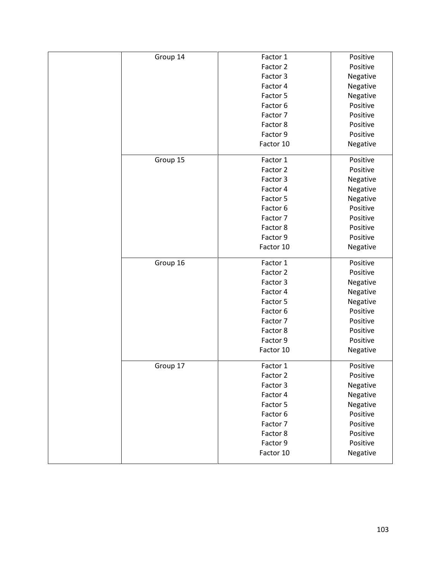| Group 14 | Factor 1  | Positive |
|----------|-----------|----------|
|          | Factor 2  | Positive |
|          | Factor 3  | Negative |
|          | Factor 4  | Negative |
|          | Factor 5  | Negative |
|          | Factor 6  | Positive |
|          | Factor 7  | Positive |
|          | Factor 8  | Positive |
|          | Factor 9  | Positive |
|          | Factor 10 | Negative |
| Group 15 | Factor 1  | Positive |
|          | Factor 2  | Positive |
|          | Factor 3  | Negative |
|          | Factor 4  | Negative |
|          | Factor 5  | Negative |
|          | Factor 6  | Positive |
|          | Factor 7  | Positive |
|          | Factor 8  | Positive |
|          | Factor 9  | Positive |
|          | Factor 10 | Negative |
| Group 16 | Factor 1  | Positive |
|          | Factor 2  | Positive |
|          | Factor 3  | Negative |
|          | Factor 4  | Negative |
|          | Factor 5  | Negative |
|          | Factor 6  | Positive |
|          | Factor 7  | Positive |
|          | Factor 8  | Positive |
|          | Factor 9  | Positive |
|          | Factor 10 | Negative |
| Group 17 | Factor 1  | Positive |
|          | Factor 2  | Positive |
|          | Factor 3  | Negative |
|          | Factor 4  | Negative |
|          | Factor 5  | Negative |
|          | Factor 6  | Positive |
|          | Factor 7  | Positive |
|          | Factor 8  | Positive |
|          | Factor 9  | Positive |
|          | Factor 10 | Negative |
|          |           |          |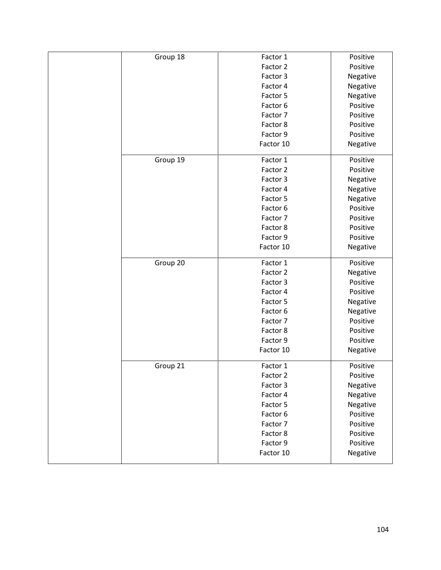| Group 18 | Factor 1  | Positive |
|----------|-----------|----------|
|          | Factor 2  | Positive |
|          | Factor 3  | Negative |
|          | Factor 4  | Negative |
|          | Factor 5  | Negative |
|          | Factor 6  | Positive |
|          | Factor 7  | Positive |
|          | Factor 8  | Positive |
|          | Factor 9  | Positive |
|          | Factor 10 | Negative |
| Group 19 | Factor 1  | Positive |
|          | Factor 2  | Positive |
|          | Factor 3  | Negative |
|          | Factor 4  | Negative |
|          | Factor 5  | Negative |
|          | Factor 6  | Positive |
|          | Factor 7  | Positive |
|          | Factor 8  | Positive |
|          | Factor 9  | Positive |
|          | Factor 10 | Negative |
| Group 20 | Factor 1  | Positive |
|          | Factor 2  | Negative |
|          | Factor 3  | Positive |
|          | Factor 4  | Positive |
|          | Factor 5  | Negative |
|          | Factor 6  | Negative |
|          | Factor 7  | Positive |
|          | Factor 8  | Positive |
|          | Factor 9  | Positive |
|          | Factor 10 | Negative |
| Group 21 | Factor 1  | Positive |
|          | Factor 2  | Positive |
|          | Factor 3  | Negative |
|          | Factor 4  | Negative |
|          | Factor 5  | Negative |
|          | Factor 6  | Positive |
|          | Factor 7  | Positive |
|          | Factor 8  | Positive |
|          | Factor 9  | Positive |
|          | Factor 10 | Negative |
|          |           |          |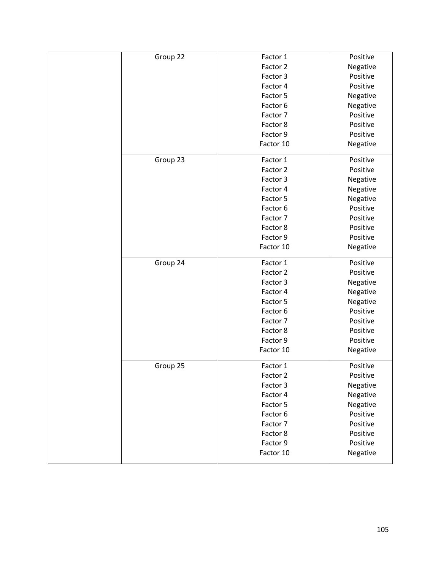| Group 22 | Factor 1  | Positive |
|----------|-----------|----------|
|          | Factor 2  | Negative |
|          | Factor 3  | Positive |
|          | Factor 4  | Positive |
|          | Factor 5  | Negative |
|          | Factor 6  | Negative |
|          | Factor 7  | Positive |
|          | Factor 8  | Positive |
|          | Factor 9  | Positive |
|          | Factor 10 | Negative |
| Group 23 | Factor 1  | Positive |
|          | Factor 2  | Positive |
|          | Factor 3  | Negative |
|          | Factor 4  | Negative |
|          | Factor 5  | Negative |
|          | Factor 6  | Positive |
|          | Factor 7  | Positive |
|          | Factor 8  | Positive |
|          | Factor 9  | Positive |
|          | Factor 10 | Negative |
| Group 24 | Factor 1  | Positive |
|          | Factor 2  | Positive |
|          | Factor 3  | Negative |
|          | Factor 4  | Negative |
|          | Factor 5  | Negative |
|          | Factor 6  | Positive |
|          | Factor 7  | Positive |
|          | Factor 8  | Positive |
|          | Factor 9  | Positive |
|          | Factor 10 | Negative |
| Group 25 | Factor 1  | Positive |
|          | Factor 2  | Positive |
|          | Factor 3  | Negative |
|          | Factor 4  | Negative |
|          | Factor 5  | Negative |
|          | Factor 6  | Positive |
|          | Factor 7  | Positive |
|          | Factor 8  | Positive |
|          | Factor 9  | Positive |
|          | Factor 10 | Negative |
|          |           |          |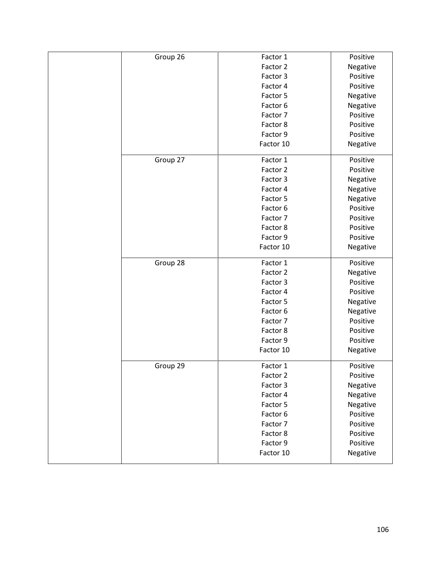| Group 26 | Factor 1  | Positive |
|----------|-----------|----------|
|          | Factor 2  | Negative |
|          | Factor 3  | Positive |
|          | Factor 4  | Positive |
|          | Factor 5  | Negative |
|          | Factor 6  | Negative |
|          | Factor 7  | Positive |
|          | Factor 8  | Positive |
|          | Factor 9  | Positive |
|          | Factor 10 | Negative |
| Group 27 | Factor 1  | Positive |
|          |           |          |
|          | Factor 2  | Positive |
|          | Factor 3  | Negative |
|          | Factor 4  | Negative |
|          | Factor 5  | Negative |
|          | Factor 6  | Positive |
|          | Factor 7  | Positive |
|          | Factor 8  | Positive |
|          | Factor 9  | Positive |
|          | Factor 10 | Negative |
| Group 28 | Factor 1  | Positive |
|          | Factor 2  | Negative |
|          | Factor 3  | Positive |
|          | Factor 4  | Positive |
|          | Factor 5  | Negative |
|          | Factor 6  | Negative |
|          | Factor 7  | Positive |
|          | Factor 8  | Positive |
|          | Factor 9  | Positive |
|          | Factor 10 | Negative |
| Group 29 | Factor 1  | Positive |
|          | Factor 2  | Positive |
|          | Factor 3  | Negative |
|          | Factor 4  | Negative |
|          | Factor 5  | Negative |
|          | Factor 6  | Positive |
|          | Factor 7  | Positive |
|          | Factor 8  | Positive |
|          | Factor 9  | Positive |
|          | Factor 10 |          |
|          |           | Negative |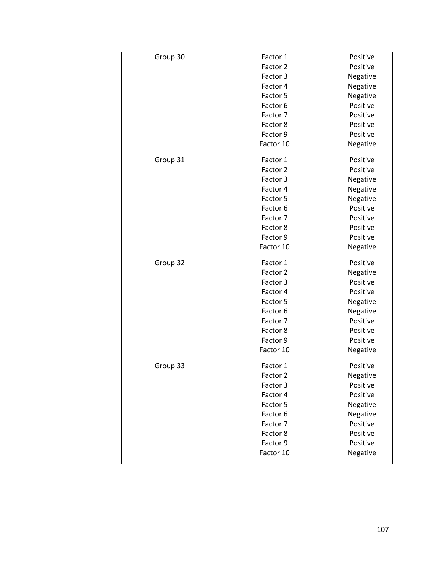| Group 30 | Factor 1  | Positive |
|----------|-----------|----------|
|          | Factor 2  | Positive |
|          | Factor 3  | Negative |
|          | Factor 4  | Negative |
|          | Factor 5  | Negative |
|          | Factor 6  | Positive |
|          | Factor 7  | Positive |
|          | Factor 8  | Positive |
|          | Factor 9  | Positive |
|          | Factor 10 | Negative |
| Group 31 | Factor 1  | Positive |
|          | Factor 2  | Positive |
|          | Factor 3  | Negative |
|          | Factor 4  | Negative |
|          | Factor 5  | Negative |
|          | Factor 6  | Positive |
|          | Factor 7  | Positive |
|          | Factor 8  | Positive |
|          | Factor 9  | Positive |
|          | Factor 10 | Negative |
| Group 32 | Factor 1  | Positive |
|          | Factor 2  | Negative |
|          | Factor 3  | Positive |
|          | Factor 4  | Positive |
|          | Factor 5  | Negative |
|          | Factor 6  | Negative |
|          | Factor 7  | Positive |
|          | Factor 8  | Positive |
|          | Factor 9  | Positive |
|          | Factor 10 | Negative |
| Group 33 | Factor 1  | Positive |
|          | Factor 2  | Negative |
|          | Factor 3  | Positive |
|          | Factor 4  | Positive |
|          | Factor 5  | Negative |
|          | Factor 6  | Negative |
|          | Factor 7  | Positive |
|          | Factor 8  | Positive |
|          | Factor 9  | Positive |
|          | Factor 10 | Negative |
|          |           |          |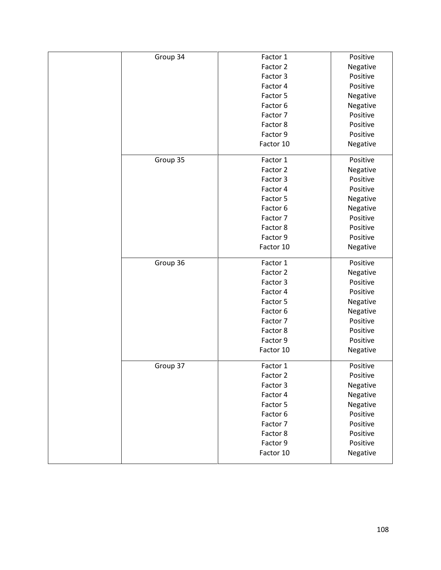| Group 34 | Factor 1  | Positive |
|----------|-----------|----------|
|          | Factor 2  | Negative |
|          | Factor 3  | Positive |
|          | Factor 4  | Positive |
|          | Factor 5  | Negative |
|          | Factor 6  | Negative |
|          | Factor 7  | Positive |
|          | Factor 8  | Positive |
|          | Factor 9  | Positive |
|          | Factor 10 | Negative |
| Group 35 | Factor 1  | Positive |
|          | Factor 2  | Negative |
|          | Factor 3  | Positive |
|          | Factor 4  | Positive |
|          | Factor 5  | Negative |
|          | Factor 6  | Negative |
|          | Factor 7  | Positive |
|          | Factor 8  | Positive |
|          | Factor 9  | Positive |
|          | Factor 10 | Negative |
| Group 36 | Factor 1  | Positive |
|          | Factor 2  | Negative |
|          | Factor 3  | Positive |
|          | Factor 4  | Positive |
|          | Factor 5  | Negative |
|          | Factor 6  | Negative |
|          | Factor 7  | Positive |
|          | Factor 8  | Positive |
|          | Factor 9  | Positive |
|          | Factor 10 | Negative |
| Group 37 | Factor 1  | Positive |
|          | Factor 2  | Positive |
|          | Factor 3  | Negative |
|          | Factor 4  | Negative |
|          | Factor 5  | Negative |
|          | Factor 6  | Positive |
|          | Factor 7  | Positive |
|          | Factor 8  | Positive |
|          | Factor 9  | Positive |
|          | Factor 10 | Negative |
|          |           |          |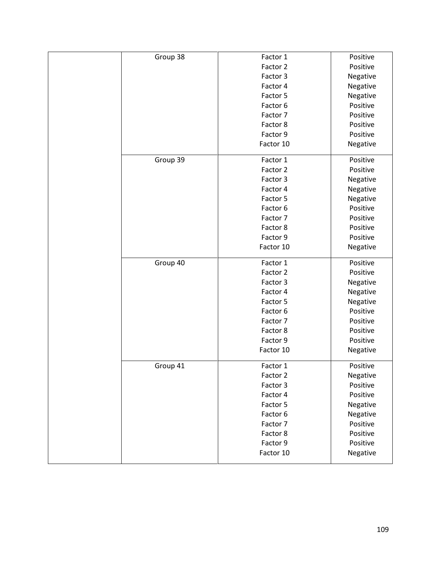| Group 38 | Factor 1  | Positive |
|----------|-----------|----------|
|          | Factor 2  | Positive |
|          | Factor 3  | Negative |
|          | Factor 4  | Negative |
|          | Factor 5  | Negative |
|          | Factor 6  | Positive |
|          | Factor 7  | Positive |
|          | Factor 8  | Positive |
|          | Factor 9  | Positive |
|          | Factor 10 | Negative |
|          |           |          |
| Group 39 | Factor 1  | Positive |
|          | Factor 2  | Positive |
|          | Factor 3  | Negative |
|          | Factor 4  | Negative |
|          | Factor 5  | Negative |
|          | Factor 6  | Positive |
|          | Factor 7  | Positive |
|          | Factor 8  | Positive |
|          | Factor 9  | Positive |
|          | Factor 10 | Negative |
| Group 40 | Factor 1  | Positive |
| Group 41 | Factor 2  | Positive |
|          | Factor 3  | Negative |
|          | Factor 4  | Negative |
|          | Factor 5  | Negative |
|          | Factor 6  | Positive |
|          | Factor 7  | Positive |
|          | Factor 8  | Positive |
|          | Factor 9  | Positive |
|          | Factor 10 | Negative |
|          | Factor 1  | Positive |
|          | Factor 2  | Negative |
|          | Factor 3  | Positive |
|          | Factor 4  | Positive |
|          | Factor 5  | Negative |
|          | Factor 6  | Negative |
|          | Factor 7  | Positive |
|          | Factor 8  | Positive |
|          | Factor 9  | Positive |
|          | Factor 10 | Negative |
|          |           |          |